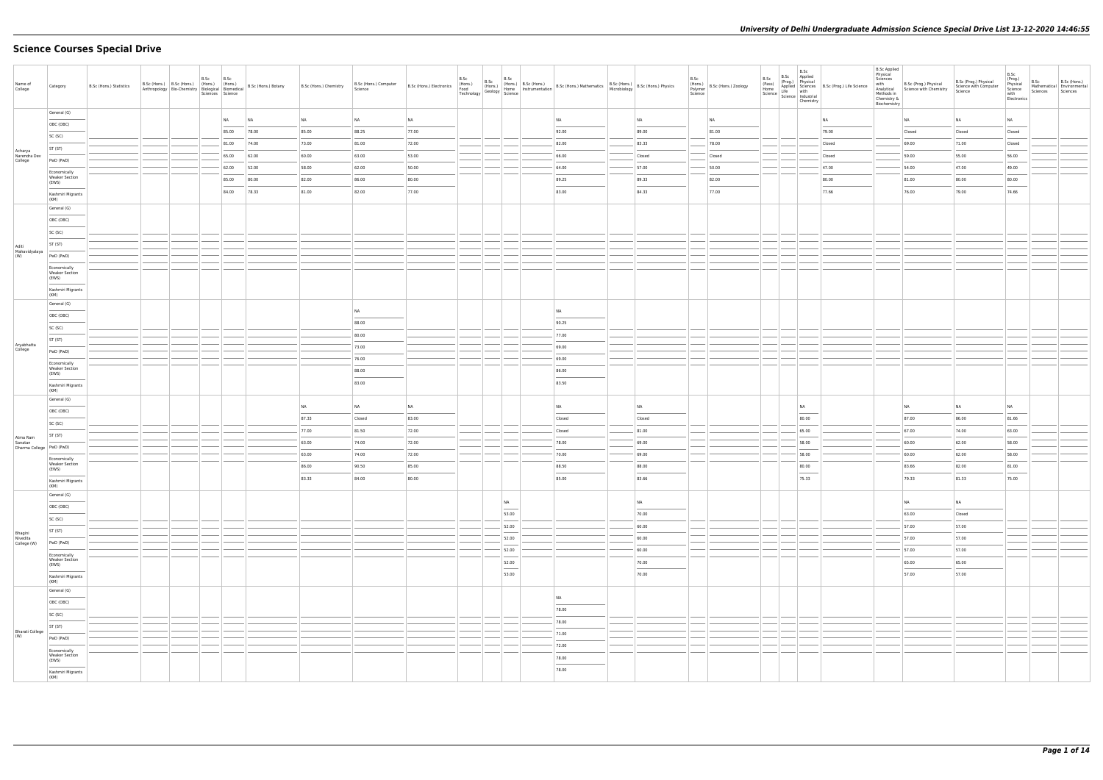# **Science Courses Special Drive**

| Name of<br>College                                | Category                                       | B.Sc (Hons.) Statistics |  | B.Sc | B.Sc<br>Sciences Science | B.Sc (Hons.) B.Sc (Hons.) (Hons.) (Hons.) (Hons.) 8.Sc (Hons.) Botany<br>Anthropology Bio-Chemistry Biological Biomedical B.Sc (Hons.) Botany | B.Sc (Hons.) Chemistry | B.Sc (Hons.) Computer<br>Science | B.Sc (Hons.) Electronics (Hons.) | B.Sc<br>B.Sc<br>Technology | B.Sc                              | B.Sc (Hons.) B.Sc (Hons.)<br>(Hons.) B.Sc (Hons.) Mathematics B.Sc (Hons.) Microbiology B.Sc (Hons.) Physics<br>(Geology Science Steine) |        | B.Sc<br>Science | (Hons.)<br>Polymer B.Sc (Hons.) Zoology | B.Sc<br>B.Sc<br>Applied<br>B.Sc<br>(Prog.) Physical<br>(Pass)<br>(Pass)<br>Home Applied Sciences<br>B.Sc (Prog.) Life Science<br>Science life with<br>Science Industrial<br>Chemistry                                                                                                                                                                                                                                                                                               |           | <b>B.Sc Applied</b><br>Physical<br>Sciences<br>with<br>Methods in<br>Chemistry &<br>Biochemistry | B.Sc (Prog.) Physical<br>Analytical Science with Chemistry | B.Sc (Prog.) Physical<br>Science with Computer<br>Science | B.Sc<br>(Prog.)<br>Physical<br>Science<br>with<br>Electronics | B.Sc<br>Mathematical Environmental<br>Sciences | B.Sc (Hons.)<br>Sciences |
|---------------------------------------------------|------------------------------------------------|-------------------------|--|------|--------------------------|-----------------------------------------------------------------------------------------------------------------------------------------------|------------------------|----------------------------------|----------------------------------|----------------------------|-----------------------------------|------------------------------------------------------------------------------------------------------------------------------------------|--------|-----------------|-----------------------------------------|-------------------------------------------------------------------------------------------------------------------------------------------------------------------------------------------------------------------------------------------------------------------------------------------------------------------------------------------------------------------------------------------------------------------------------------------------------------------------------------|-----------|--------------------------------------------------------------------------------------------------|------------------------------------------------------------|-----------------------------------------------------------|---------------------------------------------------------------|------------------------------------------------|--------------------------|
|                                                   | General (G)                                    |                         |  |      | N <sub>A</sub>           | NA                                                                                                                                            | NA                     | <b>NA</b>                        | <b>NA</b>                        |                            |                                   | <b>NA</b>                                                                                                                                | NA     |                 | NA                                      |                                                                                                                                                                                                                                                                                                                                                                                                                                                                                     | <b>NA</b> |                                                                                                  | <b>NA</b>                                                  | NA                                                        | <b>NA</b>                                                     |                                                |                          |
|                                                   | OBC (OBC)                                      |                         |  |      | 85.00                    | 78.00                                                                                                                                         | 85.00                  | 88.25                            | 77.00                            |                            |                                   | 92.00                                                                                                                                    | 89.00  |                 | 81.00                                   |                                                                                                                                                                                                                                                                                                                                                                                                                                                                                     | 79.00     |                                                                                                  | Closed                                                     | Closed                                                    | Closed                                                        |                                                |                          |
|                                                   | SC (SC)                                        |                         |  |      | 81.00                    | 74.00                                                                                                                                         | 73.00                  | 81.00                            | 72.00                            |                            |                                   | 82.00                                                                                                                                    | 83.33  |                 | 78.00                                   |                                                                                                                                                                                                                                                                                                                                                                                                                                                                                     | Closed    |                                                                                                  | 69.00                                                      | 71.00                                                     | Closed                                                        |                                                |                          |
| Acharya<br>Narendra Dev<br>College                | ST (ST)                                        |                         |  |      | 65.00                    | 62.00                                                                                                                                         | 60.00                  | 63.00                            | 53.00                            |                            |                                   | 66.00                                                                                                                                    | Closed |                 | Closed                                  |                                                                                                                                                                                                                                                                                                                                                                                                                                                                                     | Closed    |                                                                                                  | 59.00                                                      | 55.00                                                     | 56.00                                                         |                                                |                          |
|                                                   | PwD (PwD)                                      |                         |  |      | 62.00                    | 52.00                                                                                                                                         | 58.00                  | 62.00                            | 50.00                            |                            |                                   | 64.00                                                                                                                                    | 57.00  |                 | 50.00                                   |                                                                                                                                                                                                                                                                                                                                                                                                                                                                                     | 47.00     |                                                                                                  | 54.00                                                      | 47.00                                                     | 49.00                                                         |                                                |                          |
|                                                   | Economically<br><b>Weaker Section</b><br>(EWS) |                         |  |      | 85.00                    | 80.00                                                                                                                                         | 82.00                  | 86.00                            | 80.00                            |                            |                                   | 89.25                                                                                                                                    | 89.33  |                 | 82.00                                   |                                                                                                                                                                                                                                                                                                                                                                                                                                                                                     | 80.00     |                                                                                                  | 81.00                                                      | 80.00                                                     | 80.00                                                         |                                                |                          |
|                                                   | Kashmiri Migrants                              |                         |  |      | 84.00                    | 78.33                                                                                                                                         | 81.00                  | 82.00                            | 77.00                            |                            |                                   | 83.00                                                                                                                                    | 84.33  |                 | 77.00                                   |                                                                                                                                                                                                                                                                                                                                                                                                                                                                                     | 77.66     |                                                                                                  | 76.00                                                      | 79.00                                                     | 74.66                                                         |                                                |                          |
|                                                   | (KM)<br>General (G)                            |                         |  |      |                          |                                                                                                                                               |                        |                                  |                                  |                            |                                   |                                                                                                                                          |        |                 |                                         |                                                                                                                                                                                                                                                                                                                                                                                                                                                                                     |           |                                                                                                  |                                                            |                                                           |                                                               |                                                |                          |
|                                                   | OBC (OBC)                                      |                         |  |      |                          |                                                                                                                                               |                        |                                  |                                  |                            |                                   |                                                                                                                                          |        |                 |                                         |                                                                                                                                                                                                                                                                                                                                                                                                                                                                                     |           |                                                                                                  |                                                            |                                                           |                                                               |                                                |                          |
|                                                   | SC (SC)                                        |                         |  |      |                          |                                                                                                                                               |                        |                                  |                                  |                            |                                   |                                                                                                                                          |        |                 |                                         |                                                                                                                                                                                                                                                                                                                                                                                                                                                                                     |           |                                                                                                  |                                                            |                                                           |                                                               |                                                |                          |
|                                                   | ST (ST)                                        |                         |  |      |                          |                                                                                                                                               |                        |                                  |                                  |                            |                                   |                                                                                                                                          |        |                 |                                         |                                                                                                                                                                                                                                                                                                                                                                                                                                                                                     |           |                                                                                                  |                                                            |                                                           |                                                               |                                                |                          |
| Aditi<br>Mahavidyalaya<br>(W)                     | PwD (PwD)                                      |                         |  |      |                          |                                                                                                                                               |                        |                                  |                                  |                            |                                   |                                                                                                                                          |        |                 |                                         |                                                                                                                                                                                                                                                                                                                                                                                                                                                                                     |           |                                                                                                  |                                                            |                                                           |                                                               |                                                |                          |
|                                                   | Economically                                   |                         |  |      |                          |                                                                                                                                               |                        |                                  |                                  |                            |                                   |                                                                                                                                          |        |                 |                                         |                                                                                                                                                                                                                                                                                                                                                                                                                                                                                     |           |                                                                                                  |                                                            |                                                           |                                                               |                                                |                          |
|                                                   | <b>Weaker Section</b><br>(EWS)                 |                         |  |      |                          |                                                                                                                                               |                        |                                  |                                  |                            |                                   |                                                                                                                                          |        |                 |                                         |                                                                                                                                                                                                                                                                                                                                                                                                                                                                                     |           |                                                                                                  |                                                            |                                                           |                                                               |                                                |                          |
|                                                   | Kashmiri Migrants<br>(KM)                      |                         |  |      |                          |                                                                                                                                               |                        |                                  |                                  |                            |                                   |                                                                                                                                          |        |                 |                                         |                                                                                                                                                                                                                                                                                                                                                                                                                                                                                     |           |                                                                                                  |                                                            |                                                           |                                                               |                                                |                          |
|                                                   | General (G)                                    |                         |  |      |                          |                                                                                                                                               |                        |                                  |                                  |                            |                                   |                                                                                                                                          |        |                 |                                         |                                                                                                                                                                                                                                                                                                                                                                                                                                                                                     |           |                                                                                                  |                                                            |                                                           |                                                               |                                                |                          |
|                                                   | OBC (OBC)                                      |                         |  |      |                          |                                                                                                                                               |                        | <b>NA</b><br>$\sim$              |                                  |                            |                                   | <b>NA</b>                                                                                                                                |        |                 |                                         |                                                                                                                                                                                                                                                                                                                                                                                                                                                                                     |           |                                                                                                  |                                                            |                                                           |                                                               |                                                |                          |
|                                                   | SC (SC)                                        |                         |  |      |                          |                                                                                                                                               |                        | 88.00                            |                                  |                            |                                   | 90.25                                                                                                                                    |        |                 |                                         |                                                                                                                                                                                                                                                                                                                                                                                                                                                                                     |           |                                                                                                  |                                                            |                                                           |                                                               |                                                |                          |
| Aryabhatta                                        | ST (ST)                                        |                         |  |      |                          |                                                                                                                                               |                        | 80.00<br>73.00                   |                                  |                            |                                   | 77.00<br>69.00                                                                                                                           |        |                 |                                         |                                                                                                                                                                                                                                                                                                                                                                                                                                                                                     |           |                                                                                                  |                                                            |                                                           |                                                               |                                                |                          |
| College                                           | PwD (PwD)                                      |                         |  |      |                          |                                                                                                                                               |                        | 76.00                            |                                  |                            |                                   | 69.00                                                                                                                                    |        |                 |                                         |                                                                                                                                                                                                                                                                                                                                                                                                                                                                                     |           |                                                                                                  |                                                            |                                                           |                                                               |                                                |                          |
|                                                   | Economically<br><b>Weaker Section</b>          |                         |  |      |                          |                                                                                                                                               |                        | 88.00                            |                                  |                            |                                   | 86.00                                                                                                                                    |        |                 |                                         |                                                                                                                                                                                                                                                                                                                                                                                                                                                                                     |           |                                                                                                  |                                                            |                                                           |                                                               |                                                |                          |
|                                                   | (EWS)                                          |                         |  |      |                          |                                                                                                                                               |                        | 83.00                            |                                  |                            |                                   | 83.50                                                                                                                                    |        |                 |                                         |                                                                                                                                                                                                                                                                                                                                                                                                                                                                                     |           |                                                                                                  |                                                            |                                                           |                                                               |                                                |                          |
|                                                   | Kashmiri Migrants<br>(KM)                      |                         |  |      |                          |                                                                                                                                               |                        |                                  |                                  |                            |                                   |                                                                                                                                          |        |                 |                                         |                                                                                                                                                                                                                                                                                                                                                                                                                                                                                     |           |                                                                                                  |                                                            |                                                           |                                                               |                                                |                          |
|                                                   | General (G)                                    |                         |  |      |                          |                                                                                                                                               | NA                     | <b>NA</b>                        | <b>NA</b>                        |                            |                                   | <b>NA</b>                                                                                                                                | NA     |                 |                                         | NA                                                                                                                                                                                                                                                                                                                                                                                                                                                                                  |           |                                                                                                  | NA                                                         | NA                                                        | NA                                                            |                                                |                          |
|                                                   | OBC (OBC)                                      |                         |  |      |                          |                                                                                                                                               | 87.33                  | Closed                           | 83.00                            |                            |                                   | Closed                                                                                                                                   | Closed |                 |                                         | 80.00                                                                                                                                                                                                                                                                                                                                                                                                                                                                               |           |                                                                                                  | 87.00                                                      | 86.00                                                     | 81.66                                                         |                                                |                          |
|                                                   | SC (SC)<br>ST (ST)                             |                         |  |      |                          |                                                                                                                                               | 77.00                  | 81.50                            | 72.00                            |                            |                                   | Closed                                                                                                                                   | 81.00  |                 |                                         | 65.00                                                                                                                                                                                                                                                                                                                                                                                                                                                                               |           |                                                                                                  | 67.00                                                      | 74.00                                                     | 63.00                                                         |                                                |                          |
| Atma Ram<br>Sanatan<br>Dharma College   PwD (PwD) |                                                |                         |  |      |                          |                                                                                                                                               | 63.00                  | 74.00                            | 72.00                            |                            |                                   | 78.00                                                                                                                                    | 69.00  |                 |                                         | 58.00                                                                                                                                                                                                                                                                                                                                                                                                                                                                               |           |                                                                                                  | 60.00                                                      | 62.00                                                     | 58.00                                                         |                                                |                          |
|                                                   | Economically                                   |                         |  |      |                          |                                                                                                                                               | 63.00                  | 74.00                            | 72.00                            |                            |                                   | 70.00                                                                                                                                    | 69.00  |                 |                                         | 58.00                                                                                                                                                                                                                                                                                                                                                                                                                                                                               |           |                                                                                                  | 60.00                                                      | 62.00                                                     | 58.00                                                         |                                                |                          |
|                                                   | <b>Weaker Section</b><br>(EWS)                 |                         |  |      |                          |                                                                                                                                               | 86.00                  | 90.50                            | 85.00                            |                            |                                   | 88.50                                                                                                                                    | 88.00  |                 |                                         | 80.00<br>$\frac{1}{2} \left( \frac{1}{2} \right) \left( \frac{1}{2} \right) \left( \frac{1}{2} \right) \left( \frac{1}{2} \right) \left( \frac{1}{2} \right) \left( \frac{1}{2} \right) \left( \frac{1}{2} \right) \left( \frac{1}{2} \right) \left( \frac{1}{2} \right) \left( \frac{1}{2} \right) \left( \frac{1}{2} \right) \left( \frac{1}{2} \right) \left( \frac{1}{2} \right) \left( \frac{1}{2} \right) \left( \frac{1}{2} \right) \left( \frac{1}{2} \right) \left( \frac$ |           |                                                                                                  | 83.66                                                      | 82.00                                                     | 81.00                                                         |                                                |                          |
|                                                   | Kashmiri Migrants<br>(KM)                      |                         |  |      |                          |                                                                                                                                               | 83.33                  | 84.00                            | 80.00                            |                            |                                   | 85.00                                                                                                                                    | 83.66  |                 |                                         | 75.33                                                                                                                                                                                                                                                                                                                                                                                                                                                                               |           |                                                                                                  | 79.33                                                      | 81.33                                                     | 75.00                                                         |                                                |                          |
|                                                   | General (G)                                    |                         |  |      |                          |                                                                                                                                               |                        |                                  |                                  |                            |                                   |                                                                                                                                          |        |                 |                                         |                                                                                                                                                                                                                                                                                                                                                                                                                                                                                     |           |                                                                                                  |                                                            |                                                           |                                                               |                                                |                          |
|                                                   | OBC (OBC)                                      |                         |  |      |                          |                                                                                                                                               |                        |                                  |                                  |                            | NA<br>$\overline{\phantom{a}}$    |                                                                                                                                          | NA     |                 |                                         |                                                                                                                                                                                                                                                                                                                                                                                                                                                                                     |           |                                                                                                  | NA                                                         | <b>NA</b>                                                 |                                                               |                                                |                          |
|                                                   | SC (SC)                                        |                         |  |      |                          |                                                                                                                                               |                        |                                  |                                  |                            | 53.00                             |                                                                                                                                          | 70.00  |                 |                                         |                                                                                                                                                                                                                                                                                                                                                                                                                                                                                     |           |                                                                                                  | 63.00                                                      | Closed                                                    |                                                               |                                                |                          |
|                                                   | ST (ST)                                        |                         |  |      |                          |                                                                                                                                               |                        |                                  |                                  |                            | 52.00                             |                                                                                                                                          | 60.00  |                 |                                         |                                                                                                                                                                                                                                                                                                                                                                                                                                                                                     |           |                                                                                                  | 57.00                                                      | 57.00                                                     |                                                               |                                                |                          |
| Bhagini<br>Nivedita<br>College (W)                | PwD (PwD)                                      |                         |  |      |                          |                                                                                                                                               |                        |                                  |                                  |                            | 52.00                             |                                                                                                                                          | 60.00  |                 |                                         |                                                                                                                                                                                                                                                                                                                                                                                                                                                                                     |           |                                                                                                  | 57.00                                                      | 57.00                                                     |                                                               |                                                |                          |
|                                                   | Economically<br><b>Weaker Section</b>          |                         |  |      |                          |                                                                                                                                               |                        |                                  |                                  |                            | 52.00                             |                                                                                                                                          | 60.00  |                 |                                         |                                                                                                                                                                                                                                                                                                                                                                                                                                                                                     |           |                                                                                                  | 57.00                                                      | 57.00                                                     |                                                               |                                                |                          |
|                                                   | (EWS)                                          |                         |  |      |                          |                                                                                                                                               |                        |                                  |                                  |                            | 52.00<br>$\overline{\phantom{a}}$ |                                                                                                                                          | 70.00  |                 |                                         |                                                                                                                                                                                                                                                                                                                                                                                                                                                                                     |           |                                                                                                  | 65.00                                                      | 65.00                                                     |                                                               |                                                |                          |
|                                                   | Kashmiri Migrants<br>(KM)                      |                         |  |      |                          |                                                                                                                                               |                        |                                  |                                  |                            | 53.00                             |                                                                                                                                          | 70.00  |                 |                                         |                                                                                                                                                                                                                                                                                                                                                                                                                                                                                     |           |                                                                                                  | 57.00                                                      | 57.00                                                     |                                                               |                                                |                          |
|                                                   | General (G)                                    |                         |  |      |                          |                                                                                                                                               |                        |                                  |                                  |                            |                                   | <b>NA</b>                                                                                                                                |        |                 |                                         |                                                                                                                                                                                                                                                                                                                                                                                                                                                                                     |           |                                                                                                  |                                                            |                                                           |                                                               |                                                |                          |
|                                                   | OBC (OBC)                                      |                         |  |      |                          |                                                                                                                                               |                        |                                  |                                  |                            |                                   | $\overline{\phantom{a}}$<br>78.00                                                                                                        |        |                 |                                         |                                                                                                                                                                                                                                                                                                                                                                                                                                                                                     |           |                                                                                                  |                                                            |                                                           |                                                               |                                                |                          |
|                                                   | SC (SC)                                        |                         |  |      |                          |                                                                                                                                               |                        |                                  |                                  |                            |                                   | 78.00                                                                                                                                    |        |                 |                                         |                                                                                                                                                                                                                                                                                                                                                                                                                                                                                     |           |                                                                                                  |                                                            |                                                           |                                                               |                                                |                          |
| <b>Bharati College</b>                            | ST (ST)                                        |                         |  |      |                          |                                                                                                                                               |                        |                                  |                                  |                            |                                   | 71.00                                                                                                                                    |        |                 |                                         |                                                                                                                                                                                                                                                                                                                                                                                                                                                                                     |           |                                                                                                  |                                                            |                                                           |                                                               |                                                |                          |
| (W)                                               | PwD (PwD)                                      |                         |  |      |                          |                                                                                                                                               |                        |                                  |                                  |                            |                                   | 72.00                                                                                                                                    |        |                 |                                         |                                                                                                                                                                                                                                                                                                                                                                                                                                                                                     |           |                                                                                                  |                                                            |                                                           |                                                               |                                                |                          |
|                                                   | Economically<br>Weaker Section<br>(EWS)        |                         |  |      |                          |                                                                                                                                               |                        |                                  |                                  |                            |                                   | 78.00                                                                                                                                    |        |                 |                                         |                                                                                                                                                                                                                                                                                                                                                                                                                                                                                     |           |                                                                                                  |                                                            |                                                           |                                                               |                                                |                          |
|                                                   | Kashmiri Migrants                              |                         |  |      |                          |                                                                                                                                               |                        |                                  |                                  |                            |                                   | 78.00                                                                                                                                    |        |                 |                                         |                                                                                                                                                                                                                                                                                                                                                                                                                                                                                     |           |                                                                                                  |                                                            |                                                           |                                                               |                                                |                          |
|                                                   | (KM)                                           |                         |  |      |                          |                                                                                                                                               |                        |                                  |                                  |                            |                                   |                                                                                                                                          |        |                 |                                         |                                                                                                                                                                                                                                                                                                                                                                                                                                                                                     |           |                                                                                                  |                                                            |                                                           |                                                               |                                                |                          |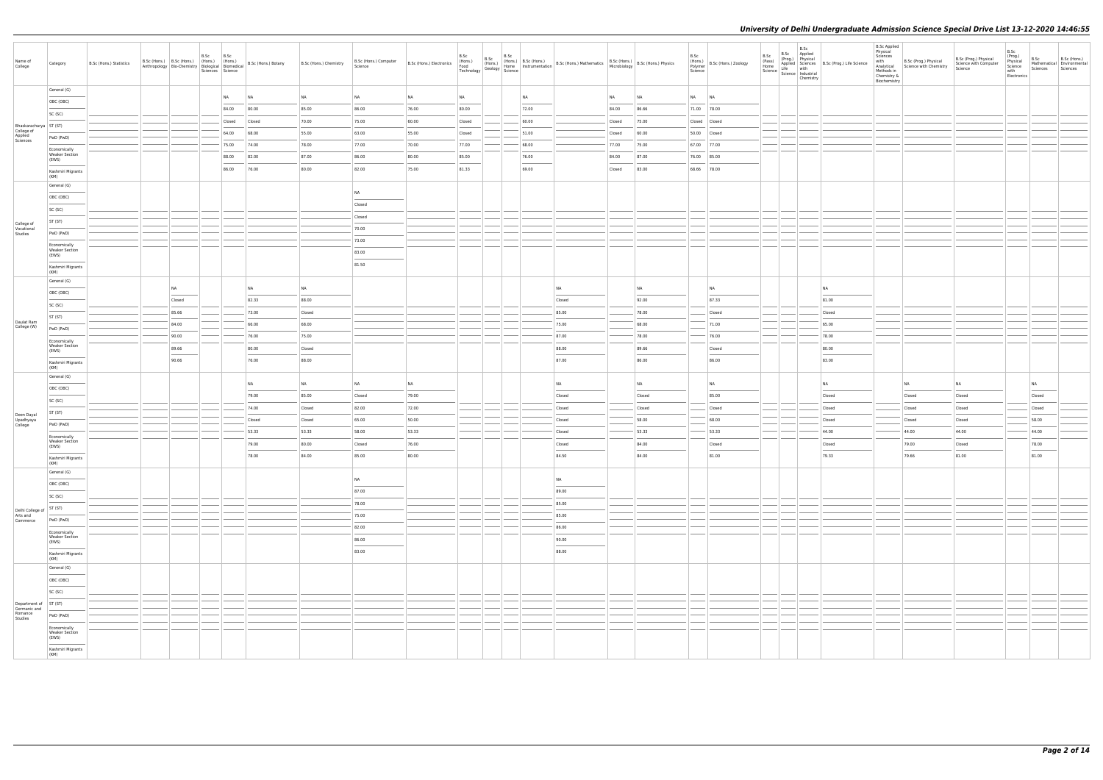|                                       |                                       |                         |                        |      |                          |                                                                                                                                                                                                                                                                                                                                                                                                                                                                                     |                        |                                  |                          |                                       |                                                                |       |                                                                                                                                                                                                                                                                                                                                                                                                                                                                                     |           |        |                            |                                                                                                         |                        |                                                                                                                |                                              | <b>B.Sc Applied</b>                                                                     |                                                 |                                                           |                                                               |                  |                                                        |
|---------------------------------------|---------------------------------------|-------------------------|------------------------|------|--------------------------|-------------------------------------------------------------------------------------------------------------------------------------------------------------------------------------------------------------------------------------------------------------------------------------------------------------------------------------------------------------------------------------------------------------------------------------------------------------------------------------|------------------------|----------------------------------|--------------------------|---------------------------------------|----------------------------------------------------------------|-------|-------------------------------------------------------------------------------------------------------------------------------------------------------------------------------------------------------------------------------------------------------------------------------------------------------------------------------------------------------------------------------------------------------------------------------------------------------------------------------------|-----------|--------|----------------------------|---------------------------------------------------------------------------------------------------------|------------------------|----------------------------------------------------------------------------------------------------------------|----------------------------------------------|-----------------------------------------------------------------------------------------|-------------------------------------------------|-----------------------------------------------------------|---------------------------------------------------------------|------------------|--------------------------------------------------------|
| Name of<br>College                    | Category                              | B.Sc (Hons.) Statistics |                        | B.Sc | B.Sc<br>Sciences Science | B.Sc (Hons.) B.Sc (Hons.) (Hons.) (Hons.) (Hons.) B.Sc (Hons.) Botany<br>Anthropology Bio-Chemistry Biological Biomedical B.Sc (Hons.) Botany                                                                                                                                                                                                                                                                                                                                       | B.Sc (Hons.) Chemistry | B.Sc (Hons.) Computer<br>Science | B.Sc (Hons.) Electronics | B.Sc<br>(Hons.)<br>Food<br>Technology | B.Sc<br>(Hons.)<br>$\frac{1}{2}$ Geology $\frac{1}{2}$ Science |       | B.Sc<br>(Hons.) B.Sc (Hons.)<br>Home Instrumentation B.Sc (Hons.) Mathematics B.Sc (Hons.) B.Sc (Hons.) Physics                                                                                                                                                                                                                                                                                                                                                                     |           |        | B.Sc<br>Polymer<br>Science | $\left  \begin{array}{c} 1.116 \\ (Hons.) \\ 0.116 \text{m/s} \end{array} \right $ B.Sc (Hons.) Zoology | B.Sc<br>(Pass)<br>Home | B.Sc<br>B.Sc Applied<br>(Prog.) Physical<br>Life with<br>Science   Lite<br>  Science   Industrial<br>Chemistry | Applied Sciences   B.Sc (Prog.) Life Science | Physical<br>Sciences<br>with<br>Analytical<br>Methods in<br>Chemistry &<br>Biochemistry | B.Sc (Prog.) Physical<br>Science with Chemistry | B.Sc (Prog.) Physical<br>Science with Computer<br>Science | B.Sc<br>(Prog.)<br>Physical<br>Science<br>with<br>Electronics | B.Sc<br>Sciences | B.Sc (Hons.)<br>Mathematical Environmental<br>Sciences |
|                                       | General (G)                           |                         |                        |      |                          |                                                                                                                                                                                                                                                                                                                                                                                                                                                                                     |                        |                                  |                          |                                       |                                                                |       |                                                                                                                                                                                                                                                                                                                                                                                                                                                                                     |           |        |                            |                                                                                                         |                        |                                                                                                                |                                              |                                                                                         |                                                 |                                                           |                                                               |                  |                                                        |
|                                       | OBC (OBC)                             |                         |                        |      | <b>NA</b>                | <b>NA</b>                                                                                                                                                                                                                                                                                                                                                                                                                                                                           | <b>NA</b>              | <b>NA</b>                        | <b>NA</b>                | <b>NA</b>                             |                                                                | NA    |                                                                                                                                                                                                                                                                                                                                                                                                                                                                                     | <b>NA</b> | NA     | NA NA                      |                                                                                                         |                        |                                                                                                                |                                              |                                                                                         |                                                 |                                                           |                                                               |                  |                                                        |
|                                       | SC (SC)                               |                         |                        |      | 84.00                    | 80.00                                                                                                                                                                                                                                                                                                                                                                                                                                                                               | 85.00                  | 86.00                            | 76.00                    | 80.00                                 |                                                                | 72.00 |                                                                                                                                                                                                                                                                                                                                                                                                                                                                                     | 84.00     | 86.66  | 71.00 78.00                |                                                                                                         |                        |                                                                                                                |                                              |                                                                                         |                                                 |                                                           |                                                               |                  |                                                        |
| Bhaskaracharya   ST (ST)              |                                       |                         |                        |      | Closed                   | Closed                                                                                                                                                                                                                                                                                                                                                                                                                                                                              | 70.00                  | 75.00                            | 60.00                    | Closed                                |                                                                | 60.00 |                                                                                                                                                                                                                                                                                                                                                                                                                                                                                     | Closed    | 75.00  | Closed Closed              |                                                                                                         |                        |                                                                                                                |                                              |                                                                                         |                                                 |                                                           |                                                               |                  |                                                        |
| College of<br>Applied<br>Sciences     | PwD (PwD)                             |                         |                        |      | 64.00                    | 68.00                                                                                                                                                                                                                                                                                                                                                                                                                                                                               | 55.00                  | 63.00                            | 55.00                    | Closed                                |                                                                | 51.00 |                                                                                                                                                                                                                                                                                                                                                                                                                                                                                     | Closed    | 60.00  | 50.00 Closed               |                                                                                                         |                        |                                                                                                                |                                              |                                                                                         |                                                 |                                                           |                                                               |                  |                                                        |
|                                       | Economically                          |                         |                        |      | 75.00                    | 74.00                                                                                                                                                                                                                                                                                                                                                                                                                                                                               | 78.00                  | 77.00                            | 70.00                    | 77.00                                 |                                                                | 68.00 |                                                                                                                                                                                                                                                                                                                                                                                                                                                                                     | 77.00     | 75.00  | 67.00 77.00                |                                                                                                         |                        |                                                                                                                |                                              |                                                                                         |                                                 |                                                           |                                                               |                  |                                                        |
|                                       | <b>Weaker Section</b><br>(EWS)        |                         |                        |      | 88.00                    | 82.00                                                                                                                                                                                                                                                                                                                                                                                                                                                                               | 87.00                  | 86.00                            | 80.00                    | 85.00                                 |                                                                | 76.00 |                                                                                                                                                                                                                                                                                                                                                                                                                                                                                     | 84.00     | 87.00  | 76.00 85.00                |                                                                                                         |                        |                                                                                                                |                                              |                                                                                         |                                                 |                                                           |                                                               |                  |                                                        |
|                                       | Kashmiri Migrants<br>(KM)             |                         |                        |      | 86.00                    | 76.00                                                                                                                                                                                                                                                                                                                                                                                                                                                                               | 80.00                  | 82.00                            | 75.00                    | 81.33                                 |                                                                | 69.00 |                                                                                                                                                                                                                                                                                                                                                                                                                                                                                     | Closed    | 83.00  | 68.66 78.00                |                                                                                                         |                        |                                                                                                                |                                              |                                                                                         |                                                 |                                                           |                                                               |                  |                                                        |
|                                       | General (G)                           |                         |                        |      |                          |                                                                                                                                                                                                                                                                                                                                                                                                                                                                                     |                        |                                  |                          |                                       |                                                                |       |                                                                                                                                                                                                                                                                                                                                                                                                                                                                                     |           |        |                            |                                                                                                         |                        |                                                                                                                |                                              |                                                                                         |                                                 |                                                           |                                                               |                  |                                                        |
|                                       | OBC (OBC)                             |                         |                        |      |                          |                                                                                                                                                                                                                                                                                                                                                                                                                                                                                     |                        | <b>NA</b><br>$\frac{1}{2}$       |                          |                                       |                                                                |       |                                                                                                                                                                                                                                                                                                                                                                                                                                                                                     |           |        |                            |                                                                                                         |                        |                                                                                                                |                                              |                                                                                         |                                                 |                                                           |                                                               |                  |                                                        |
|                                       | SC (SC)                               |                         |                        |      |                          |                                                                                                                                                                                                                                                                                                                                                                                                                                                                                     |                        | Closed                           |                          |                                       |                                                                |       |                                                                                                                                                                                                                                                                                                                                                                                                                                                                                     |           |        |                            |                                                                                                         |                        |                                                                                                                |                                              |                                                                                         |                                                 |                                                           |                                                               |                  |                                                        |
| College of                            | ST (ST)                               |                         |                        |      |                          |                                                                                                                                                                                                                                                                                                                                                                                                                                                                                     |                        | Closed                           |                          |                                       |                                                                |       |                                                                                                                                                                                                                                                                                                                                                                                                                                                                                     |           |        |                            |                                                                                                         |                        |                                                                                                                |                                              |                                                                                         |                                                 |                                                           |                                                               |                  |                                                        |
| Vocational<br>Studies                 | PwD (PwD)                             |                         |                        |      |                          |                                                                                                                                                                                                                                                                                                                                                                                                                                                                                     |                        | 70.00                            |                          |                                       |                                                                |       |                                                                                                                                                                                                                                                                                                                                                                                                                                                                                     |           |        |                            |                                                                                                         |                        |                                                                                                                |                                              |                                                                                         |                                                 |                                                           |                                                               |                  |                                                        |
|                                       | Economically                          |                         |                        |      |                          |                                                                                                                                                                                                                                                                                                                                                                                                                                                                                     |                        | 73.00                            |                          |                                       |                                                                |       |                                                                                                                                                                                                                                                                                                                                                                                                                                                                                     |           |        |                            |                                                                                                         |                        |                                                                                                                |                                              |                                                                                         |                                                 |                                                           |                                                               |                  |                                                        |
|                                       | <b>Weaker Section</b><br>(EWS)        |                         |                        |      |                          |                                                                                                                                                                                                                                                                                                                                                                                                                                                                                     |                        | 83.00                            |                          |                                       |                                                                |       |                                                                                                                                                                                                                                                                                                                                                                                                                                                                                     |           |        |                            |                                                                                                         |                        |                                                                                                                |                                              |                                                                                         |                                                 |                                                           |                                                               |                  |                                                        |
|                                       | Kashmiri Migrants<br>(KM)             |                         |                        |      |                          |                                                                                                                                                                                                                                                                                                                                                                                                                                                                                     |                        | 81.50                            |                          |                                       |                                                                |       |                                                                                                                                                                                                                                                                                                                                                                                                                                                                                     |           |        |                            |                                                                                                         |                        |                                                                                                                |                                              |                                                                                         |                                                 |                                                           |                                                               |                  |                                                        |
|                                       | General (G)                           |                         |                        |      |                          |                                                                                                                                                                                                                                                                                                                                                                                                                                                                                     |                        |                                  |                          |                                       |                                                                |       |                                                                                                                                                                                                                                                                                                                                                                                                                                                                                     |           |        |                            |                                                                                                         |                        |                                                                                                                |                                              |                                                                                         |                                                 |                                                           |                                                               |                  |                                                        |
|                                       | OBC (OBC)                             |                         | <b>NA</b>              |      |                          | <b>NA</b>                                                                                                                                                                                                                                                                                                                                                                                                                                                                           | NA                     |                                  |                          |                                       |                                                                |       | NA                                                                                                                                                                                                                                                                                                                                                                                                                                                                                  |           | NA     |                            | NA                                                                                                      |                        |                                                                                                                | <b>NA</b>                                    |                                                                                         |                                                 |                                                           |                                                               |                  |                                                        |
|                                       | SC (SC)                               |                         | Closed                 |      |                          | 82.33                                                                                                                                                                                                                                                                                                                                                                                                                                                                               | 88.00                  |                                  |                          |                                       |                                                                |       | Closed                                                                                                                                                                                                                                                                                                                                                                                                                                                                              |           | 92.00  |                            | 87.33                                                                                                   |                        |                                                                                                                | 81.00                                        |                                                                                         |                                                 |                                                           |                                                               |                  |                                                        |
|                                       | ST (ST)                               |                         | 85.66                  |      |                          | 73.00                                                                                                                                                                                                                                                                                                                                                                                                                                                                               | Closed                 |                                  |                          |                                       |                                                                |       | 85.00                                                                                                                                                                                                                                                                                                                                                                                                                                                                               |           | 78.00  |                            | Closed                                                                                                  |                        |                                                                                                                | Closed                                       |                                                                                         |                                                 |                                                           |                                                               |                  |                                                        |
| Daulat Ram<br>College (W)             | PwD (PwD)                             |                         | 84.00                  |      |                          | 66.00                                                                                                                                                                                                                                                                                                                                                                                                                                                                               | 68.00                  |                                  |                          |                                       |                                                                |       | 75.00                                                                                                                                                                                                                                                                                                                                                                                                                                                                               |           | 68.00  |                            | 71.00                                                                                                   |                        |                                                                                                                | 65.00                                        |                                                                                         |                                                 |                                                           |                                                               |                  |                                                        |
|                                       | Economically                          |                         | 90.00                  |      |                          | 76.00                                                                                                                                                                                                                                                                                                                                                                                                                                                                               | 75.00                  |                                  |                          |                                       |                                                                |       | 87.00                                                                                                                                                                                                                                                                                                                                                                                                                                                                               |           | 78.00  |                            | 76.00                                                                                                   |                        |                                                                                                                | 78.00                                        |                                                                                         |                                                 |                                                           |                                                               |                  |                                                        |
|                                       | <b>Weaker Section</b><br>(EWS)        |                         | 89.66<br>$\frac{1}{2}$ |      |                          | 80.00<br>$\frac{1}{2} \left( \frac{1}{2} \right) \left( \frac{1}{2} \right) \left( \frac{1}{2} \right) \left( \frac{1}{2} \right) \left( \frac{1}{2} \right) \left( \frac{1}{2} \right) \left( \frac{1}{2} \right) \left( \frac{1}{2} \right) \left( \frac{1}{2} \right) \left( \frac{1}{2} \right) \left( \frac{1}{2} \right) \left( \frac{1}{2} \right) \left( \frac{1}{2} \right) \left( \frac{1}{2} \right) \left( \frac{1}{2} \right) \left( \frac{1}{2} \right) \left( \frac$ | Closed                 |                                  |                          |                                       |                                                                |       | 88.00<br>$\frac{1}{2} \left( \frac{1}{2} \right) \left( \frac{1}{2} \right) \left( \frac{1}{2} \right) \left( \frac{1}{2} \right) \left( \frac{1}{2} \right) \left( \frac{1}{2} \right) \left( \frac{1}{2} \right) \left( \frac{1}{2} \right) \left( \frac{1}{2} \right) \left( \frac{1}{2} \right) \left( \frac{1}{2} \right) \left( \frac{1}{2} \right) \left( \frac{1}{2} \right) \left( \frac{1}{2} \right) \left( \frac{1}{2} \right) \left( \frac{1}{2} \right) \left( \frac$ |           | 89.66  |                            | Closed                                                                                                  |                        |                                                                                                                | 80.00<br>$\frac{1}{2}$                       |                                                                                         |                                                 |                                                           |                                                               |                  |                                                        |
|                                       | Kashmiri Migrants<br>(KM)             |                         | 90.66                  |      |                          | 76.00                                                                                                                                                                                                                                                                                                                                                                                                                                                                               | 88.00                  |                                  |                          |                                       |                                                                |       | 87.00                                                                                                                                                                                                                                                                                                                                                                                                                                                                               |           | 86.00  |                            | 86.00                                                                                                   |                        |                                                                                                                | 83.00                                        |                                                                                         |                                                 |                                                           |                                                               |                  |                                                        |
|                                       | General (G)                           |                         |                        |      |                          | <b>NA</b>                                                                                                                                                                                                                                                                                                                                                                                                                                                                           | <b>NA</b>              | <b>NA</b>                        | NA                       |                                       |                                                                |       | NA                                                                                                                                                                                                                                                                                                                                                                                                                                                                                  |           | NA     |                            | NA                                                                                                      |                        |                                                                                                                | <b>NA</b>                                    |                                                                                         | NA                                              | NA                                                        |                                                               | <b>NA</b>        |                                                        |
|                                       | OBC (OBC)                             |                         |                        |      |                          | 79.00                                                                                                                                                                                                                                                                                                                                                                                                                                                                               | 85.00                  | Closed                           | 79.00                    |                                       |                                                                |       | Closed                                                                                                                                                                                                                                                                                                                                                                                                                                                                              |           | Closed |                            | 85.00                                                                                                   |                        |                                                                                                                | Closed                                       |                                                                                         | Closed                                          | Closed                                                    |                                                               | Closed           |                                                        |
|                                       | SC (SC)                               |                         |                        |      |                          | 74.00                                                                                                                                                                                                                                                                                                                                                                                                                                                                               | Closed                 | 82.00                            | 72.00                    |                                       |                                                                |       | Closed                                                                                                                                                                                                                                                                                                                                                                                                                                                                              |           | Closed |                            | Closed                                                                                                  |                        |                                                                                                                | Closed                                       |                                                                                         | Closed                                          | Closed                                                    |                                                               | Closed           |                                                        |
| Deen Dayal                            | ST (ST)                               |                         |                        |      |                          | Closed                                                                                                                                                                                                                                                                                                                                                                                                                                                                              | Closed                 | 65.00                            | 50.00                    |                                       |                                                                |       | Closed                                                                                                                                                                                                                                                                                                                                                                                                                                                                              |           | 58.00  |                            | 68.00                                                                                                   |                        |                                                                                                                | Closed                                       |                                                                                         | Closed                                          | Closed                                                    |                                                               | 58.00            |                                                        |
| Upadhyaya<br>College                  | PwD (PwD)                             |                         |                        |      |                          | 53.33                                                                                                                                                                                                                                                                                                                                                                                                                                                                               | 53.33                  | 58.00                            | 53.33                    |                                       |                                                                |       | Closed                                                                                                                                                                                                                                                                                                                                                                                                                                                                              |           | 53.33  |                            | 53.33                                                                                                   |                        |                                                                                                                | 44.00                                        |                                                                                         | 44.00                                           | 44.00                                                     |                                                               | 44.00            |                                                        |
|                                       | Economically<br><b>Weaker Section</b> |                         |                        |      |                          | 79.00                                                                                                                                                                                                                                                                                                                                                                                                                                                                               | 80.00                  | Closed                           | 76.00                    |                                       |                                                                |       | Closed                                                                                                                                                                                                                                                                                                                                                                                                                                                                              |           | 84.00  |                            | Closed                                                                                                  |                        |                                                                                                                | Closed                                       |                                                                                         | 79.00                                           | Closed                                                    |                                                               | 78.00            |                                                        |
|                                       | (EWS)                                 |                         |                        |      |                          | 78.00                                                                                                                                                                                                                                                                                                                                                                                                                                                                               | 84.00                  | 85.00                            | 80.00                    |                                       |                                                                |       | 84.50                                                                                                                                                                                                                                                                                                                                                                                                                                                                               |           | 84.00  |                            | 81.00                                                                                                   |                        |                                                                                                                | 79.33                                        |                                                                                         | 79.66                                           | 81.00                                                     |                                                               | 81.00            |                                                        |
|                                       | Kashmiri Migrants<br>(KM)             |                         |                        |      |                          |                                                                                                                                                                                                                                                                                                                                                                                                                                                                                     |                        |                                  |                          |                                       |                                                                |       |                                                                                                                                                                                                                                                                                                                                                                                                                                                                                     |           |        |                            |                                                                                                         |                        |                                                                                                                |                                              |                                                                                         |                                                 |                                                           |                                                               |                  |                                                        |
|                                       | General (G)                           |                         |                        |      |                          |                                                                                                                                                                                                                                                                                                                                                                                                                                                                                     |                        | <b>NA</b>                        |                          |                                       |                                                                |       | <b>NA</b>                                                                                                                                                                                                                                                                                                                                                                                                                                                                           |           |        |                            |                                                                                                         |                        |                                                                                                                |                                              |                                                                                         |                                                 |                                                           |                                                               |                  |                                                        |
|                                       | OBC (OBC)                             |                         |                        |      |                          |                                                                                                                                                                                                                                                                                                                                                                                                                                                                                     |                        | $\sim$<br>87.00                  |                          |                                       |                                                                |       | 89.00                                                                                                                                                                                                                                                                                                                                                                                                                                                                               |           |        |                            |                                                                                                         |                        |                                                                                                                |                                              |                                                                                         |                                                 |                                                           |                                                               |                  |                                                        |
|                                       | SC (SC)                               |                         |                        |      |                          |                                                                                                                                                                                                                                                                                                                                                                                                                                                                                     |                        | 78.00                            |                          |                                       |                                                                |       | 85.00                                                                                                                                                                                                                                                                                                                                                                                                                                                                               |           |        |                            |                                                                                                         |                        |                                                                                                                |                                              |                                                                                         |                                                 |                                                           |                                                               |                  |                                                        |
| Delhi College of<br>Arts and          | ST (ST)                               |                         |                        |      |                          |                                                                                                                                                                                                                                                                                                                                                                                                                                                                                     |                        | 75.00                            |                          |                                       |                                                                |       | 85.00                                                                                                                                                                                                                                                                                                                                                                                                                                                                               |           |        |                            |                                                                                                         |                        |                                                                                                                |                                              |                                                                                         |                                                 |                                                           |                                                               |                  |                                                        |
| Commerce                              | PwD (PwD)                             |                         |                        |      |                          |                                                                                                                                                                                                                                                                                                                                                                                                                                                                                     |                        | 82.00                            |                          |                                       |                                                                |       | 86.00                                                                                                                                                                                                                                                                                                                                                                                                                                                                               |           |        |                            |                                                                                                         |                        |                                                                                                                |                                              |                                                                                         |                                                 |                                                           |                                                               |                  |                                                        |
|                                       | Economically<br><b>Weaker Section</b> |                         |                        |      |                          |                                                                                                                                                                                                                                                                                                                                                                                                                                                                                     |                        | 86.00                            |                          |                                       |                                                                |       | 90.00                                                                                                                                                                                                                                                                                                                                                                                                                                                                               |           |        |                            |                                                                                                         |                        |                                                                                                                |                                              |                                                                                         |                                                 |                                                           |                                                               |                  |                                                        |
|                                       | (EWS)                                 |                         |                        |      |                          |                                                                                                                                                                                                                                                                                                                                                                                                                                                                                     |                        | 83.00                            |                          |                                       |                                                                |       | 88.00                                                                                                                                                                                                                                                                                                                                                                                                                                                                               |           |        |                            |                                                                                                         |                        |                                                                                                                |                                              |                                                                                         |                                                 |                                                           |                                                               |                  |                                                        |
|                                       | Kashmiri Migrants<br>(KM)             |                         |                        |      |                          |                                                                                                                                                                                                                                                                                                                                                                                                                                                                                     |                        |                                  |                          |                                       |                                                                |       |                                                                                                                                                                                                                                                                                                                                                                                                                                                                                     |           |        |                            |                                                                                                         |                        |                                                                                                                |                                              |                                                                                         |                                                 |                                                           |                                                               |                  |                                                        |
|                                       | General (G)                           |                         |                        |      |                          |                                                                                                                                                                                                                                                                                                                                                                                                                                                                                     |                        |                                  |                          |                                       |                                                                |       |                                                                                                                                                                                                                                                                                                                                                                                                                                                                                     |           |        |                            |                                                                                                         |                        |                                                                                                                |                                              |                                                                                         |                                                 |                                                           |                                                               |                  |                                                        |
|                                       | OBC (OBC)                             |                         |                        |      |                          |                                                                                                                                                                                                                                                                                                                                                                                                                                                                                     |                        |                                  |                          |                                       |                                                                |       |                                                                                                                                                                                                                                                                                                                                                                                                                                                                                     |           |        |                            |                                                                                                         |                        |                                                                                                                |                                              |                                                                                         |                                                 |                                                           |                                                               |                  |                                                        |
|                                       | SC (SC)                               |                         |                        |      |                          |                                                                                                                                                                                                                                                                                                                                                                                                                                                                                     |                        |                                  |                          |                                       |                                                                |       |                                                                                                                                                                                                                                                                                                                                                                                                                                                                                     |           |        |                            |                                                                                                         |                        |                                                                                                                |                                              |                                                                                         |                                                 |                                                           |                                                               |                  |                                                        |
| Department of ST (ST)<br>Germanic and |                                       |                         |                        |      |                          |                                                                                                                                                                                                                                                                                                                                                                                                                                                                                     |                        |                                  |                          |                                       |                                                                |       |                                                                                                                                                                                                                                                                                                                                                                                                                                                                                     |           |        |                            |                                                                                                         |                        |                                                                                                                |                                              |                                                                                         |                                                 |                                                           |                                                               |                  |                                                        |
| Romance<br>Studies                    | PwD (PwD)                             |                         |                        |      |                          |                                                                                                                                                                                                                                                                                                                                                                                                                                                                                     |                        |                                  |                          |                                       |                                                                |       |                                                                                                                                                                                                                                                                                                                                                                                                                                                                                     |           |        |                            |                                                                                                         |                        |                                                                                                                |                                              |                                                                                         |                                                 |                                                           |                                                               |                  |                                                        |
|                                       | Economically<br><b>Weaker Section</b> |                         |                        |      |                          |                                                                                                                                                                                                                                                                                                                                                                                                                                                                                     |                        |                                  |                          |                                       |                                                                |       |                                                                                                                                                                                                                                                                                                                                                                                                                                                                                     |           |        |                            |                                                                                                         |                        |                                                                                                                |                                              |                                                                                         |                                                 |                                                           |                                                               |                  |                                                        |
|                                       | (EWS)<br>Kashmiri Migrants            |                         |                        |      |                          |                                                                                                                                                                                                                                                                                                                                                                                                                                                                                     |                        |                                  |                          |                                       |                                                                |       |                                                                                                                                                                                                                                                                                                                                                                                                                                                                                     |           |        |                            |                                                                                                         |                        |                                                                                                                |                                              |                                                                                         |                                                 |                                                           |                                                               |                  |                                                        |
|                                       | (KM)                                  |                         |                        |      |                          |                                                                                                                                                                                                                                                                                                                                                                                                                                                                                     |                        |                                  |                          |                                       |                                                                |       |                                                                                                                                                                                                                                                                                                                                                                                                                                                                                     |           |        |                            |                                                                                                         |                        |                                                                                                                |                                              |                                                                                         |                                                 |                                                           |                                                               |                  |                                                        |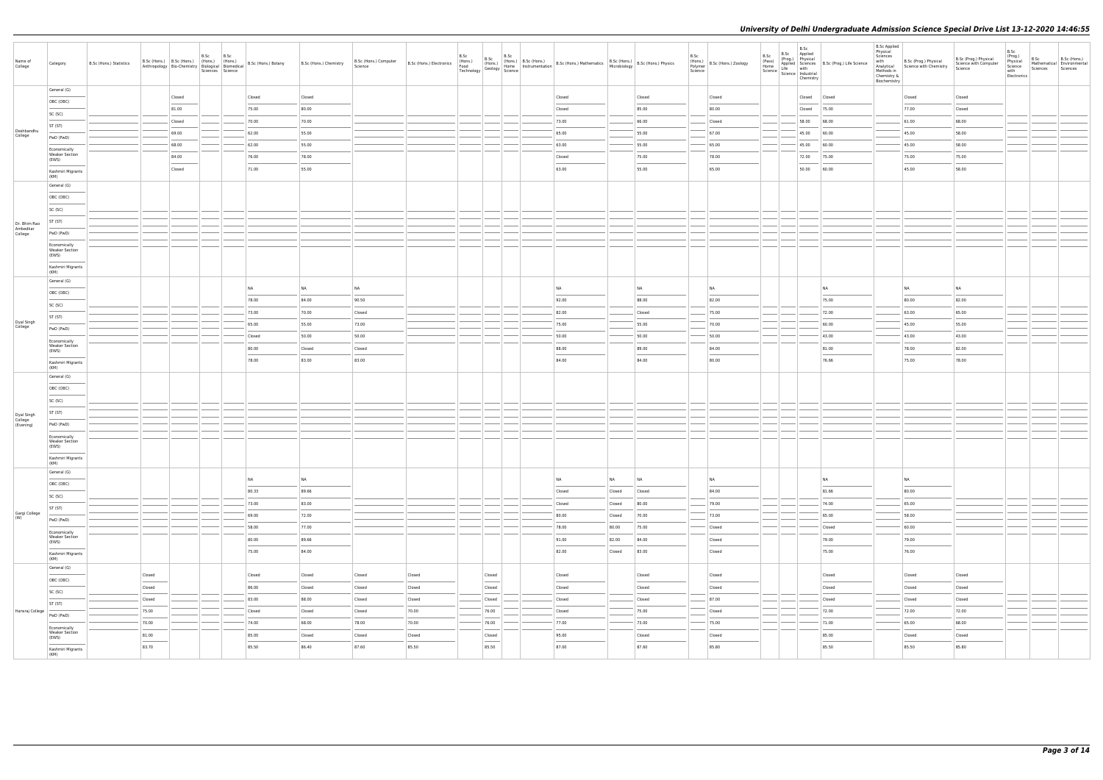|                       |                                                |                         |        |                 |           |                  |                |                                                                                                                                                        |                                  |                                                |      |                                                                                                                                                                                                                                                                                                                                                                                                                                                                                     |  |                                                                                                                                                                   |                 |                |      |                                                    |                |                                                                                                          |                |                                            | <b>B.Sc Applied</b>                                                       |                                                            |                                                           |                                                               |                  |                                                        |
|-----------------------|------------------------------------------------|-------------------------|--------|-----------------|-----------|------------------|----------------|--------------------------------------------------------------------------------------------------------------------------------------------------------|----------------------------------|------------------------------------------------|------|-------------------------------------------------------------------------------------------------------------------------------------------------------------------------------------------------------------------------------------------------------------------------------------------------------------------------------------------------------------------------------------------------------------------------------------------------------------------------------------|--|-------------------------------------------------------------------------------------------------------------------------------------------------------------------|-----------------|----------------|------|----------------------------------------------------|----------------|----------------------------------------------------------------------------------------------------------|----------------|--------------------------------------------|---------------------------------------------------------------------------|------------------------------------------------------------|-----------------------------------------------------------|---------------------------------------------------------------|------------------|--------------------------------------------------------|
| Name of<br>College    | Category                                       | B.Sc (Hons.) Statistics |        |                 | B.Sc B.Sc | Sciences Science |                | Anthropology Bio-Chemistry   (Hons.)   (Hons.)   B.Sc (Hons.) Botany   B.Sc (Hons.) Chemistry   Anthropology   Bio-Chemistry   Biological   Biomedical | B.Sc (Hons.) Computer<br>Science | B.Sc (Hons.) Electronics<br>Food<br>Technology | B.Sc | B.Sc<br>B.Sc<br>Any (Hons.)<br>Geology Home<br>Science                                                                                                                                                                                                                                                                                                                                                                                                                              |  | Homs.) B.Sc (Hons.) B.Sc (Hons.) Mathematics B.Sc (Hons.) B.Sc (Hons.) Physics<br>Home Instrumentation B.Sc (Hons.) Mathematics Microbiology B.Sc (Hons.) Physics |                 |                | B.Sc | (Hons.)<br>Polymer B.Sc (Hons.) Zoology<br>Science | B.Sc<br>(Pass) | B.Sc<br>B.Sc Applied<br>(Prog.) Physical<br>Home<br>Science Life with<br>Science Industrial<br>Chemistry |                | Applied Sciences B.Sc (Prog.) Life Science | Physical<br>Sciences<br>with<br>Methods in<br>Chemistry &<br>Biochemistry | B.Sc (Prog.) Physical<br>Analytical Science with Chemistry | B.Sc (Prog.) Physical<br>Science with Computer<br>Science | B.Sc<br>(Prog.)<br>Physical<br>Science<br>with<br>Electronics | B.Sc<br>Sciences | B.Sc (Hons.)<br>Mathematical Environmental<br>Sciences |
|                       | General (G)                                    |                         |        | Closed          |           |                  | Closed         | Closed                                                                                                                                                 |                                  |                                                |      |                                                                                                                                                                                                                                                                                                                                                                                                                                                                                     |  | Closed                                                                                                                                                            |                 | Closed         |      | Closed                                             |                | Closed                                                                                                   | Closed         |                                            |                                                                           | Closed                                                     | Closed                                                    |                                                               |                  |                                                        |
|                       | OBC (OBC)                                      |                         |        | 81.00           |           |                  | 75.00          | 80.00                                                                                                                                                  |                                  |                                                |      |                                                                                                                                                                                                                                                                                                                                                                                                                                                                                     |  | Closed                                                                                                                                                            |                 | 85.00          |      | 80.00                                              |                | Closed                                                                                                   | 75.00          |                                            |                                                                           | 77.00                                                      | Closed                                                    |                                                               |                  |                                                        |
|                       | SC (SC)                                        |                         |        |                 |           |                  |                |                                                                                                                                                        |                                  |                                                |      |                                                                                                                                                                                                                                                                                                                                                                                                                                                                                     |  |                                                                                                                                                                   |                 | 66.00          |      |                                                    |                | 58.00                                                                                                    |                |                                            |                                                                           | 61.00                                                      | 68.00                                                     |                                                               |                  |                                                        |
| Deshbandhu            | ST (ST)                                        |                         |        | Closed          |           |                  | 70.00          | 70.00                                                                                                                                                  |                                  |                                                |      |                                                                                                                                                                                                                                                                                                                                                                                                                                                                                     |  | 73.00                                                                                                                                                             |                 |                |      | Closed                                             |                |                                                                                                          | 68.00          |                                            |                                                                           |                                                            |                                                           |                                                               |                  |                                                        |
| College               | PwD (PwD)                                      |                         |        | 69.00           |           |                  | 62.00          | 55.00                                                                                                                                                  |                                  |                                                |      |                                                                                                                                                                                                                                                                                                                                                                                                                                                                                     |  | 65.00                                                                                                                                                             |                 | 55.00          |      | 67.00                                              |                | 45.00                                                                                                    | 60.00          |                                            |                                                                           | 45.00                                                      | 58.00                                                     |                                                               |                  |                                                        |
|                       | Economically<br><b>Weaker Section</b>          |                         |        | 68.00           |           |                  | 62.00          | 55.00                                                                                                                                                  |                                  |                                                |      |                                                                                                                                                                                                                                                                                                                                                                                                                                                                                     |  | 63.00                                                                                                                                                             |                 | 55.00          |      | 65.00                                              |                | 45.00                                                                                                    | 60.00          |                                            |                                                                           | 45.00                                                      | 58.00                                                     |                                                               |                  |                                                        |
|                       | (EWS)<br>Kashmiri Migrants                     |                         |        | 84.00<br>Closed |           |                  | 76.00<br>71.00 | 78.00<br>55.00                                                                                                                                         |                                  |                                                |      |                                                                                                                                                                                                                                                                                                                                                                                                                                                                                     |  | Closed<br>63.00                                                                                                                                                   |                 | 75.00<br>55.00 |      | 78.00<br>65.00                                     |                | 72.00<br>50.00                                                                                           | 75.00<br>60.00 |                                            |                                                                           | 75.00<br>45.00                                             | 75.00<br>58.00                                            |                                                               |                  |                                                        |
|                       | (KM)                                           |                         |        |                 |           |                  |                |                                                                                                                                                        |                                  |                                                |      |                                                                                                                                                                                                                                                                                                                                                                                                                                                                                     |  |                                                                                                                                                                   |                 |                |      |                                                    |                |                                                                                                          |                |                                            |                                                                           |                                                            |                                                           |                                                               |                  |                                                        |
|                       | General (G)                                    |                         |        |                 |           |                  |                |                                                                                                                                                        |                                  |                                                |      |                                                                                                                                                                                                                                                                                                                                                                                                                                                                                     |  |                                                                                                                                                                   |                 |                |      |                                                    |                |                                                                                                          |                |                                            |                                                                           |                                                            |                                                           |                                                               |                  |                                                        |
|                       | OBC (OBC)                                      |                         |        |                 |           |                  |                |                                                                                                                                                        |                                  |                                                |      |                                                                                                                                                                                                                                                                                                                                                                                                                                                                                     |  |                                                                                                                                                                   |                 |                |      |                                                    |                |                                                                                                          |                |                                            |                                                                           |                                                            |                                                           |                                                               |                  |                                                        |
|                       | SC (SC)                                        |                         |        |                 |           |                  |                |                                                                                                                                                        |                                  |                                                |      |                                                                                                                                                                                                                                                                                                                                                                                                                                                                                     |  |                                                                                                                                                                   |                 |                |      |                                                    |                |                                                                                                          |                |                                            |                                                                           |                                                            |                                                           |                                                               |                  |                                                        |
| Dr. Bhim Rao          | ST (ST)                                        |                         |        |                 |           |                  |                |                                                                                                                                                        |                                  |                                                |      |                                                                                                                                                                                                                                                                                                                                                                                                                                                                                     |  |                                                                                                                                                                   |                 |                |      |                                                    |                |                                                                                                          |                |                                            |                                                                           |                                                            |                                                           |                                                               |                  |                                                        |
| Ambedkar<br>College   | PwD (PwD)                                      |                         |        |                 |           |                  |                |                                                                                                                                                        |                                  |                                                |      |                                                                                                                                                                                                                                                                                                                                                                                                                                                                                     |  |                                                                                                                                                                   |                 |                |      |                                                    |                |                                                                                                          |                |                                            |                                                                           |                                                            |                                                           |                                                               |                  |                                                        |
|                       | Economically<br><b>Weaker Section</b><br>(EWS) |                         |        |                 |           |                  |                |                                                                                                                                                        |                                  |                                                |      |                                                                                                                                                                                                                                                                                                                                                                                                                                                                                     |  |                                                                                                                                                                   |                 |                |      |                                                    |                |                                                                                                          |                |                                            |                                                                           |                                                            |                                                           |                                                               |                  |                                                        |
|                       | Kashmiri Migrants<br>(KM)                      |                         |        |                 |           |                  |                |                                                                                                                                                        |                                  |                                                |      |                                                                                                                                                                                                                                                                                                                                                                                                                                                                                     |  |                                                                                                                                                                   |                 |                |      |                                                    |                |                                                                                                          |                |                                            |                                                                           |                                                            |                                                           |                                                               |                  |                                                        |
|                       | General (G)                                    |                         |        |                 |           |                  |                |                                                                                                                                                        |                                  |                                                |      |                                                                                                                                                                                                                                                                                                                                                                                                                                                                                     |  |                                                                                                                                                                   |                 |                |      |                                                    |                |                                                                                                          |                |                                            |                                                                           |                                                            |                                                           |                                                               |                  |                                                        |
|                       | OBC (OBC)                                      |                         |        |                 |           |                  | NA             | NA                                                                                                                                                     | <b>NA</b>                        |                                                |      |                                                                                                                                                                                                                                                                                                                                                                                                                                                                                     |  | NA                                                                                                                                                                | NA              |                |      | NA                                                 |                |                                                                                                          | NA             |                                            |                                                                           | NA                                                         | NA                                                        |                                                               |                  |                                                        |
|                       | SC (SC)                                        |                         |        |                 |           |                  | 78.00          | 84.00                                                                                                                                                  | 90.50                            |                                                |      |                                                                                                                                                                                                                                                                                                                                                                                                                                                                                     |  | 92.00                                                                                                                                                             |                 | 88.00          |      | 82.00                                              |                |                                                                                                          | 75.00          |                                            |                                                                           | 80.00                                                      | 82.00                                                     |                                                               |                  |                                                        |
|                       | ST (ST)                                        |                         |        |                 |           |                  | 73.00          | 70.00                                                                                                                                                  | Closed                           |                                                |      |                                                                                                                                                                                                                                                                                                                                                                                                                                                                                     |  | 82.00                                                                                                                                                             |                 | Closed         |      | 75.00                                              |                |                                                                                                          | 72.00          |                                            |                                                                           | 63.00                                                      | 65.00                                                     |                                                               |                  |                                                        |
| Dyal Singh<br>College | PwD (PwD)                                      |                         |        |                 |           |                  | 65.00          | 55.00                                                                                                                                                  | 73.00                            |                                                |      |                                                                                                                                                                                                                                                                                                                                                                                                                                                                                     |  | 75.00                                                                                                                                                             |                 | 55.00          |      | 70.00                                              |                |                                                                                                          | 60.00          |                                            |                                                                           | 45.00                                                      | 55.00                                                     |                                                               |                  |                                                        |
|                       | Economically                                   |                         |        |                 |           |                  | Closed         | 50.00                                                                                                                                                  | 50.00                            |                                                |      |                                                                                                                                                                                                                                                                                                                                                                                                                                                                                     |  | 50.00                                                                                                                                                             |                 | 50.00          |      | 50.00                                              |                |                                                                                                          | 43.00          |                                            |                                                                           | 43.00                                                      | 43.00                                                     |                                                               |                  |                                                        |
|                       | <b>Weaker Section</b><br>(EWS)                 |                         |        |                 |           |                  | 80.00          | Closed                                                                                                                                                 | Closed                           |                                                |      |                                                                                                                                                                                                                                                                                                                                                                                                                                                                                     |  | 88.00                                                                                                                                                             |                 | 89.00          |      | 84.00                                              |                |                                                                                                          | 81.00          |                                            |                                                                           | 78.00                                                      | 82.00                                                     |                                                               |                  |                                                        |
|                       | Kashmiri Migrants<br>(KM)                      |                         |        |                 |           |                  | 78.00          | 83.00                                                                                                                                                  | 83.00                            |                                                |      |                                                                                                                                                                                                                                                                                                                                                                                                                                                                                     |  | 84.00                                                                                                                                                             |                 | 84.00          |      | 80.00                                              |                |                                                                                                          | 76.66          |                                            |                                                                           | 75.00                                                      | 78.00                                                     |                                                               |                  |                                                        |
|                       | General (G)                                    |                         |        |                 |           |                  |                |                                                                                                                                                        |                                  |                                                |      |                                                                                                                                                                                                                                                                                                                                                                                                                                                                                     |  |                                                                                                                                                                   |                 |                |      |                                                    |                |                                                                                                          |                |                                            |                                                                           |                                                            |                                                           |                                                               |                  |                                                        |
|                       | OBC (OBC)                                      |                         |        |                 |           |                  |                |                                                                                                                                                        |                                  |                                                |      |                                                                                                                                                                                                                                                                                                                                                                                                                                                                                     |  |                                                                                                                                                                   |                 |                |      |                                                    |                |                                                                                                          |                |                                            |                                                                           |                                                            |                                                           |                                                               |                  |                                                        |
|                       | SC (SC)                                        |                         |        |                 |           |                  |                |                                                                                                                                                        |                                  |                                                |      |                                                                                                                                                                                                                                                                                                                                                                                                                                                                                     |  |                                                                                                                                                                   |                 |                |      |                                                    |                |                                                                                                          |                |                                            |                                                                           |                                                            |                                                           |                                                               |                  |                                                        |
| Dyal Singh<br>College | ST (ST)                                        |                         |        |                 |           |                  |                |                                                                                                                                                        |                                  |                                                |      |                                                                                                                                                                                                                                                                                                                                                                                                                                                                                     |  |                                                                                                                                                                   |                 |                |      |                                                    |                |                                                                                                          |                |                                            |                                                                           |                                                            |                                                           |                                                               |                  |                                                        |
| (Evening)             | PwD (PwD)                                      |                         |        |                 |           |                  |                |                                                                                                                                                        |                                  |                                                |      |                                                                                                                                                                                                                                                                                                                                                                                                                                                                                     |  |                                                                                                                                                                   |                 |                |      |                                                    |                |                                                                                                          |                |                                            |                                                                           |                                                            |                                                           |                                                               |                  |                                                        |
|                       | Economically<br><b>Weaker Section</b><br>(EWS) |                         |        |                 |           |                  |                |                                                                                                                                                        |                                  |                                                |      |                                                                                                                                                                                                                                                                                                                                                                                                                                                                                     |  |                                                                                                                                                                   |                 |                |      |                                                    |                |                                                                                                          |                |                                            |                                                                           |                                                            |                                                           |                                                               |                  |                                                        |
|                       | Kashmiri Migrants<br>(KM)                      |                         |        |                 |           |                  |                |                                                                                                                                                        |                                  |                                                |      |                                                                                                                                                                                                                                                                                                                                                                                                                                                                                     |  |                                                                                                                                                                   |                 |                |      |                                                    |                |                                                                                                          |                |                                            |                                                                           |                                                            |                                                           |                                                               |                  |                                                        |
|                       | General (G)                                    |                         |        |                 |           |                  |                |                                                                                                                                                        |                                  |                                                |      |                                                                                                                                                                                                                                                                                                                                                                                                                                                                                     |  |                                                                                                                                                                   |                 |                |      |                                                    |                |                                                                                                          |                |                                            |                                                                           |                                                            |                                                           |                                                               |                  |                                                        |
|                       | OBC (OBC)                                      |                         |        |                 |           |                  | NA             | <b>NA</b>                                                                                                                                              |                                  |                                                |      |                                                                                                                                                                                                                                                                                                                                                                                                                                                                                     |  | NA                                                                                                                                                                | <b>NA</b><br>NA |                |      | <b>NA</b>                                          |                |                                                                                                          | NA             |                                            |                                                                           | NA                                                         |                                                           |                                                               |                  |                                                        |
|                       | SC (SC)                                        |                         |        |                 |           |                  | 80.33          | 89.66                                                                                                                                                  |                                  |                                                |      |                                                                                                                                                                                                                                                                                                                                                                                                                                                                                     |  | Closed                                                                                                                                                            | Closed          | Closed         |      | 84.00                                              |                |                                                                                                          | 81.66          |                                            |                                                                           | 80.00                                                      |                                                           |                                                               |                  |                                                        |
|                       | ST (ST)                                        |                         |        |                 |           |                  | 73.00          | 83.00                                                                                                                                                  |                                  |                                                |      |                                                                                                                                                                                                                                                                                                                                                                                                                                                                                     |  | Closed                                                                                                                                                            | Closed          | 80.00          |      | 79.00                                              |                |                                                                                                          | 74.00          |                                            |                                                                           | 65.00                                                      |                                                           |                                                               |                  |                                                        |
| Gargi College<br>(W)  | PwD (PwD)                                      |                         |        |                 |           |                  | 69.00          | 72.00                                                                                                                                                  |                                  |                                                |      |                                                                                                                                                                                                                                                                                                                                                                                                                                                                                     |  | 80.00                                                                                                                                                             | Closed          | 70.00          |      | 73.00                                              |                |                                                                                                          | 65.00          |                                            |                                                                           | 58.00                                                      |                                                           |                                                               |                  |                                                        |
|                       | Economically                                   |                         |        |                 |           |                  | 58.00          | 77.00                                                                                                                                                  |                                  |                                                |      |                                                                                                                                                                                                                                                                                                                                                                                                                                                                                     |  | 78.00                                                                                                                                                             | 80.00           | 75.00          |      | Closed                                             |                |                                                                                                          | Closed         |                                            |                                                                           | 60.00                                                      |                                                           |                                                               |                  |                                                        |
|                       | <b>Weaker Section</b><br>(EWS)                 |                         |        |                 |           |                  | 80.00          | 89.66                                                                                                                                                  |                                  |                                                |      |                                                                                                                                                                                                                                                                                                                                                                                                                                                                                     |  | 91.00                                                                                                                                                             | 82.00           | 84.00          |      | Closed                                             |                |                                                                                                          | 79.00          |                                            |                                                                           | 79.00                                                      |                                                           |                                                               |                  |                                                        |
|                       | Kashmiri Migrants                              |                         |        |                 |           |                  | 75.00          | 84.00                                                                                                                                                  |                                  |                                                |      |                                                                                                                                                                                                                                                                                                                                                                                                                                                                                     |  | 82.00                                                                                                                                                             | Closed          | 83.00          |      | Closed                                             |                |                                                                                                          | 75.00          |                                            |                                                                           | 76.00                                                      |                                                           |                                                               |                  |                                                        |
|                       | (KM)<br>General (G)                            |                         |        |                 |           |                  |                |                                                                                                                                                        |                                  |                                                |      |                                                                                                                                                                                                                                                                                                                                                                                                                                                                                     |  |                                                                                                                                                                   |                 |                |      |                                                    |                |                                                                                                          |                |                                            |                                                                           |                                                            |                                                           |                                                               |                  |                                                        |
|                       |                                                |                         | Closed |                 |           |                  | Closed         | Closed                                                                                                                                                 | Closed                           | Closed                                         |      | Closed                                                                                                                                                                                                                                                                                                                                                                                                                                                                              |  | Closed                                                                                                                                                            |                 | Closed         |      | Closed                                             |                |                                                                                                          | Closed         |                                            |                                                                           | Closed                                                     | Closed                                                    |                                                               |                  |                                                        |
|                       | OBC (OBC)                                      |                         | Closed |                 |           |                  | 86.00          | Closed                                                                                                                                                 | Closed                           | Closed                                         |      | Closed                                                                                                                                                                                                                                                                                                                                                                                                                                                                              |  | Closed                                                                                                                                                            |                 | Closed         |      | Closed                                             |                |                                                                                                          | Closed         |                                            |                                                                           | Closed                                                     | Closed                                                    |                                                               |                  |                                                        |
|                       | SC (SC)                                        |                         | Closed |                 |           |                  | 83.00          | 88.00                                                                                                                                                  | Closed                           | Closed                                         |      | Closed                                                                                                                                                                                                                                                                                                                                                                                                                                                                              |  | Closed                                                                                                                                                            |                 | Closed         |      | 87.00                                              |                |                                                                                                          | Closed         |                                            |                                                                           | Closed                                                     | Closed                                                    |                                                               |                  |                                                        |
| Hansraj College       | ST (ST)                                        |                         | 75.00  |                 |           |                  | Closed         | Closed                                                                                                                                                 | Closed                           | 70.00                                          |      | 76.00                                                                                                                                                                                                                                                                                                                                                                                                                                                                               |  | Closed                                                                                                                                                            |                 | 75.00          |      | Closed                                             |                |                                                                                                          | 72.00          |                                            |                                                                           | 72.00                                                      | 72.00                                                     |                                                               |                  |                                                        |
|                       | PwD (PwD)                                      |                         | 70.00  |                 |           |                  | 74.00          | 68.00                                                                                                                                                  | 78.00                            | 70.00                                          |      | 76.00                                                                                                                                                                                                                                                                                                                                                                                                                                                                               |  | 77.00                                                                                                                                                             |                 | 73.00          |      | 75.00                                              |                |                                                                                                          | 71.00          |                                            |                                                                           | 65.00                                                      | 68.00                                                     |                                                               |                  |                                                        |
|                       | Economically<br><b>Weaker Section</b>          |                         | 81.00  |                 |           |                  | 85.00          | Closed                                                                                                                                                 | Closed                           | Closed                                         |      | Closed                                                                                                                                                                                                                                                                                                                                                                                                                                                                              |  | 95.00                                                                                                                                                             |                 | Closed         |      | Closed                                             |                |                                                                                                          | 85.00          |                                            |                                                                           | Closed                                                     | Closed                                                    |                                                               |                  |                                                        |
|                       | (EWS)<br>Kashmiri Migrants                     |                         | 83.70  |                 |           |                  | 85.50          | 86.40                                                                                                                                                  | 87.60                            | 85.50                                          |      | $\frac{1}{2} \left( \frac{1}{2} \right) \left( \frac{1}{2} \right) \left( \frac{1}{2} \right) \left( \frac{1}{2} \right) \left( \frac{1}{2} \right) \left( \frac{1}{2} \right) \left( \frac{1}{2} \right) \left( \frac{1}{2} \right) \left( \frac{1}{2} \right) \left( \frac{1}{2} \right) \left( \frac{1}{2} \right) \left( \frac{1}{2} \right) \left( \frac{1}{2} \right) \left( \frac{1}{2} \right) \left( \frac{1}{2} \right) \left( \frac{1}{2} \right) \left( \frac$<br>85.50 |  | 87.00                                                                                                                                                             |                 | 87.60          |      | 85.80                                              |                |                                                                                                          | 85.50          |                                            |                                                                           | 85.50                                                      | 85.80                                                     |                                                               |                  |                                                        |
|                       | (KM)                                           |                         |        |                 |           |                  |                |                                                                                                                                                        |                                  |                                                |      |                                                                                                                                                                                                                                                                                                                                                                                                                                                                                     |  |                                                                                                                                                                   |                 |                |      |                                                    |                |                                                                                                          |                |                                            |                                                                           |                                                            |                                                           |                                                               |                  |                                                        |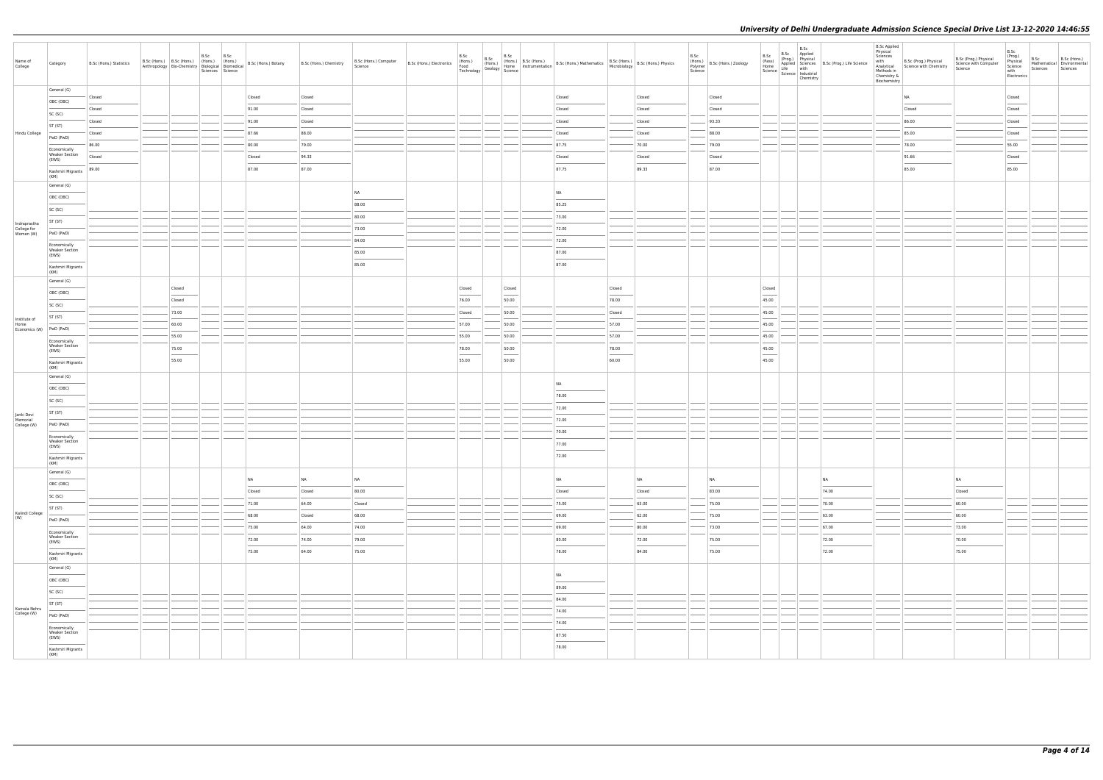|                             |                                       |                         |                                           |                  |      |                          |                                                                                                                                                                                                                                                                                                                                                                                                                                                                  |                        |                                  |                 |                                            |                                                                                                                                                                                                                           |                                   |        |                            |                                 | B.Sc                                                                                                                       |                                            | <b>B.Sc Applied</b><br>Physical |                                                                          |                                                           | B.Sc                                                  |                                                |                          |
|-----------------------------|---------------------------------------|-------------------------|-------------------------------------------|------------------|------|--------------------------|------------------------------------------------------------------------------------------------------------------------------------------------------------------------------------------------------------------------------------------------------------------------------------------------------------------------------------------------------------------------------------------------------------------------------------------------------------------|------------------------|----------------------------------|-----------------|--------------------------------------------|---------------------------------------------------------------------------------------------------------------------------------------------------------------------------------------------------------------------------|-----------------------------------|--------|----------------------------|---------------------------------|----------------------------------------------------------------------------------------------------------------------------|--------------------------------------------|---------------------------------|--------------------------------------------------------------------------|-----------------------------------------------------------|-------------------------------------------------------|------------------------------------------------|--------------------------|
| Name of<br>College          | Category                              | B.Sc (Hons.) Statistics | B.Sc (Hons.) B.Sc (Hons.) (Hons.) (Hons.) |                  | B.Sc | B.Sc<br>Sciences Science | $\left \begin{array}{c c c c} \text{Arct, } \text{Tr}(\mathbf{u}) & \text{Tr}(\mathbf{u}) & \text{Tr}(\mathbf{u}) & \text{Tr}(\mathbf{u}) \\ \text{Arthropology} & \text{Bio-Chemistry} & \text{Biological} & \text{Biomedical} \end{array}\right  \cdot \left \begin{array}{c c c} \text{Hons,} & \text{Hons.} \\ \text{B.} & \text{B.} & \text{B.} \\ \text{B.} & \text{B.} & \text{B.} \\ \text{B.} & \text{B.} & \text{B.} \\ \text{B.} & \text{B.} & \text$ | B.Sc (Hons.) Chemistry | B.Sc (Hons.) Computer<br>Science |                 |                                            | B.Sc (Hons.) B.Sc (Hons.) B.Sc (Hons.) B.Sc (Hons.) B.Sc (Hons.) B.Sc (Hons.) B.Sc (Hons.) B.Sc (Hons.) B.Sc (Hons.) B.Sc (Hons.) B.Sc (Hons.) B.Sc (Hons.) Physics Technology Geology Science Technology Science (Second |                                   |        | B.Sc<br>Polymer<br>Science | (Hons.)<br>B.Sc (Hons.) Zoology | B.Sc Applied<br>B.Sc<br>(Pass)<br>(Prog.) Physical<br>Home<br>Home<br>Science Life with<br>Science Industrial<br>Chemistry | Applied Sciences B.Sc (Prog.) Life Science | Sciences<br>with<br>Chemistry & | B.Sc (Prog.) Physical<br>Analytical Science with Chemistry<br>Methods in | B.Sc (Prog.) Physical<br>Science with Computer<br>Science | (Prog.)<br>Physical<br>Science<br>with<br>Electronics | B.Sc<br>Mathematical Environmental<br>Sciences | B.Sc (Hons.)<br>Sciences |
|                             | General (G)                           |                         |                                           |                  |      |                          |                                                                                                                                                                                                                                                                                                                                                                                                                                                                  |                        |                                  |                 |                                            |                                                                                                                                                                                                                           |                                   |        |                            |                                 |                                                                                                                            |                                            | Biochemistry                    |                                                                          |                                                           |                                                       |                                                |                          |
|                             | OBC (OBC)                             | Closed                  |                                           |                  |      |                          | Closed                                                                                                                                                                                                                                                                                                                                                                                                                                                           | Closed                 |                                  |                 |                                            | Closed                                                                                                                                                                                                                    |                                   | Closed |                            | Closed                          |                                                                                                                            |                                            |                                 | NA                                                                       |                                                           | Closed                                                |                                                |                          |
|                             | SC (SC)                               | Closed                  |                                           |                  |      |                          | 91.00                                                                                                                                                                                                                                                                                                                                                                                                                                                            | Closed                 |                                  |                 |                                            | Closed                                                                                                                                                                                                                    |                                   | Closed |                            | Closed                          |                                                                                                                            |                                            |                                 | Closed                                                                   |                                                           | Closed                                                |                                                |                          |
|                             | ST (ST)                               | Closed                  |                                           |                  |      |                          | 91.00                                                                                                                                                                                                                                                                                                                                                                                                                                                            | Closed                 |                                  |                 |                                            | Closed                                                                                                                                                                                                                    |                                   | Closed |                            | 93.33                           |                                                                                                                            |                                            |                                 | 86.00                                                                    |                                                           | Closed                                                |                                                |                          |
| Hindu College               | PwD (PwD)                             | Closed                  |                                           |                  |      |                          | 87.66                                                                                                                                                                                                                                                                                                                                                                                                                                                            | 88.00                  |                                  |                 |                                            | Closed                                                                                                                                                                                                                    |                                   | Closed |                            | 88.00                           |                                                                                                                            |                                            |                                 | 85.00                                                                    |                                                           | Closed                                                |                                                |                          |
|                             | Economically<br><b>Weaker Section</b> | 86.00                   |                                           |                  |      |                          | 80.00                                                                                                                                                                                                                                                                                                                                                                                                                                                            | 79.00                  |                                  |                 |                                            | 87.75                                                                                                                                                                                                                     |                                   | 70.00  |                            | 79.00                           |                                                                                                                            |                                            |                                 | 78.00                                                                    |                                                           | 55.00                                                 |                                                |                          |
|                             | (EWS)                                 | Closed                  |                                           |                  |      |                          | Closed                                                                                                                                                                                                                                                                                                                                                                                                                                                           | 94.33                  |                                  |                 |                                            | Closed                                                                                                                                                                                                                    |                                   | Closed |                            | Closed                          |                                                                                                                            |                                            |                                 | 91.66                                                                    |                                                           | Closed                                                |                                                |                          |
|                             | Kashmiri Migrants<br>(KM)             | 89.00                   |                                           |                  |      |                          | 87.00                                                                                                                                                                                                                                                                                                                                                                                                                                                            | 87.00                  |                                  |                 |                                            | 87.75                                                                                                                                                                                                                     |                                   | 89.33  |                            | 87.00                           |                                                                                                                            |                                            |                                 | 85.00                                                                    |                                                           | 85.00                                                 |                                                |                          |
|                             | General (G)                           |                         |                                           |                  |      |                          |                                                                                                                                                                                                                                                                                                                                                                                                                                                                  |                        | <b>NA</b>                        |                 |                                            | <b>NA</b>                                                                                                                                                                                                                 |                                   |        |                            |                                 |                                                                                                                            |                                            |                                 |                                                                          |                                                           |                                                       |                                                |                          |
|                             | OBC (OBC)                             |                         |                                           |                  |      |                          |                                                                                                                                                                                                                                                                                                                                                                                                                                                                  |                        | 88.00                            |                 |                                            | 85.25                                                                                                                                                                                                                     |                                   |        |                            |                                 |                                                                                                                            |                                            |                                 |                                                                          |                                                           |                                                       |                                                |                          |
|                             | SC (SC)                               |                         |                                           |                  |      |                          |                                                                                                                                                                                                                                                                                                                                                                                                                                                                  |                        | 80.00                            |                 |                                            | 73.00                                                                                                                                                                                                                     |                                   |        |                            |                                 |                                                                                                                            |                                            |                                 |                                                                          |                                                           |                                                       |                                                |                          |
| Indraprastha<br>College for | ST (ST)                               |                         |                                           |                  |      |                          |                                                                                                                                                                                                                                                                                                                                                                                                                                                                  |                        | 73.00                            |                 |                                            | 72.00                                                                                                                                                                                                                     |                                   |        |                            |                                 |                                                                                                                            |                                            |                                 |                                                                          |                                                           |                                                       |                                                |                          |
| Women (W)                   | PwD (PwD)                             |                         |                                           |                  |      |                          |                                                                                                                                                                                                                                                                                                                                                                                                                                                                  |                        | 84.00                            |                 |                                            | 72.00                                                                                                                                                                                                                     |                                   |        |                            |                                 |                                                                                                                            |                                            |                                 |                                                                          |                                                           |                                                       |                                                |                          |
|                             | Economically<br><b>Weaker Section</b> |                         |                                           |                  |      |                          |                                                                                                                                                                                                                                                                                                                                                                                                                                                                  |                        | 85.00                            |                 |                                            | 87.00                                                                                                                                                                                                                     |                                   |        |                            |                                 |                                                                                                                            |                                            |                                 |                                                                          |                                                           |                                                       |                                                |                          |
|                             | (EWS)                                 |                         |                                           |                  |      |                          |                                                                                                                                                                                                                                                                                                                                                                                                                                                                  |                        | 85.00                            |                 |                                            | 87.00                                                                                                                                                                                                                     |                                   |        |                            |                                 |                                                                                                                            |                                            |                                 |                                                                          |                                                           |                                                       |                                                |                          |
|                             | Kashmiri Migrants<br>(KM)             |                         |                                           |                  |      |                          |                                                                                                                                                                                                                                                                                                                                                                                                                                                                  |                        |                                  |                 |                                            |                                                                                                                                                                                                                           |                                   |        |                            |                                 |                                                                                                                            |                                            |                                 |                                                                          |                                                           |                                                       |                                                |                          |
|                             | General (G)                           |                         |                                           |                  |      |                          |                                                                                                                                                                                                                                                                                                                                                                                                                                                                  |                        |                                  |                 |                                            |                                                                                                                                                                                                                           | Closed                            |        |                            |                                 |                                                                                                                            |                                            |                                 |                                                                          |                                                           |                                                       |                                                |                          |
|                             | OBC (OBC)                             |                         |                                           | Closed<br>Closed |      |                          |                                                                                                                                                                                                                                                                                                                                                                                                                                                                  |                        |                                  | Closed<br>76.00 | Closed<br>$\sim$<br>50.00                  |                                                                                                                                                                                                                           | <b>Contract Contract</b><br>78.00 |        |                            |                                 | Closed<br>$\frac{1}{2}$<br>45.00                                                                                           |                                            |                                 |                                                                          |                                                           |                                                       |                                                |                          |
|                             | SC (SC)                               |                         |                                           |                  |      |                          |                                                                                                                                                                                                                                                                                                                                                                                                                                                                  |                        |                                  |                 |                                            |                                                                                                                                                                                                                           | Closed                            |        |                            |                                 |                                                                                                                            |                                            |                                 |                                                                          |                                                           |                                                       |                                                |                          |
| Institute of<br>Home        | ST (ST)                               |                         |                                           | 73.00            |      |                          |                                                                                                                                                                                                                                                                                                                                                                                                                                                                  |                        |                                  | Closed          | 50.00                                      |                                                                                                                                                                                                                           | 57.00                             |        |                            |                                 | 45.00<br>45.00                                                                                                             |                                            |                                 |                                                                          |                                                           |                                                       |                                                |                          |
| Economics (W) PwD (PwD)     |                                       |                         |                                           | 60.00<br>55.00   |      |                          |                                                                                                                                                                                                                                                                                                                                                                                                                                                                  |                        |                                  | 57.00<br>55.00  | 50.00<br>50.00                             |                                                                                                                                                                                                                           | 57.00                             |        |                            |                                 | 45.00                                                                                                                      |                                            |                                 |                                                                          |                                                           |                                                       |                                                |                          |
|                             | Economically<br><b>Weaker Section</b> |                         |                                           |                  |      |                          |                                                                                                                                                                                                                                                                                                                                                                                                                                                                  |                        |                                  |                 |                                            |                                                                                                                                                                                                                           |                                   |        |                            |                                 |                                                                                                                            |                                            |                                 |                                                                          |                                                           |                                                       |                                                |                          |
|                             | (EWS)                                 |                         |                                           | 75.00<br>55.00   |      |                          |                                                                                                                                                                                                                                                                                                                                                                                                                                                                  |                        |                                  | 78.00<br>55.00  | 50.00<br>$\overline{\phantom{a}}$<br>50.00 |                                                                                                                                                                                                                           | 78.00<br>60.00                    |        |                            |                                 | 45.00<br>$\overline{\phantom{m}}$<br>45.00                                                                                 |                                            |                                 |                                                                          |                                                           |                                                       |                                                |                          |
|                             | Kashmiri Migrants<br>(KM)             |                         |                                           |                  |      |                          |                                                                                                                                                                                                                                                                                                                                                                                                                                                                  |                        |                                  |                 |                                            |                                                                                                                                                                                                                           |                                   |        |                            |                                 |                                                                                                                            |                                            |                                 |                                                                          |                                                           |                                                       |                                                |                          |
|                             | General (G)                           |                         |                                           |                  |      |                          |                                                                                                                                                                                                                                                                                                                                                                                                                                                                  |                        |                                  |                 |                                            | <b>NA</b>                                                                                                                                                                                                                 |                                   |        |                            |                                 |                                                                                                                            |                                            |                                 |                                                                          |                                                           |                                                       |                                                |                          |
|                             | OBC (OBC)                             |                         |                                           |                  |      |                          |                                                                                                                                                                                                                                                                                                                                                                                                                                                                  |                        |                                  |                 |                                            | 78.00                                                                                                                                                                                                                     |                                   |        |                            |                                 |                                                                                                                            |                                            |                                 |                                                                          |                                                           |                                                       |                                                |                          |
|                             | SC (SC)                               |                         |                                           |                  |      |                          |                                                                                                                                                                                                                                                                                                                                                                                                                                                                  |                        |                                  |                 |                                            | 72.00                                                                                                                                                                                                                     |                                   |        |                            |                                 |                                                                                                                            |                                            |                                 |                                                                          |                                                           |                                                       |                                                |                          |
| Janki Devi<br>Memorial      | ST (ST)                               |                         |                                           |                  |      |                          |                                                                                                                                                                                                                                                                                                                                                                                                                                                                  |                        |                                  |                 |                                            | 72.00                                                                                                                                                                                                                     |                                   |        |                            |                                 |                                                                                                                            |                                            |                                 |                                                                          |                                                           |                                                       |                                                |                          |
| College (W)                 | PwD (PwD)                             |                         |                                           |                  |      |                          |                                                                                                                                                                                                                                                                                                                                                                                                                                                                  |                        |                                  |                 |                                            | 70.00                                                                                                                                                                                                                     |                                   |        |                            |                                 |                                                                                                                            |                                            |                                 |                                                                          |                                                           |                                                       |                                                |                          |
|                             | Economically<br><b>Weaker Section</b> |                         |                                           |                  |      |                          |                                                                                                                                                                                                                                                                                                                                                                                                                                                                  |                        |                                  |                 |                                            | 77.00                                                                                                                                                                                                                     |                                   |        |                            |                                 |                                                                                                                            |                                            |                                 |                                                                          |                                                           |                                                       |                                                |                          |
|                             | (EWS)                                 |                         |                                           |                  |      |                          |                                                                                                                                                                                                                                                                                                                                                                                                                                                                  |                        |                                  |                 |                                            | 72.00                                                                                                                                                                                                                     |                                   |        |                            |                                 |                                                                                                                            |                                            |                                 |                                                                          |                                                           |                                                       |                                                |                          |
|                             | Kashmiri Migrants<br>(KM)             |                         |                                           |                  |      |                          |                                                                                                                                                                                                                                                                                                                                                                                                                                                                  |                        |                                  |                 |                                            |                                                                                                                                                                                                                           |                                   |        |                            |                                 |                                                                                                                            |                                            |                                 |                                                                          |                                                           |                                                       |                                                |                          |
|                             | General (G)                           |                         |                                           |                  |      |                          | NA                                                                                                                                                                                                                                                                                                                                                                                                                                                               | NA                     | <b>NA</b>                        |                 |                                            | <b>NA</b>                                                                                                                                                                                                                 |                                   | NA     |                            | <b>NA</b>                       |                                                                                                                            | <b>NA</b>                                  |                                 |                                                                          | <b>NA</b>                                                 |                                                       |                                                |                          |
|                             | OBC (OBC)                             |                         |                                           |                  |      |                          | Closed                                                                                                                                                                                                                                                                                                                                                                                                                                                           | Closed                 | 80.00                            |                 |                                            | Closed                                                                                                                                                                                                                    |                                   | Closed |                            | 83.00                           |                                                                                                                            | 74.00                                      |                                 |                                                                          | Closed                                                    |                                                       |                                                |                          |
|                             | SC (SC)                               |                         |                                           |                  |      |                          | 71.00                                                                                                                                                                                                                                                                                                                                                                                                                                                            | 64.00                  | Closed                           |                 |                                            | 75.00                                                                                                                                                                                                                     |                                   | 63.00  |                            | 75.00                           |                                                                                                                            | 70.00                                      |                                 |                                                                          | 60.00                                                     |                                                       |                                                |                          |
| Kalindi College<br>(W)      | ST (ST)                               |                         |                                           |                  |      |                          | 68.00                                                                                                                                                                                                                                                                                                                                                                                                                                                            | Closed                 | 68.00                            |                 |                                            | 69.00                                                                                                                                                                                                                     |                                   | 62.00  |                            | 75.00                           |                                                                                                                            | 63.00                                      |                                 |                                                                          | 60.00                                                     |                                                       |                                                |                          |
|                             | PwD (PwD)                             |                         |                                           |                  |      |                          | 75.00                                                                                                                                                                                                                                                                                                                                                                                                                                                            | 64.00                  | 74.00                            |                 |                                            | 69.00                                                                                                                                                                                                                     |                                   | 80.00  |                            | 73.00                           |                                                                                                                            | 67.00                                      |                                 |                                                                          | 73.00                                                     |                                                       |                                                |                          |
|                             | Economically<br><b>Weaker Section</b> |                         |                                           |                  |      |                          | 72.00                                                                                                                                                                                                                                                                                                                                                                                                                                                            | 74.00                  | 79.00                            |                 |                                            | 80.00                                                                                                                                                                                                                     |                                   | 72.00  |                            | 75.00                           |                                                                                                                            | 72.00                                      |                                 |                                                                          | 70.00                                                     |                                                       |                                                |                          |
|                             | (EWS)                                 |                         |                                           |                  |      |                          | 75.00                                                                                                                                                                                                                                                                                                                                                                                                                                                            | 64.00                  | 75.00                            |                 |                                            | 78.00                                                                                                                                                                                                                     |                                   | 84.00  |                            | 75.00                           |                                                                                                                            | 72.00                                      |                                 |                                                                          | $\overline{\phantom{a}}$<br>75.00                         |                                                       |                                                |                          |
|                             | Kashmiri Migrants<br>(KM)             |                         |                                           |                  |      |                          |                                                                                                                                                                                                                                                                                                                                                                                                                                                                  |                        |                                  |                 |                                            |                                                                                                                                                                                                                           |                                   |        |                            |                                 |                                                                                                                            |                                            |                                 |                                                                          |                                                           |                                                       |                                                |                          |
|                             | General (G)                           |                         |                                           |                  |      |                          |                                                                                                                                                                                                                                                                                                                                                                                                                                                                  |                        |                                  |                 |                                            | <b>NA</b>                                                                                                                                                                                                                 |                                   |        |                            |                                 |                                                                                                                            |                                            |                                 |                                                                          |                                                           |                                                       |                                                |                          |
|                             | OBC (OBC)                             |                         |                                           |                  |      |                          |                                                                                                                                                                                                                                                                                                                                                                                                                                                                  |                        |                                  |                 |                                            | 89.00                                                                                                                                                                                                                     |                                   |        |                            |                                 |                                                                                                                            |                                            |                                 |                                                                          |                                                           |                                                       |                                                |                          |
|                             | SC (SC)                               |                         |                                           |                  |      |                          |                                                                                                                                                                                                                                                                                                                                                                                                                                                                  |                        |                                  |                 |                                            | 84.00                                                                                                                                                                                                                     |                                   |        |                            |                                 |                                                                                                                            |                                            |                                 |                                                                          |                                                           |                                                       |                                                |                          |
| Kamala Nehru                | ST (ST)                               |                         |                                           |                  |      |                          |                                                                                                                                                                                                                                                                                                                                                                                                                                                                  |                        |                                  |                 |                                            | 74.00                                                                                                                                                                                                                     |                                   |        |                            |                                 |                                                                                                                            |                                            |                                 |                                                                          |                                                           |                                                       |                                                |                          |
| College (W)                 | PwD (PwD)                             |                         |                                           |                  |      |                          |                                                                                                                                                                                                                                                                                                                                                                                                                                                                  |                        |                                  |                 |                                            | 74.00                                                                                                                                                                                                                     |                                   |        |                            |                                 |                                                                                                                            |                                            |                                 |                                                                          |                                                           |                                                       |                                                |                          |
|                             | Economically<br><b>Weaker Section</b> |                         |                                           |                  |      |                          |                                                                                                                                                                                                                                                                                                                                                                                                                                                                  |                        |                                  |                 |                                            | 87.50                                                                                                                                                                                                                     |                                   |        |                            |                                 |                                                                                                                            |                                            |                                 |                                                                          |                                                           |                                                       |                                                |                          |
|                             | (EWS)                                 |                         |                                           |                  |      |                          |                                                                                                                                                                                                                                                                                                                                                                                                                                                                  |                        |                                  |                 |                                            | 78.00                                                                                                                                                                                                                     |                                   |        |                            |                                 |                                                                                                                            |                                            |                                 |                                                                          |                                                           |                                                       |                                                |                          |
|                             | Kashmiri Migrants<br>(KM)             |                         |                                           |                  |      |                          |                                                                                                                                                                                                                                                                                                                                                                                                                                                                  |                        |                                  |                 |                                            |                                                                                                                                                                                                                           |                                   |        |                            |                                 |                                                                                                                            |                                            |                                 |                                                                          |                                                           |                                                       |                                                |                          |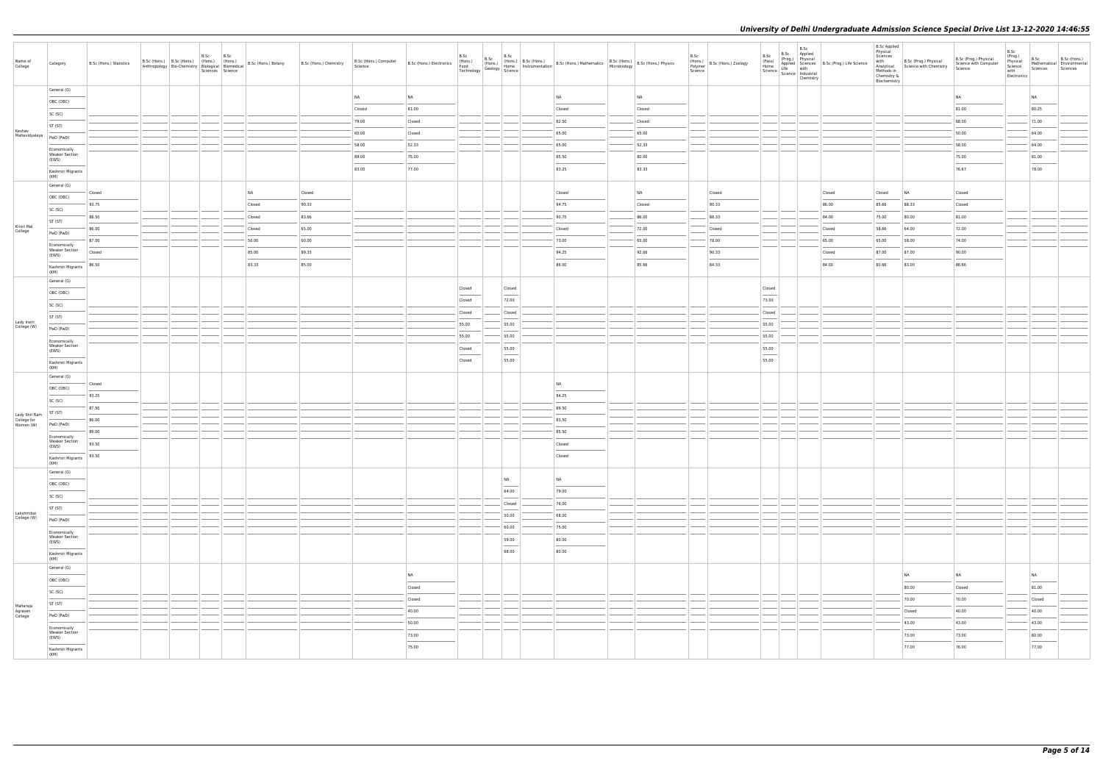|                                           |                                                     |                         |  |                                                                               |                                                                      |                        |                                  |                          |                                       |                                                    |                                                                                                                                                                                                                                                                                                                                                                                                                                                                                     |                                                                                                                                                                                                                                                                                                                                                                                                                                                                                  |                                                                                                                                                                                   |                 |                                         |                                   | B.Sc B.Sc<br>Applied                                         |                                                         | <b>B.Sc Applied</b><br>Physical                       |                                                                 |                                                           | B.Sc                                                  |                                                |                          |
|-------------------------------------------|-----------------------------------------------------|-------------------------|--|-------------------------------------------------------------------------------|----------------------------------------------------------------------|------------------------|----------------------------------|--------------------------|---------------------------------------|----------------------------------------------------|-------------------------------------------------------------------------------------------------------------------------------------------------------------------------------------------------------------------------------------------------------------------------------------------------------------------------------------------------------------------------------------------------------------------------------------------------------------------------------------|----------------------------------------------------------------------------------------------------------------------------------------------------------------------------------------------------------------------------------------------------------------------------------------------------------------------------------------------------------------------------------------------------------------------------------------------------------------------------------|-----------------------------------------------------------------------------------------------------------------------------------------------------------------------------------|-----------------|-----------------------------------------|-----------------------------------|--------------------------------------------------------------|---------------------------------------------------------|-------------------------------------------------------|-----------------------------------------------------------------|-----------------------------------------------------------|-------------------------------------------------------|------------------------------------------------|--------------------------|
| Name of<br>College                        | Category                                            | B.Sc (Hons.) Statistics |  | B.Sc<br>B.Sc<br>B.Sc (Hons.) B.Sc (Hons.) (Hons.) (Hons.)<br>Sciences Science | Anthropology Bio-Chemistry Biological Biomedical B.Sc (Hons.) Botany | B.Sc (Hons.) Chemistry | B.Sc (Hons.) Computer<br>Science | B.Sc (Hons.) Electronics | B.Sc<br>(Hons.)<br>Food<br>Technology | B.Sc (Hons.)<br>(Hons.) (Hons.)<br>Geology Science | B.Sc                                                                                                                                                                                                                                                                                                                                                                                                                                                                                |                                                                                                                                                                                                                                                                                                                                                                                                                                                                                  | (Hons.)   B.Sc (Hons.)   B.Sc (Hons.) Mathematics   B.Sc (Hons.)   B.Sc (Hons.) Physics   Home   Instrumentation   B.Sc (Hons.) Mathematics   Microbiology   B.Sc (Hons.) Physics | B.Sc<br>Science | (Hons.)<br>Polymer B.Sc (Hons.) Zoology | B.Sc<br>(Pass)<br>Home            | (Prog.) Physical<br>Science   Live   Industrial<br>Chemistry | Applied Sciences B.Sc (Prog.) Life Science<br>Life with | Sciences<br>Methods in<br>Chemistry &<br>Biochemistry | with B.Sc (Prog.) Physical<br>Analytical Science with Chemistry | B.Sc (Prog.) Physical<br>Science with Computer<br>Science | (Prog.)<br>Physical<br>Science<br>with<br>Electronics | B.Sc<br>Mathematical Environmental<br>Sciences | B.Sc (Hons.)<br>Sciences |
|                                           | General (G)                                         |                         |  |                                                                               |                                                                      |                        | NA                               | <b>NA</b>                |                                       |                                                    |                                                                                                                                                                                                                                                                                                                                                                                                                                                                                     | NA                                                                                                                                                                                                                                                                                                                                                                                                                                                                               | NA                                                                                                                                                                                |                 |                                         |                                   |                                                              |                                                         |                                                       |                                                                 | <b>NA</b>                                                 |                                                       | <b>NA</b>                                      |                          |
|                                           | OBC (OBC)                                           |                         |  |                                                                               |                                                                      |                        | Closed                           | 81.00                    |                                       |                                                    |                                                                                                                                                                                                                                                                                                                                                                                                                                                                                     | Closed                                                                                                                                                                                                                                                                                                                                                                                                                                                                           | Closed                                                                                                                                                                            |                 |                                         |                                   |                                                              |                                                         |                                                       |                                                                 | 81.00                                                     |                                                       | 80.25                                          |                          |
|                                           | SC (SC)                                             |                         |  |                                                                               |                                                                      |                        | 79.00                            | Closed                   |                                       |                                                    |                                                                                                                                                                                                                                                                                                                                                                                                                                                                                     | 82.50                                                                                                                                                                                                                                                                                                                                                                                                                                                                            | Closed                                                                                                                                                                            |                 |                                         |                                   |                                                              |                                                         |                                                       |                                                                 | 68.00                                                     |                                                       | 71.00                                          |                          |
| Keshav<br>Mahavidyalaya                   | ST (ST)                                             |                         |  |                                                                               |                                                                      |                        | 60.00                            | Closed                   |                                       |                                                    |                                                                                                                                                                                                                                                                                                                                                                                                                                                                                     | 65.00                                                                                                                                                                                                                                                                                                                                                                                                                                                                            | 65.00                                                                                                                                                                             |                 |                                         |                                   |                                                              |                                                         |                                                       |                                                                 | 50.00                                                     |                                                       | 64.00                                          |                          |
|                                           | PwD (PwD)                                           |                         |  |                                                                               |                                                                      |                        | 58.00                            | 52.33                    |                                       |                                                    |                                                                                                                                                                                                                                                                                                                                                                                                                                                                                     | 65.00                                                                                                                                                                                                                                                                                                                                                                                                                                                                            | 52.33                                                                                                                                                                             |                 |                                         |                                   |                                                              |                                                         |                                                       |                                                                 | 58.00                                                     |                                                       | 64.00                                          |                          |
|                                           | Economically<br><b>Weaker Section</b><br>(EWS)      |                         |  |                                                                               |                                                                      |                        | 89.00                            | 75.00                    |                                       |                                                    |                                                                                                                                                                                                                                                                                                                                                                                                                                                                                     | 85.50                                                                                                                                                                                                                                                                                                                                                                                                                                                                            | 80.00                                                                                                                                                                             |                 |                                         |                                   |                                                              |                                                         |                                                       |                                                                 | 75.00                                                     |                                                       | 81.00                                          |                          |
|                                           | Kashmiri Migrants                                   |                         |  |                                                                               |                                                                      |                        | 83.00                            | 77.00                    |                                       |                                                    |                                                                                                                                                                                                                                                                                                                                                                                                                                                                                     | 83.25                                                                                                                                                                                                                                                                                                                                                                                                                                                                            | 83.33                                                                                                                                                                             |                 |                                         |                                   |                                                              |                                                         |                                                       |                                                                 | 76.67                                                     |                                                       | 78.00                                          |                          |
|                                           | (KM)<br>General (G)                                 |                         |  |                                                                               |                                                                      |                        |                                  |                          |                                       |                                                    |                                                                                                                                                                                                                                                                                                                                                                                                                                                                                     |                                                                                                                                                                                                                                                                                                                                                                                                                                                                                  |                                                                                                                                                                                   |                 |                                         |                                   |                                                              |                                                         |                                                       |                                                                 |                                                           |                                                       |                                                |                          |
|                                           | OBC (OBC)                                           | Closed                  |  |                                                                               | NA                                                                   | Closed                 |                                  |                          |                                       |                                                    |                                                                                                                                                                                                                                                                                                                                                                                                                                                                                     | Closed                                                                                                                                                                                                                                                                                                                                                                                                                                                                           | NA                                                                                                                                                                                |                 | Closed                                  |                                   |                                                              | Closed                                                  | Closed                                                | NA                                                              | Closed                                                    |                                                       |                                                |                          |
|                                           | SC (SC)                                             | 93.75                   |  |                                                                               | Closed                                                               | 90.33                  |                                  |                          |                                       |                                                    |                                                                                                                                                                                                                                                                                                                                                                                                                                                                                     | 94.75                                                                                                                                                                                                                                                                                                                                                                                                                                                                            | Closed                                                                                                                                                                            |                 | 90.33                                   |                                   |                                                              | 86.00                                                   | 85.66                                                 | 88.33                                                           | Closed                                                    |                                                       |                                                |                          |
|                                           | ST (ST)                                             | 88.50                   |  |                                                                               | Closed                                                               | 83.66                  |                                  |                          |                                       |                                                    |                                                                                                                                                                                                                                                                                                                                                                                                                                                                                     | 90.75                                                                                                                                                                                                                                                                                                                                                                                                                                                                            | 86.00                                                                                                                                                                             |                 | 88.33                                   |                                   |                                                              | 84.00                                                   | 75.00                                                 | 80.00                                                           | 81.00                                                     |                                                       |                                                |                          |
| Kirori Mal<br>College                     | PwD (PwD)                                           | 86.00                   |  |                                                                               | Closed                                                               | 65.00                  |                                  |                          |                                       |                                                    |                                                                                                                                                                                                                                                                                                                                                                                                                                                                                     | Closed                                                                                                                                                                                                                                                                                                                                                                                                                                                                           | 72.00                                                                                                                                                                             |                 | Closed                                  |                                   |                                                              | Closed                                                  | 58.66                                                 | 64.00                                                           | 72.00                                                     |                                                       |                                                |                          |
|                                           | Economically<br><b>Weaker Section</b>               | 87.00                   |  |                                                                               | 50.00                                                                | 60.00                  |                                  |                          |                                       |                                                    |                                                                                                                                                                                                                                                                                                                                                                                                                                                                                     | 73.00                                                                                                                                                                                                                                                                                                                                                                                                                                                                            | 65.00                                                                                                                                                                             |                 | 78.00                                   |                                   |                                                              | 65.00                                                   | 65.00                                                 | 58.00                                                           | 74.00                                                     |                                                       |                                                |                          |
|                                           | (EWS)                                               | Closed                  |  |                                                                               | 85.00                                                                | 89.33                  |                                  |                          |                                       |                                                    |                                                                                                                                                                                                                                                                                                                                                                                                                                                                                     | 94.25                                                                                                                                                                                                                                                                                                                                                                                                                                                                            | 92.66                                                                                                                                                                             |                 | 90.33                                   |                                   |                                                              | Closed                                                  | 87.00                                                 | 87.00                                                           | 90.00                                                     |                                                       |                                                |                          |
|                                           | Kashmiri Migrants<br>(KM)                           | 86.50                   |  |                                                                               | 83.33                                                                | 85.00                  |                                  |                          |                                       |                                                    |                                                                                                                                                                                                                                                                                                                                                                                                                                                                                     | 86.00                                                                                                                                                                                                                                                                                                                                                                                                                                                                            | 85.66                                                                                                                                                                             |                 | 84.33                                   |                                   |                                                              | 84.00                                                   | 80.66                                                 | 83.00                                                           | 86.66                                                     |                                                       |                                                |                          |
|                                           | General (G)                                         |                         |  |                                                                               |                                                                      |                        |                                  |                          | Closed                                |                                                    |                                                                                                                                                                                                                                                                                                                                                                                                                                                                                     |                                                                                                                                                                                                                                                                                                                                                                                                                                                                                  |                                                                                                                                                                                   |                 |                                         | Closed                            |                                                              |                                                         |                                                       |                                                                 |                                                           |                                                       |                                                |                          |
|                                           | OBC (OBC)                                           |                         |  |                                                                               |                                                                      |                        |                                  |                          | Closed                                |                                                    | Closed<br>72.00                                                                                                                                                                                                                                                                                                                                                                                                                                                                     |                                                                                                                                                                                                                                                                                                                                                                                                                                                                                  |                                                                                                                                                                                   |                 |                                         | 73.00                             |                                                              |                                                         |                                                       |                                                                 |                                                           |                                                       |                                                |                          |
|                                           | SC (SC)                                             |                         |  |                                                                               |                                                                      |                        |                                  |                          | Closed                                |                                                    | Closed                                                                                                                                                                                                                                                                                                                                                                                                                                                                              |                                                                                                                                                                                                                                                                                                                                                                                                                                                                                  |                                                                                                                                                                                   |                 |                                         | Closed                            |                                                              |                                                         |                                                       |                                                                 |                                                           |                                                       |                                                |                          |
| Lady Irwin                                | ST (ST)                                             |                         |  |                                                                               |                                                                      |                        |                                  |                          | 55.00                                 |                                                    | 55.00                                                                                                                                                                                                                                                                                                                                                                                                                                                                               |                                                                                                                                                                                                                                                                                                                                                                                                                                                                                  |                                                                                                                                                                                   |                 |                                         | 55.00                             |                                                              |                                                         |                                                       |                                                                 |                                                           |                                                       |                                                |                          |
| College (W)                               | PwD (PwD)                                           |                         |  |                                                                               |                                                                      |                        |                                  |                          | 55.00                                 |                                                    | 55.00                                                                                                                                                                                                                                                                                                                                                                                                                                                                               |                                                                                                                                                                                                                                                                                                                                                                                                                                                                                  |                                                                                                                                                                                   |                 |                                         | 55.00                             |                                                              |                                                         |                                                       |                                                                 |                                                           |                                                       |                                                |                          |
|                                           | Economically<br><b>Weaker Section</b>               |                         |  |                                                                               |                                                                      |                        |                                  |                          | Closed                                |                                                    | 55.00                                                                                                                                                                                                                                                                                                                                                                                                                                                                               |                                                                                                                                                                                                                                                                                                                                                                                                                                                                                  |                                                                                                                                                                                   |                 |                                         | 55.00                             |                                                              |                                                         |                                                       |                                                                 |                                                           |                                                       |                                                |                          |
|                                           | (EWS)<br>Kashmiri Migrants                          |                         |  |                                                                               |                                                                      |                        |                                  |                          | Closed                                |                                                    | $\frac{1}{2} \left( \frac{1}{2} \right) \left( \frac{1}{2} \right) \left( \frac{1}{2} \right) \left( \frac{1}{2} \right) \left( \frac{1}{2} \right) \left( \frac{1}{2} \right) \left( \frac{1}{2} \right) \left( \frac{1}{2} \right) \left( \frac{1}{2} \right) \left( \frac{1}{2} \right) \left( \frac{1}{2} \right) \left( \frac{1}{2} \right) \left( \frac{1}{2} \right) \left( \frac{1}{2} \right) \left( \frac{1}{2} \right) \left( \frac{1}{2} \right) \left( \frac$<br>55.00 |                                                                                                                                                                                                                                                                                                                                                                                                                                                                                  |                                                                                                                                                                                   |                 |                                         | $\overline{\phantom{a}}$<br>55.00 |                                                              |                                                         |                                                       |                                                                 |                                                           |                                                       |                                                |                          |
|                                           | (KM)<br>General (G)                                 |                         |  |                                                                               |                                                                      |                        |                                  |                          |                                       |                                                    |                                                                                                                                                                                                                                                                                                                                                                                                                                                                                     |                                                                                                                                                                                                                                                                                                                                                                                                                                                                                  |                                                                                                                                                                                   |                 |                                         |                                   |                                                              |                                                         |                                                       |                                                                 |                                                           |                                                       |                                                |                          |
|                                           | OBC (OBC)                                           | Closed                  |  |                                                                               |                                                                      |                        |                                  |                          |                                       |                                                    |                                                                                                                                                                                                                                                                                                                                                                                                                                                                                     | NA                                                                                                                                                                                                                                                                                                                                                                                                                                                                               |                                                                                                                                                                                   |                 |                                         |                                   |                                                              |                                                         |                                                       |                                                                 |                                                           |                                                       |                                                |                          |
|                                           | SC (SC)                                             | 93.25                   |  |                                                                               |                                                                      |                        |                                  |                          |                                       |                                                    |                                                                                                                                                                                                                                                                                                                                                                                                                                                                                     | 94.25                                                                                                                                                                                                                                                                                                                                                                                                                                                                            |                                                                                                                                                                                   |                 |                                         |                                   |                                                              |                                                         |                                                       |                                                                 |                                                           |                                                       |                                                |                          |
|                                           | ST (ST)                                             | 87.50                   |  |                                                                               |                                                                      |                        |                                  |                          |                                       |                                                    |                                                                                                                                                                                                                                                                                                                                                                                                                                                                                     | 89.50                                                                                                                                                                                                                                                                                                                                                                                                                                                                            |                                                                                                                                                                                   |                 |                                         |                                   |                                                              |                                                         |                                                       |                                                                 |                                                           |                                                       |                                                |                          |
| Lady Shri Ram<br>College for<br>Women (W) | PwD (PwD)                                           | 86.00                   |  |                                                                               |                                                                      |                        |                                  |                          |                                       |                                                    |                                                                                                                                                                                                                                                                                                                                                                                                                                                                                     | 83.50                                                                                                                                                                                                                                                                                                                                                                                                                                                                            |                                                                                                                                                                                   |                 |                                         |                                   |                                                              |                                                         |                                                       |                                                                 |                                                           |                                                       |                                                |                          |
|                                           | Economically                                        | 89.00                   |  |                                                                               |                                                                      |                        |                                  |                          |                                       |                                                    |                                                                                                                                                                                                                                                                                                                                                                                                                                                                                     | 85.50                                                                                                                                                                                                                                                                                                                                                                                                                                                                            |                                                                                                                                                                                   |                 |                                         |                                   |                                                              |                                                         |                                                       |                                                                 |                                                           |                                                       |                                                |                          |
|                                           | <b>Weaker Section</b><br>(EWS)<br>Kashmiri Migrants | 93.50<br>93.50          |  |                                                                               |                                                                      |                        |                                  |                          |                                       |                                                    |                                                                                                                                                                                                                                                                                                                                                                                                                                                                                     | Closed<br>Closed                                                                                                                                                                                                                                                                                                                                                                                                                                                                 |                                                                                                                                                                                   |                 |                                         |                                   |                                                              |                                                         |                                                       |                                                                 |                                                           |                                                       |                                                |                          |
|                                           | (KM)<br>General (G)                                 |                         |  |                                                                               |                                                                      |                        |                                  |                          |                                       |                                                    |                                                                                                                                                                                                                                                                                                                                                                                                                                                                                     |                                                                                                                                                                                                                                                                                                                                                                                                                                                                                  |                                                                                                                                                                                   |                 |                                         |                                   |                                                              |                                                         |                                                       |                                                                 |                                                           |                                                       |                                                |                          |
|                                           | OBC (OBC)                                           |                         |  |                                                                               |                                                                      |                        |                                  |                          |                                       |                                                    | NA<br>$\sim$                                                                                                                                                                                                                                                                                                                                                                                                                                                                        | NA<br>$\frac{1}{2} \left( \frac{1}{2} \right) \left( \frac{1}{2} \right) \left( \frac{1}{2} \right) \left( \frac{1}{2} \right) \left( \frac{1}{2} \right) \left( \frac{1}{2} \right) \left( \frac{1}{2} \right) \left( \frac{1}{2} \right) \left( \frac{1}{2} \right) \left( \frac{1}{2} \right) \left( \frac{1}{2} \right) \left( \frac{1}{2} \right) \left( \frac{1}{2} \right) \left( \frac{1}{2} \right) \left( \frac{1}{2} \right) \left( \frac{1}{2} \right) \left( \frac$ |                                                                                                                                                                                   |                 |                                         |                                   |                                                              |                                                         |                                                       |                                                                 |                                                           |                                                       |                                                |                          |
|                                           | SC (SC)                                             |                         |  |                                                                               |                                                                      |                        |                                  |                          |                                       |                                                    | 64.00                                                                                                                                                                                                                                                                                                                                                                                                                                                                               | 79.00                                                                                                                                                                                                                                                                                                                                                                                                                                                                            |                                                                                                                                                                                   |                 |                                         |                                   |                                                              |                                                         |                                                       |                                                                 |                                                           |                                                       |                                                |                          |
|                                           | ST (ST)                                             |                         |  |                                                                               |                                                                      |                        |                                  |                          |                                       |                                                    | Closed                                                                                                                                                                                                                                                                                                                                                                                                                                                                              | 76.00                                                                                                                                                                                                                                                                                                                                                                                                                                                                            |                                                                                                                                                                                   |                 |                                         |                                   |                                                              |                                                         |                                                       |                                                                 |                                                           |                                                       |                                                |                          |
| Lakshmibai<br>College (W)                 | PwD (PwD)                                           |                         |  |                                                                               |                                                                      |                        |                                  |                          |                                       |                                                    | 50.00                                                                                                                                                                                                                                                                                                                                                                                                                                                                               | 68.00                                                                                                                                                                                                                                                                                                                                                                                                                                                                            |                                                                                                                                                                                   |                 |                                         |                                   |                                                              |                                                         |                                                       |                                                                 |                                                           |                                                       |                                                |                          |
|                                           | Economically                                        |                         |  |                                                                               |                                                                      |                        |                                  |                          |                                       |                                                    | 60.00                                                                                                                                                                                                                                                                                                                                                                                                                                                                               | 75.00                                                                                                                                                                                                                                                                                                                                                                                                                                                                            |                                                                                                                                                                                   |                 |                                         |                                   |                                                              |                                                         |                                                       |                                                                 |                                                           |                                                       |                                                |                          |
|                                           | <b>Weaker Section</b><br>(EWS)                      |                         |  |                                                                               |                                                                      |                        |                                  |                          |                                       |                                                    | 59.00<br>$\overline{\phantom{a}}$                                                                                                                                                                                                                                                                                                                                                                                                                                                   | 80.00<br>$\sim$                                                                                                                                                                                                                                                                                                                                                                                                                                                                  |                                                                                                                                                                                   |                 |                                         |                                   |                                                              |                                                         |                                                       |                                                                 |                                                           |                                                       |                                                |                          |
|                                           | Kashmiri Migrants<br>(KM)                           |                         |  |                                                                               |                                                                      |                        |                                  |                          |                                       |                                                    | 68.00                                                                                                                                                                                                                                                                                                                                                                                                                                                                               | 80.00                                                                                                                                                                                                                                                                                                                                                                                                                                                                            |                                                                                                                                                                                   |                 |                                         |                                   |                                                              |                                                         |                                                       |                                                                 |                                                           |                                                       |                                                |                          |
|                                           | General (G)                                         |                         |  |                                                                               |                                                                      |                        |                                  |                          |                                       |                                                    |                                                                                                                                                                                                                                                                                                                                                                                                                                                                                     |                                                                                                                                                                                                                                                                                                                                                                                                                                                                                  |                                                                                                                                                                                   |                 |                                         |                                   |                                                              |                                                         |                                                       |                                                                 |                                                           |                                                       |                                                |                          |
|                                           | OBC (OBC)                                           |                         |  |                                                                               |                                                                      |                        |                                  | NA                       |                                       |                                                    |                                                                                                                                                                                                                                                                                                                                                                                                                                                                                     |                                                                                                                                                                                                                                                                                                                                                                                                                                                                                  |                                                                                                                                                                                   |                 |                                         |                                   |                                                              |                                                         |                                                       | NA                                                              | NA                                                        |                                                       | <b>NA</b>                                      |                          |
|                                           | SC (SC)                                             |                         |  |                                                                               |                                                                      |                        |                                  | Closed                   |                                       |                                                    |                                                                                                                                                                                                                                                                                                                                                                                                                                                                                     |                                                                                                                                                                                                                                                                                                                                                                                                                                                                                  |                                                                                                                                                                                   |                 |                                         |                                   |                                                              |                                                         |                                                       | 80.00                                                           | Closed                                                    |                                                       | 81.00                                          |                          |
| Maharaja                                  | ST (ST)                                             |                         |  |                                                                               |                                                                      |                        |                                  | Closed                   |                                       |                                                    |                                                                                                                                                                                                                                                                                                                                                                                                                                                                                     |                                                                                                                                                                                                                                                                                                                                                                                                                                                                                  |                                                                                                                                                                                   |                 |                                         |                                   |                                                              |                                                         |                                                       | 70.00                                                           | 70.00                                                     |                                                       | Closed                                         |                          |
| Agrasen<br>College                        | PwD (PwD)                                           |                         |  |                                                                               |                                                                      |                        |                                  | 40.00                    |                                       |                                                    |                                                                                                                                                                                                                                                                                                                                                                                                                                                                                     |                                                                                                                                                                                                                                                                                                                                                                                                                                                                                  |                                                                                                                                                                                   |                 |                                         |                                   |                                                              |                                                         |                                                       | Closed                                                          | 40.00                                                     |                                                       | 40.00                                          |                          |
|                                           | Economically<br>Weaker Section                      |                         |  |                                                                               |                                                                      |                        |                                  | 50.00                    |                                       |                                                    |                                                                                                                                                                                                                                                                                                                                                                                                                                                                                     |                                                                                                                                                                                                                                                                                                                                                                                                                                                                                  |                                                                                                                                                                                   |                 |                                         |                                   |                                                              |                                                         |                                                       | 43.00                                                           | 43.00                                                     |                                                       | 43.00                                          |                          |
|                                           | (EWS)                                               |                         |  |                                                                               |                                                                      |                        |                                  | 73.00<br>75.00           |                                       |                                                    |                                                                                                                                                                                                                                                                                                                                                                                                                                                                                     |                                                                                                                                                                                                                                                                                                                                                                                                                                                                                  |                                                                                                                                                                                   |                 |                                         |                                   |                                                              |                                                         |                                                       | 73.00<br>77.00                                                  | 73.00<br>76.00                                            |                                                       | 80.00<br>$\sim$<br>77.00                       |                          |
|                                           | Kashmiri Migrants<br>(KM)                           |                         |  |                                                                               |                                                                      |                        |                                  |                          |                                       |                                                    |                                                                                                                                                                                                                                                                                                                                                                                                                                                                                     |                                                                                                                                                                                                                                                                                                                                                                                                                                                                                  |                                                                                                                                                                                   |                 |                                         |                                   |                                                              |                                                         |                                                       |                                                                 |                                                           |                                                       |                                                |                          |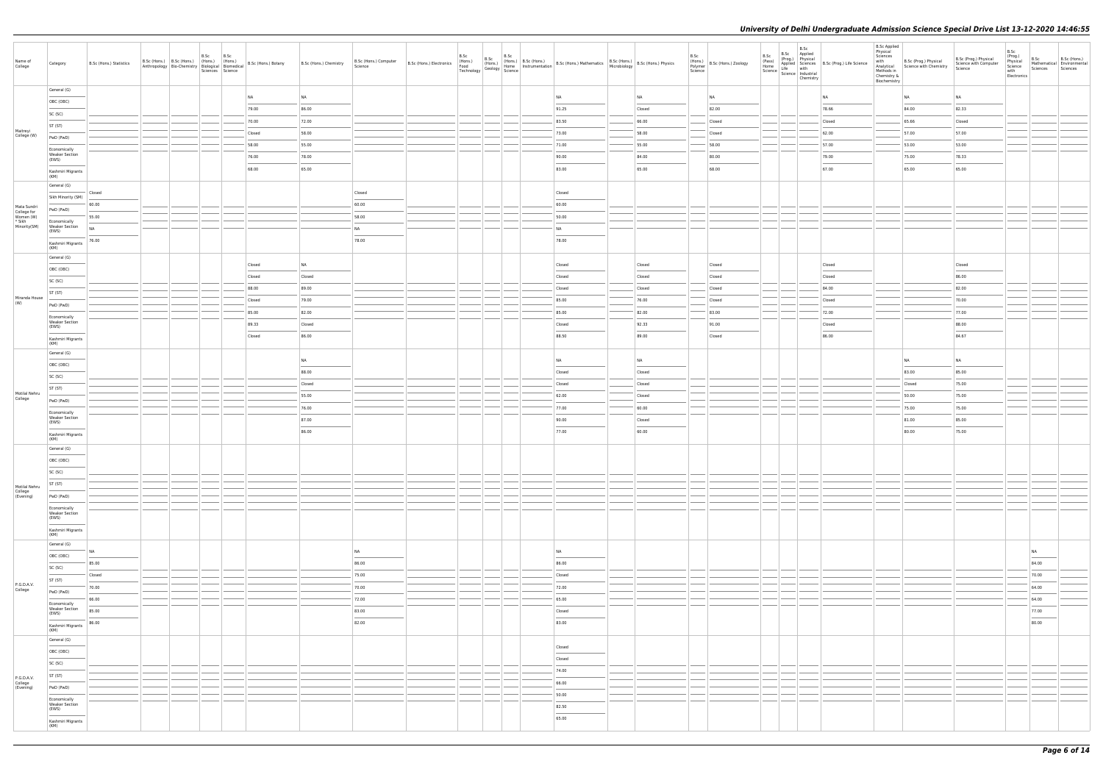| Name of<br>College                                                | Category                                       | B.Sc (Hons.) Statistics                                                                                                                                                                                                                                                                                                                                                                                                                                                             |  | B.Sc B.Sc | B.Sc (Hons.) B.Sc (Hons.) (Hons.) (Hons.) (Bons.) B.Sc (Hons.) Botany<br>Anthropology Bio-Chemistry Biological Biomedical Science<br>Sciences Science | B.Sc (Hons.) Chemistry | B.Sc (Hons.) Computer<br>Science                                                                                                                                                                                                                                                                                                                                                                                                                                                    |  |  |                 | B.Sc (Hons.) B.Sc (Hons.) B.Sc (Hons.) B.Sc (Hons.) B.Sc (Hons.) B.Sc (Hons.) B.Sc (Hons.) B.Sc (Hons.) B.Sc (Hons.) B.Sc (Hons.) B.Sc (Hons.) B.Sc (Hons.) B.Sc (Hons.) B.Sc (Hons.) Physics Technology Science B.Sc (Hons.) | B.Sc | (Hons.)<br>Polymer B.Sc (Hons.) Zoology<br>Science | B.Sc<br>B.Sc Applied | B.Sc B.Sc Applied<br>(Pass) Physical<br>Home Applied Sciences<br>B.Sc (Prog.) Life Science<br>Science Life with<br>Science Industrial<br>Chemistry<br>Chemistry | <b>B.Sc Applied</b><br>Physical<br>Sciences<br>with<br>Chemistry &<br>Biochemistry | with<br>Analytical<br>Analytical Science with Chemistry<br>Methods in<br>Chemistry | B.Sc (Prog.) Physical<br>Science with Computer<br>Science | B.Sc<br>(Prog.)<br>Physical<br>Science<br>with<br>Electronics | B.Sc<br>Sciences | B.Sc (Hons.)<br>Mathematical Environmental<br>Sciences |
|-------------------------------------------------------------------|------------------------------------------------|-------------------------------------------------------------------------------------------------------------------------------------------------------------------------------------------------------------------------------------------------------------------------------------------------------------------------------------------------------------------------------------------------------------------------------------------------------------------------------------|--|-----------|-------------------------------------------------------------------------------------------------------------------------------------------------------|------------------------|-------------------------------------------------------------------------------------------------------------------------------------------------------------------------------------------------------------------------------------------------------------------------------------------------------------------------------------------------------------------------------------------------------------------------------------------------------------------------------------|--|--|-----------------|-------------------------------------------------------------------------------------------------------------------------------------------------------------------------------------------------------------------------------|------|----------------------------------------------------|----------------------|-----------------------------------------------------------------------------------------------------------------------------------------------------------------|------------------------------------------------------------------------------------|------------------------------------------------------------------------------------|-----------------------------------------------------------|---------------------------------------------------------------|------------------|--------------------------------------------------------|
|                                                                   | General (G)                                    |                                                                                                                                                                                                                                                                                                                                                                                                                                                                                     |  |           | NA                                                                                                                                                    | NA                     |                                                                                                                                                                                                                                                                                                                                                                                                                                                                                     |  |  | NA              | NA                                                                                                                                                                                                                            |      | NA                                                 |                      | <b>NA</b>                                                                                                                                                       |                                                                                    | NA                                                                                 | NA                                                        |                                                               |                  |                                                        |
|                                                                   | OBC (OBC)                                      |                                                                                                                                                                                                                                                                                                                                                                                                                                                                                     |  |           | 79.00                                                                                                                                                 | 86.00                  |                                                                                                                                                                                                                                                                                                                                                                                                                                                                                     |  |  | 91.25           | Closed                                                                                                                                                                                                                        |      | 82.00                                              |                      | 78.66                                                                                                                                                           |                                                                                    | 84.00                                                                              | 82.33                                                     |                                                               |                  |                                                        |
|                                                                   | SC (SC)                                        |                                                                                                                                                                                                                                                                                                                                                                                                                                                                                     |  |           | 70.00                                                                                                                                                 | 72.00                  |                                                                                                                                                                                                                                                                                                                                                                                                                                                                                     |  |  | 83.50           | 66.00                                                                                                                                                                                                                         |      | Closed                                             |                      | Closed                                                                                                                                                          |                                                                                    | 65.66                                                                              | Closed                                                    |                                                               |                  |                                                        |
| Maitreyi<br>College (W)                                           | ST (ST)                                        |                                                                                                                                                                                                                                                                                                                                                                                                                                                                                     |  |           | Closed                                                                                                                                                | 58.00                  |                                                                                                                                                                                                                                                                                                                                                                                                                                                                                     |  |  | 73.00           | 58.00                                                                                                                                                                                                                         |      | Closed                                             |                      | 62.00                                                                                                                                                           |                                                                                    | 57.00                                                                              | 57.00                                                     |                                                               |                  |                                                        |
|                                                                   | PwD (PwD)                                      |                                                                                                                                                                                                                                                                                                                                                                                                                                                                                     |  |           | 58.00                                                                                                                                                 | 55.00                  |                                                                                                                                                                                                                                                                                                                                                                                                                                                                                     |  |  | 71.00           | 55.00                                                                                                                                                                                                                         |      | 58.00                                              |                      | 57.00                                                                                                                                                           |                                                                                    | 53.00                                                                              | 53.00                                                     |                                                               |                  |                                                        |
|                                                                   | Economically<br><b>Weaker Section</b><br>(EWS) |                                                                                                                                                                                                                                                                                                                                                                                                                                                                                     |  |           | 76.00                                                                                                                                                 | 78.00                  |                                                                                                                                                                                                                                                                                                                                                                                                                                                                                     |  |  | 90.00           | 84.00                                                                                                                                                                                                                         |      | 80.00                                              |                      | 79.00                                                                                                                                                           |                                                                                    | 75.00                                                                              | 78.33                                                     |                                                               |                  |                                                        |
|                                                                   | Kashmiri Migrants                              |                                                                                                                                                                                                                                                                                                                                                                                                                                                                                     |  |           | 68.00                                                                                                                                                 | 65.00                  |                                                                                                                                                                                                                                                                                                                                                                                                                                                                                     |  |  | 83.00           | 65.00                                                                                                                                                                                                                         |      | 68.00                                              |                      | 67.00                                                                                                                                                           |                                                                                    | 65.00                                                                              | 65.00                                                     |                                                               |                  |                                                        |
|                                                                   | (KM)<br>General (G)                            |                                                                                                                                                                                                                                                                                                                                                                                                                                                                                     |  |           |                                                                                                                                                       |                        |                                                                                                                                                                                                                                                                                                                                                                                                                                                                                     |  |  |                 |                                                                                                                                                                                                                               |      |                                                    |                      |                                                                                                                                                                 |                                                                                    |                                                                                    |                                                           |                                                               |                  |                                                        |
|                                                                   | Sikh Minority (SM)                             | Closed                                                                                                                                                                                                                                                                                                                                                                                                                                                                              |  |           |                                                                                                                                                       |                        | Closed                                                                                                                                                                                                                                                                                                                                                                                                                                                                              |  |  | Closed          |                                                                                                                                                                                                                               |      |                                                    |                      |                                                                                                                                                                 |                                                                                    |                                                                                    |                                                           |                                                               |                  |                                                        |
|                                                                   | PwD (PwD)                                      | 60.00                                                                                                                                                                                                                                                                                                                                                                                                                                                                               |  |           |                                                                                                                                                       |                        | 60.00                                                                                                                                                                                                                                                                                                                                                                                                                                                                               |  |  | 60.00           |                                                                                                                                                                                                                               |      |                                                    |                      |                                                                                                                                                                 |                                                                                    |                                                                                    |                                                           |                                                               |                  |                                                        |
| Mata Sundri<br>College for<br>Women (W)<br>* Sikh<br>Minority(SM) | Economically                                   | 55.00                                                                                                                                                                                                                                                                                                                                                                                                                                                                               |  |           |                                                                                                                                                       |                        | 58.00                                                                                                                                                                                                                                                                                                                                                                                                                                                                               |  |  | 50.00           |                                                                                                                                                                                                                               |      |                                                    |                      |                                                                                                                                                                 |                                                                                    |                                                                                    |                                                           |                                                               |                  |                                                        |
|                                                                   | <b>Weaker Section</b><br>(EWS)                 | NA                                                                                                                                                                                                                                                                                                                                                                                                                                                                                  |  |           |                                                                                                                                                       |                        | <b>NA</b>                                                                                                                                                                                                                                                                                                                                                                                                                                                                           |  |  | <b>NA</b>       |                                                                                                                                                                                                                               |      |                                                    |                      |                                                                                                                                                                 |                                                                                    |                                                                                    |                                                           |                                                               |                  |                                                        |
|                                                                   | Kashmiri Migrants<br>(KM)                      | 76.00                                                                                                                                                                                                                                                                                                                                                                                                                                                                               |  |           |                                                                                                                                                       |                        | 78.00                                                                                                                                                                                                                                                                                                                                                                                                                                                                               |  |  | 78.00           |                                                                                                                                                                                                                               |      |                                                    |                      |                                                                                                                                                                 |                                                                                    |                                                                                    |                                                           |                                                               |                  |                                                        |
|                                                                   | General (G)                                    |                                                                                                                                                                                                                                                                                                                                                                                                                                                                                     |  |           |                                                                                                                                                       |                        |                                                                                                                                                                                                                                                                                                                                                                                                                                                                                     |  |  |                 |                                                                                                                                                                                                                               |      |                                                    |                      |                                                                                                                                                                 |                                                                                    |                                                                                    |                                                           |                                                               |                  |                                                        |
|                                                                   | OBC (OBC)                                      |                                                                                                                                                                                                                                                                                                                                                                                                                                                                                     |  |           | Closed                                                                                                                                                | NA.                    |                                                                                                                                                                                                                                                                                                                                                                                                                                                                                     |  |  | Closed          | Closed                                                                                                                                                                                                                        |      | Closed                                             |                      | Closed                                                                                                                                                          |                                                                                    |                                                                                    | Closed                                                    |                                                               |                  |                                                        |
|                                                                   | SC (SC)                                        |                                                                                                                                                                                                                                                                                                                                                                                                                                                                                     |  |           | Closed                                                                                                                                                | Closed                 |                                                                                                                                                                                                                                                                                                                                                                                                                                                                                     |  |  | Closed          | Closed                                                                                                                                                                                                                        |      | Closed                                             |                      | Closed                                                                                                                                                          |                                                                                    |                                                                                    | 86.00                                                     |                                                               |                  |                                                        |
| Miranda House                                                     | ST (ST)                                        |                                                                                                                                                                                                                                                                                                                                                                                                                                                                                     |  |           | 88.00                                                                                                                                                 | 89.00                  |                                                                                                                                                                                                                                                                                                                                                                                                                                                                                     |  |  | Closed          | Closed                                                                                                                                                                                                                        |      | Closed                                             |                      | 84.00                                                                                                                                                           |                                                                                    |                                                                                    | 82.00                                                     |                                                               |                  |                                                        |
| (W)                                                               | PwD (PwD)                                      |                                                                                                                                                                                                                                                                                                                                                                                                                                                                                     |  |           | Closed                                                                                                                                                | 79.00                  |                                                                                                                                                                                                                                                                                                                                                                                                                                                                                     |  |  | 85.00           | 76.00                                                                                                                                                                                                                         |      | Closed                                             |                      | Closed                                                                                                                                                          |                                                                                    |                                                                                    | 70.00                                                     |                                                               |                  |                                                        |
|                                                                   | Economically<br><b>Weaker Section</b>          |                                                                                                                                                                                                                                                                                                                                                                                                                                                                                     |  |           | 85.00                                                                                                                                                 | 82.00                  |                                                                                                                                                                                                                                                                                                                                                                                                                                                                                     |  |  | 85.00           | 82.00                                                                                                                                                                                                                         |      | 83.00                                              |                      | 72.00                                                                                                                                                           |                                                                                    |                                                                                    | 77.00                                                     |                                                               |                  |                                                        |
|                                                                   | (EWS)                                          |                                                                                                                                                                                                                                                                                                                                                                                                                                                                                     |  |           | 89.33                                                                                                                                                 | Closed                 |                                                                                                                                                                                                                                                                                                                                                                                                                                                                                     |  |  | Closed          | 92.33                                                                                                                                                                                                                         |      | 91.00                                              |                      | Closed                                                                                                                                                          |                                                                                    |                                                                                    | 88.00                                                     |                                                               |                  |                                                        |
|                                                                   | Kashmiri Migrants<br>(KM)                      |                                                                                                                                                                                                                                                                                                                                                                                                                                                                                     |  |           | Closed                                                                                                                                                | 86.00                  |                                                                                                                                                                                                                                                                                                                                                                                                                                                                                     |  |  | 88.50           | 89.00                                                                                                                                                                                                                         |      | Closed                                             |                      | 86.00                                                                                                                                                           |                                                                                    |                                                                                    | 84.67                                                     |                                                               |                  |                                                        |
|                                                                   | General (G)                                    |                                                                                                                                                                                                                                                                                                                                                                                                                                                                                     |  |           |                                                                                                                                                       | <b>NA</b>              |                                                                                                                                                                                                                                                                                                                                                                                                                                                                                     |  |  | NA              | NA                                                                                                                                                                                                                            |      |                                                    |                      |                                                                                                                                                                 |                                                                                    | NA                                                                                 | NA                                                        |                                                               |                  |                                                        |
|                                                                   | OBC (OBC)                                      |                                                                                                                                                                                                                                                                                                                                                                                                                                                                                     |  |           |                                                                                                                                                       | 88.00                  |                                                                                                                                                                                                                                                                                                                                                                                                                                                                                     |  |  | Closed          | Closed                                                                                                                                                                                                                        |      |                                                    |                      |                                                                                                                                                                 |                                                                                    | 83.00                                                                              | 85.00                                                     |                                                               |                  |                                                        |
|                                                                   | SC (SC)                                        |                                                                                                                                                                                                                                                                                                                                                                                                                                                                                     |  |           |                                                                                                                                                       | Closed                 |                                                                                                                                                                                                                                                                                                                                                                                                                                                                                     |  |  | Closed          | Closed                                                                                                                                                                                                                        |      |                                                    |                      |                                                                                                                                                                 |                                                                                    | Closed                                                                             | 75.00                                                     |                                                               |                  |                                                        |
| Motilal Nehru                                                     | ST (ST)                                        |                                                                                                                                                                                                                                                                                                                                                                                                                                                                                     |  |           |                                                                                                                                                       | 55.00                  |                                                                                                                                                                                                                                                                                                                                                                                                                                                                                     |  |  | 62.00           | Closed                                                                                                                                                                                                                        |      |                                                    |                      |                                                                                                                                                                 |                                                                                    | 50.00                                                                              | 75.00                                                     |                                                               |                  |                                                        |
| College                                                           | PwD (PwD)                                      |                                                                                                                                                                                                                                                                                                                                                                                                                                                                                     |  |           |                                                                                                                                                       | 76.00                  |                                                                                                                                                                                                                                                                                                                                                                                                                                                                                     |  |  | 77.00           | 60.00                                                                                                                                                                                                                         |      |                                                    |                      |                                                                                                                                                                 |                                                                                    | 75.00                                                                              | 75.00                                                     |                                                               |                  |                                                        |
|                                                                   | Economically<br><b>Weaker Section</b><br>(EWS) |                                                                                                                                                                                                                                                                                                                                                                                                                                                                                     |  |           |                                                                                                                                                       | 87.00                  |                                                                                                                                                                                                                                                                                                                                                                                                                                                                                     |  |  | 90.00           | Closed                                                                                                                                                                                                                        |      |                                                    |                      |                                                                                                                                                                 |                                                                                    | 81.00                                                                              | 85.00                                                     |                                                               |                  |                                                        |
|                                                                   | Kashmiri Migrants                              |                                                                                                                                                                                                                                                                                                                                                                                                                                                                                     |  |           |                                                                                                                                                       | 86.00                  |                                                                                                                                                                                                                                                                                                                                                                                                                                                                                     |  |  | 77.00           | 60.00                                                                                                                                                                                                                         |      |                                                    |                      |                                                                                                                                                                 |                                                                                    | 80.00                                                                              | 75.00                                                     |                                                               |                  |                                                        |
|                                                                   | (KM)                                           |                                                                                                                                                                                                                                                                                                                                                                                                                                                                                     |  |           |                                                                                                                                                       |                        |                                                                                                                                                                                                                                                                                                                                                                                                                                                                                     |  |  |                 |                                                                                                                                                                                                                               |      |                                                    |                      |                                                                                                                                                                 |                                                                                    |                                                                                    |                                                           |                                                               |                  |                                                        |
|                                                                   | General (G)                                    |                                                                                                                                                                                                                                                                                                                                                                                                                                                                                     |  |           |                                                                                                                                                       |                        |                                                                                                                                                                                                                                                                                                                                                                                                                                                                                     |  |  |                 |                                                                                                                                                                                                                               |      |                                                    |                      |                                                                                                                                                                 |                                                                                    |                                                                                    |                                                           |                                                               |                  |                                                        |
|                                                                   | OBC (OBC)<br>SC (SC)                           |                                                                                                                                                                                                                                                                                                                                                                                                                                                                                     |  |           |                                                                                                                                                       |                        |                                                                                                                                                                                                                                                                                                                                                                                                                                                                                     |  |  |                 |                                                                                                                                                                                                                               |      |                                                    |                      |                                                                                                                                                                 |                                                                                    |                                                                                    |                                                           |                                                               |                  |                                                        |
|                                                                   | ST (ST)                                        |                                                                                                                                                                                                                                                                                                                                                                                                                                                                                     |  |           |                                                                                                                                                       |                        |                                                                                                                                                                                                                                                                                                                                                                                                                                                                                     |  |  |                 |                                                                                                                                                                                                                               |      |                                                    |                      |                                                                                                                                                                 |                                                                                    |                                                                                    |                                                           |                                                               |                  |                                                        |
| Motilal Nehru<br>College<br>(Evening)                             | PwD (PwD)                                      |                                                                                                                                                                                                                                                                                                                                                                                                                                                                                     |  |           |                                                                                                                                                       |                        |                                                                                                                                                                                                                                                                                                                                                                                                                                                                                     |  |  |                 |                                                                                                                                                                                                                               |      |                                                    |                      |                                                                                                                                                                 |                                                                                    |                                                                                    |                                                           |                                                               |                  |                                                        |
|                                                                   | Economically                                   |                                                                                                                                                                                                                                                                                                                                                                                                                                                                                     |  |           |                                                                                                                                                       |                        |                                                                                                                                                                                                                                                                                                                                                                                                                                                                                     |  |  |                 |                                                                                                                                                                                                                               |      |                                                    |                      |                                                                                                                                                                 |                                                                                    |                                                                                    |                                                           |                                                               |                  |                                                        |
|                                                                   | <b>Weaker Section</b><br>(EWS)                 |                                                                                                                                                                                                                                                                                                                                                                                                                                                                                     |  |           |                                                                                                                                                       |                        |                                                                                                                                                                                                                                                                                                                                                                                                                                                                                     |  |  |                 |                                                                                                                                                                                                                               |      |                                                    |                      |                                                                                                                                                                 |                                                                                    |                                                                                    |                                                           |                                                               |                  |                                                        |
|                                                                   | Kashmiri Migrants<br>(KM)                      |                                                                                                                                                                                                                                                                                                                                                                                                                                                                                     |  |           |                                                                                                                                                       |                        |                                                                                                                                                                                                                                                                                                                                                                                                                                                                                     |  |  |                 |                                                                                                                                                                                                                               |      |                                                    |                      |                                                                                                                                                                 |                                                                                    |                                                                                    |                                                           |                                                               |                  |                                                        |
|                                                                   | General (G)                                    |                                                                                                                                                                                                                                                                                                                                                                                                                                                                                     |  |           |                                                                                                                                                       |                        |                                                                                                                                                                                                                                                                                                                                                                                                                                                                                     |  |  |                 |                                                                                                                                                                                                                               |      |                                                    |                      |                                                                                                                                                                 |                                                                                    |                                                                                    |                                                           |                                                               |                  |                                                        |
|                                                                   | OBC (OBC)                                      | N <sub>A</sub>                                                                                                                                                                                                                                                                                                                                                                                                                                                                      |  |           |                                                                                                                                                       |                        | <b>NA</b>                                                                                                                                                                                                                                                                                                                                                                                                                                                                           |  |  | <b>NA</b>       |                                                                                                                                                                                                                               |      |                                                    |                      |                                                                                                                                                                 |                                                                                    |                                                                                    |                                                           |                                                               | NA               |                                                        |
|                                                                   | SC (SC)                                        | 85.00<br>$\frac{1}{2} \left( \frac{1}{2} \right) \left( \frac{1}{2} \right) \left( \frac{1}{2} \right) \left( \frac{1}{2} \right) \left( \frac{1}{2} \right) \left( \frac{1}{2} \right) \left( \frac{1}{2} \right) \left( \frac{1}{2} \right) \left( \frac{1}{2} \right) \left( \frac{1}{2} \right) \left( \frac{1}{2} \right) \left( \frac{1}{2} \right) \left( \frac{1}{2} \right) \left( \frac{1}{2} \right) \left( \frac{1}{2} \right) \left( \frac{1}{2} \right) \left( \frac$ |  |           |                                                                                                                                                       |                        | 86.00                                                                                                                                                                                                                                                                                                                                                                                                                                                                               |  |  | 86.00           |                                                                                                                                                                                                                               |      |                                                    |                      |                                                                                                                                                                 |                                                                                    |                                                                                    |                                                           |                                                               | 84.00            |                                                        |
|                                                                   | ST (ST)                                        | Closed                                                                                                                                                                                                                                                                                                                                                                                                                                                                              |  |           |                                                                                                                                                       |                        | 75.00                                                                                                                                                                                                                                                                                                                                                                                                                                                                               |  |  | Closed          |                                                                                                                                                                                                                               |      |                                                    |                      |                                                                                                                                                                 |                                                                                    |                                                                                    |                                                           |                                                               | 70.00            |                                                        |
| P.G.D.A.V.<br>College                                             | PwD (PwD)                                      | 70.00                                                                                                                                                                                                                                                                                                                                                                                                                                                                               |  |           |                                                                                                                                                       |                        | 70.00                                                                                                                                                                                                                                                                                                                                                                                                                                                                               |  |  | 72.00           |                                                                                                                                                                                                                               |      |                                                    |                      |                                                                                                                                                                 |                                                                                    |                                                                                    |                                                           |                                                               | 64.00            |                                                        |
|                                                                   | Economically<br><b>Weaker Section</b>          | 66.00<br>85.00                                                                                                                                                                                                                                                                                                                                                                                                                                                                      |  |           |                                                                                                                                                       |                        | 72.00<br>83.00                                                                                                                                                                                                                                                                                                                                                                                                                                                                      |  |  | 65.00<br>Closed |                                                                                                                                                                                                                               |      |                                                    |                      |                                                                                                                                                                 |                                                                                    |                                                                                    |                                                           |                                                               | 64.00<br>77.00   |                                                        |
|                                                                   | (EWS)                                          | 86.00                                                                                                                                                                                                                                                                                                                                                                                                                                                                               |  |           |                                                                                                                                                       |                        | $\frac{1}{2} \left( \frac{1}{2} \right) \left( \frac{1}{2} \right) \left( \frac{1}{2} \right) \left( \frac{1}{2} \right) \left( \frac{1}{2} \right) \left( \frac{1}{2} \right) \left( \frac{1}{2} \right) \left( \frac{1}{2} \right) \left( \frac{1}{2} \right) \left( \frac{1}{2} \right) \left( \frac{1}{2} \right) \left( \frac{1}{2} \right) \left( \frac{1}{2} \right) \left( \frac{1}{2} \right) \left( \frac{1}{2} \right) \left( \frac{1}{2} \right) \left( \frac$<br>82.00 |  |  | 83.00           |                                                                                                                                                                                                                               |      |                                                    |                      |                                                                                                                                                                 |                                                                                    |                                                                                    |                                                           |                                                               | 80.00            |                                                        |
|                                                                   | Kashmiri Migrants<br>(KM)                      |                                                                                                                                                                                                                                                                                                                                                                                                                                                                                     |  |           |                                                                                                                                                       |                        |                                                                                                                                                                                                                                                                                                                                                                                                                                                                                     |  |  |                 |                                                                                                                                                                                                                               |      |                                                    |                      |                                                                                                                                                                 |                                                                                    |                                                                                    |                                                           |                                                               |                  |                                                        |
|                                                                   | General (G)                                    |                                                                                                                                                                                                                                                                                                                                                                                                                                                                                     |  |           |                                                                                                                                                       |                        |                                                                                                                                                                                                                                                                                                                                                                                                                                                                                     |  |  | Closed          |                                                                                                                                                                                                                               |      |                                                    |                      |                                                                                                                                                                 |                                                                                    |                                                                                    |                                                           |                                                               |                  |                                                        |
|                                                                   | OBC (OBC)                                      |                                                                                                                                                                                                                                                                                                                                                                                                                                                                                     |  |           |                                                                                                                                                       |                        |                                                                                                                                                                                                                                                                                                                                                                                                                                                                                     |  |  | Closed          |                                                                                                                                                                                                                               |      |                                                    |                      |                                                                                                                                                                 |                                                                                    |                                                                                    |                                                           |                                                               |                  |                                                        |
|                                                                   | SC (SC)                                        |                                                                                                                                                                                                                                                                                                                                                                                                                                                                                     |  |           |                                                                                                                                                       |                        |                                                                                                                                                                                                                                                                                                                                                                                                                                                                                     |  |  | 74.00           |                                                                                                                                                                                                                               |      |                                                    |                      |                                                                                                                                                                 |                                                                                    |                                                                                    |                                                           |                                                               |                  |                                                        |
| P.G.D.A.V.<br>College                                             | ST (ST)                                        |                                                                                                                                                                                                                                                                                                                                                                                                                                                                                     |  |           |                                                                                                                                                       |                        |                                                                                                                                                                                                                                                                                                                                                                                                                                                                                     |  |  | 66.00           |                                                                                                                                                                                                                               |      |                                                    |                      |                                                                                                                                                                 |                                                                                    |                                                                                    |                                                           |                                                               |                  |                                                        |
| (Evening)                                                         | PwD (PwD)                                      |                                                                                                                                                                                                                                                                                                                                                                                                                                                                                     |  |           |                                                                                                                                                       |                        |                                                                                                                                                                                                                                                                                                                                                                                                                                                                                     |  |  | 50.00           |                                                                                                                                                                                                                               |      |                                                    |                      |                                                                                                                                                                 |                                                                                    |                                                                                    |                                                           |                                                               |                  |                                                        |
|                                                                   | Economically<br><b>Weaker Section</b><br>(EWS) |                                                                                                                                                                                                                                                                                                                                                                                                                                                                                     |  |           |                                                                                                                                                       |                        |                                                                                                                                                                                                                                                                                                                                                                                                                                                                                     |  |  | 82.50           |                                                                                                                                                                                                                               |      |                                                    |                      |                                                                                                                                                                 |                                                                                    |                                                                                    |                                                           |                                                               |                  |                                                        |
|                                                                   | Kashmiri Migrants                              |                                                                                                                                                                                                                                                                                                                                                                                                                                                                                     |  |           |                                                                                                                                                       |                        |                                                                                                                                                                                                                                                                                                                                                                                                                                                                                     |  |  | 65.00           |                                                                                                                                                                                                                               |      |                                                    |                      |                                                                                                                                                                 |                                                                                    |                                                                                    |                                                           |                                                               |                  |                                                        |
|                                                                   | (KM)                                           |                                                                                                                                                                                                                                                                                                                                                                                                                                                                                     |  |           |                                                                                                                                                       |                        |                                                                                                                                                                                                                                                                                                                                                                                                                                                                                     |  |  |                 |                                                                                                                                                                                                                               |      |                                                    |                      |                                                                                                                                                                 |                                                                                    |                                                                                    |                                                           |                                                               |                  |                                                        |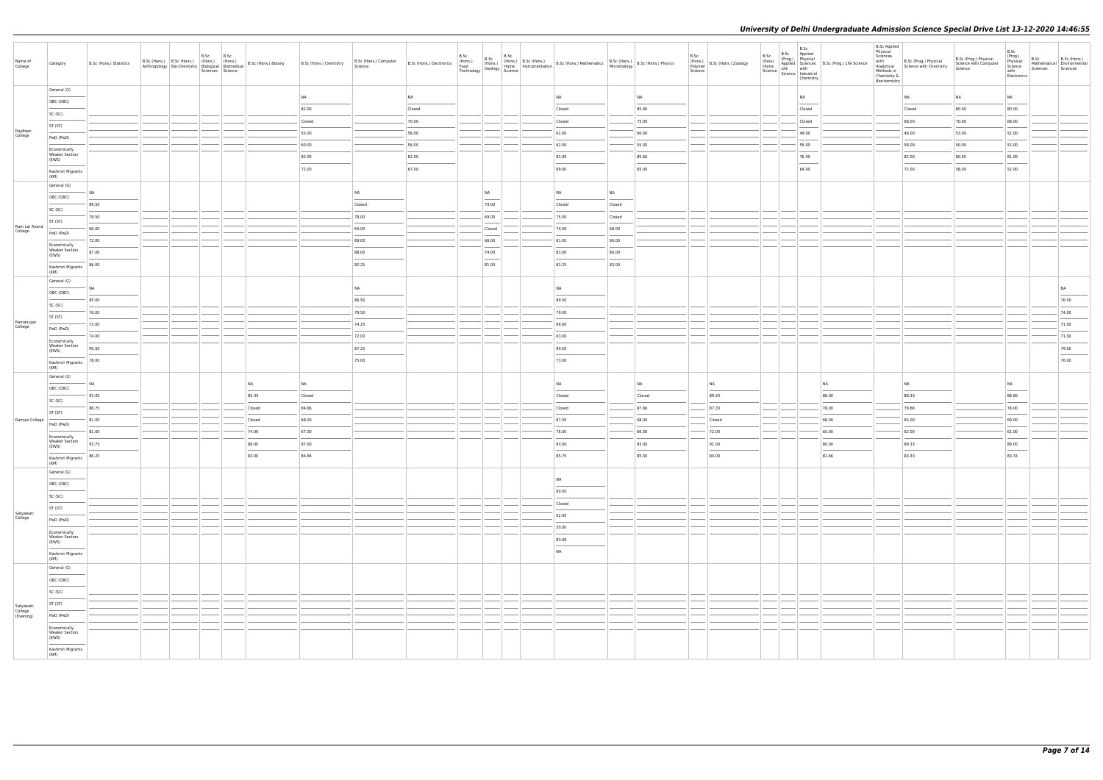| Name of<br>College                | Category                                       | B.Sc (Hons.) Statistics | B.Sc (Hons.) B.Sc (Hons.) (Hons.) (Hons.) | B.Sc<br>Sciences Science | B.Sc | Anthropology Bio-Chemistry   Knons.)   (Hons.)   B.Sc (Hons.) Botany   Anthropology   Bio-Chemistry   $\begin{array}{c c c}\n\ldots & \ldots & \ldots & \ldots \\ \hline\n\end{array}$ | B.Sc (Hons.) Chemistry | B.Sc (Hons.) Computer<br>Science | B.Sc (Hons.) Electronics | B.Sc<br>(Hons.)<br>Food<br>Technology | B.Sc                              |                                       |           |                 | B.Sc<br>Science | (Hons.)<br>Polymer B.Sc (Hons.) Zoology | B.Sc<br>B.Sc Applied<br>B.Sc<br>(Pass) (Prog.) Physical<br>Home Applied Sciences<br>Science Life with<br>Science Industrial<br>Chemistry | (Prog.) Physical<br>Applied Sciences B.Sc (Prog.) Life Science | <b>B.Sc Applied</b><br>Physical<br>Sciences<br>Methods in<br>Chemistry &<br>Biochemistry | with B.Sc (Prog.) Physical<br>Analytical Science with Chemistry | B.Sc (Prog.) Physical<br>Science with Computer<br>Science | B.Sc<br>(Prog.)<br>Physical<br>Science<br>with<br>Electronics | B.Sc<br>Sciences | B.Sc (Hons.)<br>Mathematical Environmental<br>Sciences |
|-----------------------------------|------------------------------------------------|-------------------------|-------------------------------------------|--------------------------|------|----------------------------------------------------------------------------------------------------------------------------------------------------------------------------------------|------------------------|----------------------------------|--------------------------|---------------------------------------|-----------------------------------|---------------------------------------|-----------|-----------------|-----------------|-----------------------------------------|------------------------------------------------------------------------------------------------------------------------------------------|----------------------------------------------------------------|------------------------------------------------------------------------------------------|-----------------------------------------------------------------|-----------------------------------------------------------|---------------------------------------------------------------|------------------|--------------------------------------------------------|
|                                   | General (G)                                    |                         |                                           |                          |      |                                                                                                                                                                                        | NA                     |                                  | <b>NA</b>                |                                       |                                   | <b>NA</b>                             |           | NA              |                 |                                         | <b>NA</b>                                                                                                                                |                                                                |                                                                                          | <b>NA</b>                                                       | NA                                                        | <b>NA</b>                                                     |                  |                                                        |
|                                   | OBC (OBC)                                      |                         |                                           |                          |      |                                                                                                                                                                                        | 82.00                  |                                  | Closed                   |                                       |                                   | Closed                                |           | 85.60           |                 |                                         | Closed                                                                                                                                   |                                                                |                                                                                          | Closed                                                          | 80.00                                                     | 80.00                                                         |                  |                                                        |
|                                   | SC (SC)                                        |                         |                                           |                          |      |                                                                                                                                                                                        | Closed                 |                                  | 70.00                    |                                       |                                   | Closed                                |           | 73.00           |                 |                                         | Closed                                                                                                                                   |                                                                |                                                                                          | 68.00                                                           | 70.00                                                     | 68.00                                                         |                  |                                                        |
| Rajdhani<br>College               | ST (ST)                                        |                         |                                           |                          |      |                                                                                                                                                                                        | 55.00                  |                                  | 58.00                    |                                       |                                   | 62.00                                 |           | 60.00           |                 |                                         | 49.00                                                                                                                                    |                                                                |                                                                                          | 48.00                                                           | 53.00                                                     | 52.00                                                         |                  |                                                        |
|                                   | PwD (PwD)                                      |                         |                                           |                          |      |                                                                                                                                                                                        | 60.00                  |                                  | 58.00                    |                                       |                                   | 62.00                                 |           | 55.00           |                 |                                         | 55.00                                                                                                                                    |                                                                |                                                                                          | 58.00                                                           | 50.00                                                     | 52.00                                                         |                  |                                                        |
|                                   | Economically<br><b>Weaker Section</b><br>(EWS) |                         |                                           |                          |      |                                                                                                                                                                                        | 82.00                  |                                  | 82.00                    |                                       |                                   | 82.00                                 |           | 85.60           |                 |                                         | 76.00                                                                                                                                    |                                                                |                                                                                          | 82.00                                                           | 80.00                                                     | 81.00                                                         |                  |                                                        |
|                                   | Kashmiri Migrants                              |                         |                                           |                          |      |                                                                                                                                                                                        | 72.00                  |                                  | 67.00                    |                                       |                                   | 69.00                                 |           | 65.00           |                 |                                         | 64.00                                                                                                                                    |                                                                |                                                                                          | 72.00                                                           | 58.00                                                     | 52.00                                                         |                  |                                                        |
|                                   | (KM)<br>General (G)                            |                         |                                           |                          |      |                                                                                                                                                                                        |                        |                                  |                          |                                       |                                   |                                       |           |                 |                 |                                         |                                                                                                                                          |                                                                |                                                                                          |                                                                 |                                                           |                                                               |                  |                                                        |
|                                   | OBC (OBC)                                      | NA                      |                                           |                          |      |                                                                                                                                                                                        |                        | <b>NA</b>                        |                          |                                       | NA                                | <b>NA</b>                             | <b>NA</b> |                 |                 |                                         |                                                                                                                                          |                                                                |                                                                                          |                                                                 |                                                           |                                                               |                  |                                                        |
|                                   | SC (SC)                                        | 89.50                   |                                           |                          |      |                                                                                                                                                                                        |                        | Closed                           |                          |                                       | 79.00                             | Closed                                | Closed    |                 |                 |                                         |                                                                                                                                          |                                                                |                                                                                          |                                                                 |                                                           |                                                               |                  |                                                        |
|                                   | ST (ST)                                        | 79.50                   |                                           |                          |      |                                                                                                                                                                                        |                        | 78.00                            |                          |                                       | 69.00                             | 75.50                                 | Closed    |                 |                 |                                         |                                                                                                                                          |                                                                |                                                                                          |                                                                 |                                                           |                                                               |                  |                                                        |
| Ram Lal Anand<br>College          | PwD (PwD)                                      | 66.00                   |                                           |                          |      |                                                                                                                                                                                        |                        | 64.00                            |                          |                                       | Closed                            | 74.00                                 | 69.00     |                 |                 |                                         |                                                                                                                                          |                                                                |                                                                                          |                                                                 |                                                           |                                                               |                  |                                                        |
|                                   | Economically                                   | 72.00                   |                                           |                          |      |                                                                                                                                                                                        |                        | 69.00                            |                          |                                       | 66.00                             | 61.00                                 | 66.00     |                 |                 |                                         |                                                                                                                                          |                                                                |                                                                                          |                                                                 |                                                           |                                                               |                  |                                                        |
|                                   | <b>Weaker Section</b><br>(EWS)                 | 87.00                   |                                           |                          |      |                                                                                                                                                                                        |                        | 88.00                            |                          |                                       | 74.00<br><b>Contract Contract</b> | 83.00                                 | 80.00     |                 |                 |                                         |                                                                                                                                          |                                                                |                                                                                          |                                                                 |                                                           |                                                               |                  |                                                        |
|                                   | Kashmiri Migrants<br>(KM)                      | 86.00                   |                                           |                          |      |                                                                                                                                                                                        |                        | 82.25                            |                          |                                       | 81.00                             | 83.25                                 | 83.00     |                 |                 |                                         |                                                                                                                                          |                                                                |                                                                                          |                                                                 |                                                           |                                                               |                  |                                                        |
|                                   | General (G)                                    |                         |                                           |                          |      |                                                                                                                                                                                        |                        |                                  |                          |                                       |                                   |                                       |           |                 |                 |                                         |                                                                                                                                          |                                                                |                                                                                          |                                                                 |                                                           |                                                               |                  |                                                        |
|                                   | OBC (OBC)                                      | NA                      |                                           |                          |      |                                                                                                                                                                                        |                        | <b>NA</b>                        |                          |                                       |                                   | <b>NA</b>                             |           |                 |                 |                                         |                                                                                                                                          |                                                                |                                                                                          |                                                                 |                                                           |                                                               |                  | <b>NA</b>                                              |
|                                   | SC (SC)                                        | 85.00                   |                                           |                          |      |                                                                                                                                                                                        |                        | 86.50                            |                          |                                       |                                   | 89.50                                 |           |                 |                 |                                         |                                                                                                                                          |                                                                |                                                                                          |                                                                 |                                                           |                                                               |                  | 76.50                                                  |
|                                   | ST (ST)                                        | 76.00                   |                                           |                          |      |                                                                                                                                                                                        |                        | 79.50                            |                          |                                       |                                   | 79.00                                 |           |                 |                 |                                         |                                                                                                                                          |                                                                |                                                                                          |                                                                 |                                                           |                                                               |                  | 74.00                                                  |
| Ramanujan<br>College              | PwD (PwD)                                      | 73.00                   |                                           |                          |      |                                                                                                                                                                                        |                        | 74.25                            |                          |                                       |                                   | 66.00                                 |           |                 |                 |                                         |                                                                                                                                          |                                                                |                                                                                          |                                                                 |                                                           |                                                               |                  | 71.00                                                  |
|                                   | Economically                                   | 74.00                   |                                           |                          |      |                                                                                                                                                                                        |                        | 72.00                            |                          |                                       |                                   | 63.00                                 |           |                 |                 |                                         |                                                                                                                                          |                                                                |                                                                                          |                                                                 |                                                           |                                                               |                  | 71.00                                                  |
|                                   | <b>Weaker Section</b><br>(EWS)                 | 90.50                   |                                           |                          |      |                                                                                                                                                                                        |                        | 87.25                            |                          |                                       |                                   | 90.50                                 |           |                 |                 |                                         |                                                                                                                                          |                                                                |                                                                                          |                                                                 |                                                           |                                                               |                  | 79.00                                                  |
|                                   | Kashmiri Migrants<br>(KM)                      | 78.00                   |                                           |                          |      |                                                                                                                                                                                        |                        | 75.00                            |                          |                                       |                                   | 73.00                                 |           |                 |                 |                                         |                                                                                                                                          |                                                                |                                                                                          |                                                                 |                                                           |                                                               |                  | 76.00                                                  |
|                                   | General (G)                                    |                         |                                           |                          |      |                                                                                                                                                                                        |                        |                                  |                          |                                       |                                   |                                       |           |                 |                 |                                         |                                                                                                                                          |                                                                |                                                                                          |                                                                 |                                                           |                                                               |                  |                                                        |
|                                   | OBC (OBC)                                      | <b>NA</b>               |                                           |                          |      | NA                                                                                                                                                                                     | NA                     |                                  |                          |                                       |                                   | <b>NA</b>                             |           | NA              |                 | NA                                      |                                                                                                                                          | <b>NA</b>                                                      |                                                                                          | NA                                                              |                                                           | NA<br>$\sim$<br>88.66                                         |                  |                                                        |
|                                   | SC (SC)                                        | 93.00                   |                                           |                          |      | 85.33                                                                                                                                                                                  | Closed                 |                                  |                          |                                       |                                   | Closed                                |           | Closed<br>87.66 |                 | 89.33                                   |                                                                                                                                          | 86.00                                                          |                                                                                          | 88.33                                                           |                                                           |                                                               |                  |                                                        |
| Ramjas College                    | ST (ST)                                        | 86.75<br>81.00          |                                           |                          |      | Closed<br>Closed                                                                                                                                                                       | 84.66<br>68.00         |                                  |                          |                                       |                                   | Closed<br>87.50                       |           | 68.00           |                 | 87.33<br>Closed                         |                                                                                                                                          | 78.00<br>68.00                                                 |                                                                                          | 79.66<br>65.00                                                  |                                                           | 78.00<br>69.00                                                |                  |                                                        |
|                                   | PwD (PwD)                                      | 81.00                   |                                           |                          |      | 74.00                                                                                                                                                                                  | 67.00                  |                                  |                          |                                       |                                   | 76.00                                 |           | 66.00           |                 | 72.00                                   |                                                                                                                                          | 65.00                                                          |                                                                                          | 62.00                                                           |                                                           | 61.00                                                         |                  |                                                        |
|                                   | Economically<br><b>Weaker Section</b>          | 93.75                   |                                           |                          |      | 86.00                                                                                                                                                                                  | 87.00                  |                                  |                          |                                       |                                   | 93.00                                 |           | 93.00           |                 | 91.00                                   |                                                                                                                                          | 80.00                                                          |                                                                                          | 89.33                                                           |                                                           | 89.00                                                         |                  |                                                        |
|                                   | (EWS)                                          | 86.25                   |                                           |                          |      | 83.00                                                                                                                                                                                  | 84.66                  |                                  |                          |                                       |                                   | 85.75                                 |           | 85.00           |                 | 84.00                                   |                                                                                                                                          | 81.66                                                          |                                                                                          | 83.33                                                           |                                                           | 83.33                                                         |                  |                                                        |
|                                   | Kashmiri Migrants<br>(KM)                      |                         |                                           |                          |      |                                                                                                                                                                                        |                        |                                  |                          |                                       |                                   |                                       |           |                 |                 |                                         |                                                                                                                                          |                                                                |                                                                                          |                                                                 |                                                           |                                                               |                  |                                                        |
|                                   | General (G)                                    |                         |                                           |                          |      |                                                                                                                                                                                        |                        |                                  |                          |                                       |                                   | <b>NA</b>                             |           |                 |                 |                                         |                                                                                                                                          |                                                                |                                                                                          |                                                                 |                                                           |                                                               |                  |                                                        |
|                                   | OBC (OBC)                                      |                         |                                           |                          |      |                                                                                                                                                                                        |                        |                                  |                          |                                       |                                   | 90.00                                 |           |                 |                 |                                         |                                                                                                                                          |                                                                |                                                                                          |                                                                 |                                                           |                                                               |                  |                                                        |
|                                   | SC (SC)                                        |                         |                                           |                          |      |                                                                                                                                                                                        |                        |                                  |                          |                                       |                                   | Closed                                |           |                 |                 |                                         |                                                                                                                                          |                                                                |                                                                                          |                                                                 |                                                           |                                                               |                  |                                                        |
| Satyawati<br>College              | ST (ST)                                        |                         |                                           |                          |      |                                                                                                                                                                                        |                        |                                  |                          |                                       |                                   | 62.00                                 |           |                 |                 |                                         |                                                                                                                                          |                                                                |                                                                                          |                                                                 |                                                           |                                                               |                  |                                                        |
|                                   | PwD (PwD)                                      |                         |                                           |                          |      |                                                                                                                                                                                        |                        |                                  |                          |                                       |                                   | 50.00                                 |           |                 |                 |                                         |                                                                                                                                          |                                                                |                                                                                          |                                                                 |                                                           |                                                               |                  |                                                        |
|                                   | Economically<br><b>Weaker Section</b><br>(EWS) |                         |                                           |                          |      |                                                                                                                                                                                        |                        |                                  |                          |                                       |                                   | 83.00                                 |           |                 |                 |                                         |                                                                                                                                          |                                                                |                                                                                          |                                                                 |                                                           |                                                               |                  |                                                        |
|                                   | Kashmiri Migrants                              |                         |                                           |                          |      |                                                                                                                                                                                        |                        |                                  |                          |                                       |                                   | $\overline{\phantom{a}}$<br><b>NA</b> |           |                 |                 |                                         |                                                                                                                                          |                                                                |                                                                                          |                                                                 |                                                           |                                                               |                  |                                                        |
|                                   | (KM)<br>General (G)                            |                         |                                           |                          |      |                                                                                                                                                                                        |                        |                                  |                          |                                       |                                   |                                       |           |                 |                 |                                         |                                                                                                                                          |                                                                |                                                                                          |                                                                 |                                                           |                                                               |                  |                                                        |
|                                   | OBC (OBC)                                      |                         |                                           |                          |      |                                                                                                                                                                                        |                        |                                  |                          |                                       |                                   |                                       |           |                 |                 |                                         |                                                                                                                                          |                                                                |                                                                                          |                                                                 |                                                           |                                                               |                  |                                                        |
|                                   | SC (SC)                                        |                         |                                           |                          |      |                                                                                                                                                                                        |                        |                                  |                          |                                       |                                   |                                       |           |                 |                 |                                         |                                                                                                                                          |                                                                |                                                                                          |                                                                 |                                                           |                                                               |                  |                                                        |
|                                   | ST (ST)                                        |                         |                                           |                          |      |                                                                                                                                                                                        |                        |                                  |                          |                                       |                                   |                                       |           |                 |                 |                                         |                                                                                                                                          |                                                                |                                                                                          |                                                                 |                                                           |                                                               |                  |                                                        |
| Satyawati<br>College<br>(Evening) | PwD (PwD)                                      |                         |                                           |                          |      |                                                                                                                                                                                        |                        |                                  |                          |                                       |                                   |                                       |           |                 |                 |                                         |                                                                                                                                          |                                                                |                                                                                          |                                                                 |                                                           |                                                               |                  |                                                        |
|                                   | Economically                                   |                         |                                           |                          |      |                                                                                                                                                                                        |                        |                                  |                          |                                       |                                   |                                       |           |                 |                 |                                         |                                                                                                                                          |                                                                |                                                                                          |                                                                 |                                                           |                                                               |                  |                                                        |
|                                   | <b>Weaker Section</b><br>(EWS)                 |                         |                                           |                          |      |                                                                                                                                                                                        |                        |                                  |                          |                                       |                                   |                                       |           |                 |                 |                                         |                                                                                                                                          |                                                                |                                                                                          |                                                                 |                                                           |                                                               |                  |                                                        |
|                                   | Kashmiri Migrants<br>(KM)                      |                         |                                           |                          |      |                                                                                                                                                                                        |                        |                                  |                          |                                       |                                   |                                       |           |                 |                 |                                         |                                                                                                                                          |                                                                |                                                                                          |                                                                 |                                                           |                                                               |                  |                                                        |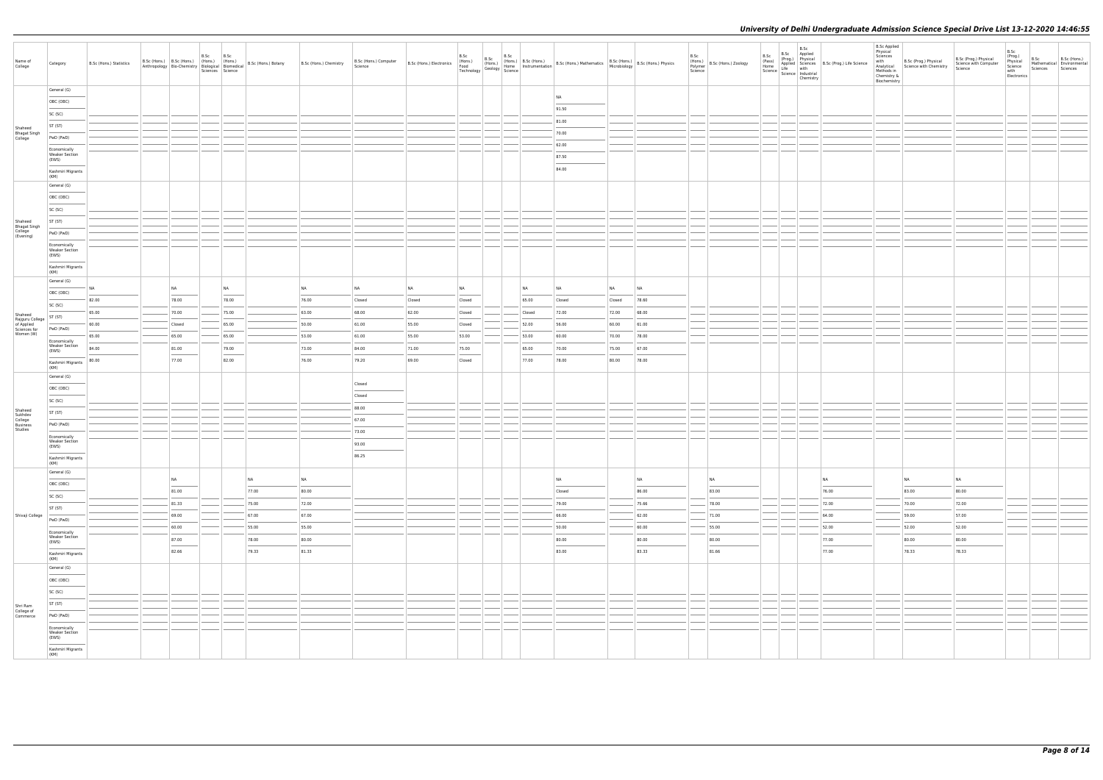| Name of<br>College                   | Category                                       | B.Sc (Hons.) Statistics |           | B.Sc B.Sc | Sciences Science |       | $\begin{array}{ l l l l } \hline \multicolumn{3}{c }{\text{Trivial}} & \multicolumn{3}{c }{\text{trivial}} & \multicolumn{3}{c }{\text{trivial}} & \multicolumn{3}{c }{\text{trivial}} & \multicolumn{3}{c }{\text{R.Sc (Hons.) Botany}} & \multicolumn{3}{c }{\text{B.Sc (Hons.) Denicity}} \\ \hline \multicolumn{3}{c }{\text{Arthropology}} & \multicolumn{3}{c }{\text{Bio-Chemistry}} & \multicolumn{3}{c }{\text{Biological}} & \multicolumn{3}{c }{\text{Biomedical}} & \multicolumn{3}{c }{$ | B.Sc (Hons.) Computer<br>Science | B.Sc (Hons.) Electronics<br>Food<br>Technology | B.Sc   |  | $\begin{array}{ c c c c c } \hline \text{B.Sc} & \text{B.Sc (Hons.)} \hline \end{array}$ | $\begin{array}{ l l l l l } \hline & B.SC & B.SC & (Hons.) & \\ \hline (Hons.) & \begin{array}{l l l l} \text{B.Sc (Hons.)} & \text{B.Sc (Hons.)} & \text{Mathematics} & \begin{array}{l l l l} \text{B.Sc (Hons.)} & \text{B.Sc (Hons.)} & \text{Matsimetric} \end{array} & \begin{array}{l l l l l} \text{B.Sc (Hons.)} & \begin{array}{l l l l l} \text{B.Sc (Hons.)} & \begin{array}{l l l l l} \text{B.Sc (Hons.)} & \$ |        |       | B.Sc | (Hons.)<br>Polymer B.Sc (Hons.) Zoology<br>Science | B.Sc<br>(Pass) | B.Sc<br>B.Sc Applied<br>(Prog.) Physical<br>(Pass)<br>Home Applied Sciences<br>B.Sc (Prog.) Life Science<br>Science life with<br>Science Industrial<br>Chemistry | <b>B.Sc Applied</b><br>Physical<br>Sciences<br>with<br>Chemistry &<br>Biochemistry | B.Sc (Prog.) Physical<br>Analytical Science with Chemistry<br>Methods in | B.Sc (Prog.) Physical<br>Science with Computer<br>Science | B.Sc<br>(Prog.)<br>Physical<br>Science<br>with<br>Electronics | B.Sc<br>Sciences | B.Sc (Hons.)<br>Mathematical Environmental<br>Sciences |
|--------------------------------------|------------------------------------------------|-------------------------|-----------|-----------|------------------|-------|-------------------------------------------------------------------------------------------------------------------------------------------------------------------------------------------------------------------------------------------------------------------------------------------------------------------------------------------------------------------------------------------------------------------------------------------------------------------------------------------------------|----------------------------------|------------------------------------------------|--------|--|------------------------------------------------------------------------------------------|------------------------------------------------------------------------------------------------------------------------------------------------------------------------------------------------------------------------------------------------------------------------------------------------------------------------------------------------------------------------------------------------------------------------------|--------|-------|------|----------------------------------------------------|----------------|------------------------------------------------------------------------------------------------------------------------------------------------------------------|------------------------------------------------------------------------------------|--------------------------------------------------------------------------|-----------------------------------------------------------|---------------------------------------------------------------|------------------|--------------------------------------------------------|
|                                      | General (G)                                    |                         |           |           |                  |       |                                                                                                                                                                                                                                                                                                                                                                                                                                                                                                       |                                  |                                                |        |  |                                                                                          |                                                                                                                                                                                                                                                                                                                                                                                                                              |        |       |      |                                                    |                |                                                                                                                                                                  |                                                                                    |                                                                          |                                                           |                                                               |                  |                                                        |
|                                      | OBC (OBC)                                      |                         |           |           |                  |       |                                                                                                                                                                                                                                                                                                                                                                                                                                                                                                       |                                  |                                                |        |  |                                                                                          | NA                                                                                                                                                                                                                                                                                                                                                                                                                           |        |       |      |                                                    |                |                                                                                                                                                                  |                                                                                    |                                                                          |                                                           |                                                               |                  |                                                        |
|                                      | SC (SC)                                        |                         |           |           |                  |       |                                                                                                                                                                                                                                                                                                                                                                                                                                                                                                       |                                  |                                                |        |  |                                                                                          | 91.50                                                                                                                                                                                                                                                                                                                                                                                                                        |        |       |      |                                                    |                |                                                                                                                                                                  |                                                                                    |                                                                          |                                                           |                                                               |                  |                                                        |
|                                      |                                                |                         |           |           |                  |       |                                                                                                                                                                                                                                                                                                                                                                                                                                                                                                       |                                  |                                                |        |  |                                                                                          | 81.00                                                                                                                                                                                                                                                                                                                                                                                                                        |        |       |      |                                                    |                |                                                                                                                                                                  |                                                                                    |                                                                          |                                                           |                                                               |                  |                                                        |
| Shaheed<br><b>Bhagat Singh</b>       | ST (ST)                                        |                         |           |           |                  |       |                                                                                                                                                                                                                                                                                                                                                                                                                                                                                                       |                                  |                                                |        |  |                                                                                          | 70.00                                                                                                                                                                                                                                                                                                                                                                                                                        |        |       |      |                                                    |                |                                                                                                                                                                  |                                                                                    |                                                                          |                                                           |                                                               |                  |                                                        |
| College                              | PwD (PwD)                                      |                         |           |           |                  |       |                                                                                                                                                                                                                                                                                                                                                                                                                                                                                                       |                                  |                                                |        |  |                                                                                          |                                                                                                                                                                                                                                                                                                                                                                                                                              |        |       |      |                                                    |                |                                                                                                                                                                  |                                                                                    |                                                                          |                                                           |                                                               |                  |                                                        |
|                                      | Economically<br><b>Weaker Section</b><br>(EWS) |                         |           |           |                  |       |                                                                                                                                                                                                                                                                                                                                                                                                                                                                                                       |                                  |                                                |        |  |                                                                                          | 62.00<br>87.50                                                                                                                                                                                                                                                                                                                                                                                                               |        |       |      |                                                    |                |                                                                                                                                                                  |                                                                                    |                                                                          |                                                           |                                                               |                  |                                                        |
|                                      | Kashmiri Migrants<br>(KM)                      |                         |           |           |                  |       |                                                                                                                                                                                                                                                                                                                                                                                                                                                                                                       |                                  |                                                |        |  |                                                                                          | 84.00                                                                                                                                                                                                                                                                                                                                                                                                                        |        |       |      |                                                    |                |                                                                                                                                                                  |                                                                                    |                                                                          |                                                           |                                                               |                  |                                                        |
|                                      | General (G)                                    |                         |           |           |                  |       |                                                                                                                                                                                                                                                                                                                                                                                                                                                                                                       |                                  |                                                |        |  |                                                                                          |                                                                                                                                                                                                                                                                                                                                                                                                                              |        |       |      |                                                    |                |                                                                                                                                                                  |                                                                                    |                                                                          |                                                           |                                                               |                  |                                                        |
|                                      | OBC (OBC)                                      |                         |           |           |                  |       |                                                                                                                                                                                                                                                                                                                                                                                                                                                                                                       |                                  |                                                |        |  |                                                                                          |                                                                                                                                                                                                                                                                                                                                                                                                                              |        |       |      |                                                    |                |                                                                                                                                                                  |                                                                                    |                                                                          |                                                           |                                                               |                  |                                                        |
|                                      |                                                |                         |           |           |                  |       |                                                                                                                                                                                                                                                                                                                                                                                                                                                                                                       |                                  |                                                |        |  |                                                                                          |                                                                                                                                                                                                                                                                                                                                                                                                                              |        |       |      |                                                    |                |                                                                                                                                                                  |                                                                                    |                                                                          |                                                           |                                                               |                  |                                                        |
|                                      | SC (SC)                                        |                         |           |           |                  |       |                                                                                                                                                                                                                                                                                                                                                                                                                                                                                                       |                                  |                                                |        |  |                                                                                          |                                                                                                                                                                                                                                                                                                                                                                                                                              |        |       |      |                                                    |                |                                                                                                                                                                  |                                                                                    |                                                                          |                                                           |                                                               |                  |                                                        |
| Shaheed                              | ST (ST)                                        |                         |           |           |                  |       |                                                                                                                                                                                                                                                                                                                                                                                                                                                                                                       |                                  |                                                |        |  |                                                                                          |                                                                                                                                                                                                                                                                                                                                                                                                                              |        |       |      |                                                    |                |                                                                                                                                                                  |                                                                                    |                                                                          |                                                           |                                                               |                  |                                                        |
| Bhagat Singh<br>College<br>(Evening) | PwD (PwD)                                      |                         |           |           |                  |       |                                                                                                                                                                                                                                                                                                                                                                                                                                                                                                       |                                  |                                                |        |  |                                                                                          |                                                                                                                                                                                                                                                                                                                                                                                                                              |        |       |      |                                                    |                |                                                                                                                                                                  |                                                                                    |                                                                          |                                                           |                                                               |                  |                                                        |
|                                      | Economically                                   |                         |           |           |                  |       |                                                                                                                                                                                                                                                                                                                                                                                                                                                                                                       |                                  |                                                |        |  |                                                                                          |                                                                                                                                                                                                                                                                                                                                                                                                                              |        |       |      |                                                    |                |                                                                                                                                                                  |                                                                                    |                                                                          |                                                           |                                                               |                  |                                                        |
|                                      | <b>Weaker Section</b><br>(EWS)                 |                         |           |           |                  |       |                                                                                                                                                                                                                                                                                                                                                                                                                                                                                                       |                                  |                                                |        |  |                                                                                          |                                                                                                                                                                                                                                                                                                                                                                                                                              |        |       |      |                                                    |                |                                                                                                                                                                  |                                                                                    |                                                                          |                                                           |                                                               |                  |                                                        |
|                                      | Kashmiri Migrants<br>(KM)                      |                         |           |           |                  |       |                                                                                                                                                                                                                                                                                                                                                                                                                                                                                                       |                                  |                                                |        |  |                                                                                          |                                                                                                                                                                                                                                                                                                                                                                                                                              |        |       |      |                                                    |                |                                                                                                                                                                  |                                                                                    |                                                                          |                                                           |                                                               |                  |                                                        |
|                                      | General (G)                                    | NA                      | <b>NA</b> |           | NA               |       | NA                                                                                                                                                                                                                                                                                                                                                                                                                                                                                                    | <b>NA</b>                        | <b>NA</b>                                      | NA     |  | NA                                                                                       | NA                                                                                                                                                                                                                                                                                                                                                                                                                           | NA     | NA    |      |                                                    |                |                                                                                                                                                                  |                                                                                    |                                                                          |                                                           |                                                               |                  |                                                        |
|                                      | OBC (OBC)                                      |                         | 78.00     |           | 78.00            |       | 76.00                                                                                                                                                                                                                                                                                                                                                                                                                                                                                                 | Closed                           |                                                | Closed |  | 65.00                                                                                    | Closed                                                                                                                                                                                                                                                                                                                                                                                                                       |        | 78.60 |      |                                                    |                |                                                                                                                                                                  |                                                                                    |                                                                          |                                                           |                                                               |                  |                                                        |
|                                      | SC (SC)                                        | 82.00                   |           |           |                  |       |                                                                                                                                                                                                                                                                                                                                                                                                                                                                                                       |                                  | Closed                                         |        |  |                                                                                          |                                                                                                                                                                                                                                                                                                                                                                                                                              | Closed |       |      |                                                    |                |                                                                                                                                                                  |                                                                                    |                                                                          |                                                           |                                                               |                  |                                                        |
| Shaheed<br>Rajguru College           | ST (ST)                                        | 65.00                   | 70.00     |           | 75.00            |       | 63.00                                                                                                                                                                                                                                                                                                                                                                                                                                                                                                 | 68.00                            | 62.00                                          | Closed |  | Closed                                                                                   | 72.00                                                                                                                                                                                                                                                                                                                                                                                                                        | 72.00  | 68.00 |      |                                                    |                |                                                                                                                                                                  |                                                                                    |                                                                          |                                                           |                                                               |                  |                                                        |
| of Applied<br>Sciences for           | PwD (PwD)                                      | 60.00                   | Closed    |           | 65.00            |       | 50.00                                                                                                                                                                                                                                                                                                                                                                                                                                                                                                 | 61.00                            | 55.00                                          | Closed |  | 52.00                                                                                    | 56.00                                                                                                                                                                                                                                                                                                                                                                                                                        | 60.00  | 61.00 |      |                                                    |                |                                                                                                                                                                  |                                                                                    |                                                                          |                                                           |                                                               |                  |                                                        |
| Women (W)                            |                                                | 65.00                   | 65.00     |           | 65.00            |       | 53.00                                                                                                                                                                                                                                                                                                                                                                                                                                                                                                 | 61.00                            | 55.00                                          | 53.00  |  | 53.00                                                                                    | 60.00                                                                                                                                                                                                                                                                                                                                                                                                                        | 70.00  | 78.00 |      |                                                    |                |                                                                                                                                                                  |                                                                                    |                                                                          |                                                           |                                                               |                  |                                                        |
|                                      | Economically<br><b>Weaker Section</b>          | 84.00                   | 81.00     |           | 79.00            |       | 73.00                                                                                                                                                                                                                                                                                                                                                                                                                                                                                                 | 84.00                            | 71.00                                          | 75.00  |  | 65.00                                                                                    | 70.00                                                                                                                                                                                                                                                                                                                                                                                                                        | 75.00  | 67.00 |      |                                                    |                |                                                                                                                                                                  |                                                                                    |                                                                          |                                                           |                                                               |                  |                                                        |
|                                      | (EWS)<br>Kashmiri Migrants<br>(KM)             | 80.00                   | 77.00     |           | 82.00            |       | 76.00                                                                                                                                                                                                                                                                                                                                                                                                                                                                                                 | 79.20                            | 69.00                                          | Closed |  | 77.00                                                                                    | 78.00                                                                                                                                                                                                                                                                                                                                                                                                                        | 80.00  | 78.00 |      |                                                    |                |                                                                                                                                                                  |                                                                                    |                                                                          |                                                           |                                                               |                  |                                                        |
|                                      | General (G)                                    |                         |           |           |                  |       |                                                                                                                                                                                                                                                                                                                                                                                                                                                                                                       | Closed                           |                                                |        |  |                                                                                          |                                                                                                                                                                                                                                                                                                                                                                                                                              |        |       |      |                                                    |                |                                                                                                                                                                  |                                                                                    |                                                                          |                                                           |                                                               |                  |                                                        |
|                                      | OBC (OBC)                                      |                         |           |           |                  |       |                                                                                                                                                                                                                                                                                                                                                                                                                                                                                                       |                                  |                                                |        |  |                                                                                          |                                                                                                                                                                                                                                                                                                                                                                                                                              |        |       |      |                                                    |                |                                                                                                                                                                  |                                                                                    |                                                                          |                                                           |                                                               |                  |                                                        |
|                                      | SC (SC)                                        |                         |           |           |                  |       |                                                                                                                                                                                                                                                                                                                                                                                                                                                                                                       | Closed                           |                                                |        |  |                                                                                          |                                                                                                                                                                                                                                                                                                                                                                                                                              |        |       |      |                                                    |                |                                                                                                                                                                  |                                                                                    |                                                                          |                                                           |                                                               |                  |                                                        |
| Shaheed                              | ST (ST)                                        |                         |           |           |                  |       |                                                                                                                                                                                                                                                                                                                                                                                                                                                                                                       | 88.00                            |                                                |        |  |                                                                                          |                                                                                                                                                                                                                                                                                                                                                                                                                              |        |       |      |                                                    |                |                                                                                                                                                                  |                                                                                    |                                                                          |                                                           |                                                               |                  |                                                        |
| Sukhdev<br>College                   |                                                |                         |           |           |                  |       |                                                                                                                                                                                                                                                                                                                                                                                                                                                                                                       | 67.00                            |                                                |        |  |                                                                                          |                                                                                                                                                                                                                                                                                                                                                                                                                              |        |       |      |                                                    |                |                                                                                                                                                                  |                                                                                    |                                                                          |                                                           |                                                               |                  |                                                        |
| <b>Business</b><br>Studies           | PwD (PwD)                                      |                         |           |           |                  |       |                                                                                                                                                                                                                                                                                                                                                                                                                                                                                                       | 73.00                            |                                                |        |  |                                                                                          |                                                                                                                                                                                                                                                                                                                                                                                                                              |        |       |      |                                                    |                |                                                                                                                                                                  |                                                                                    |                                                                          |                                                           |                                                               |                  |                                                        |
|                                      | Economically<br><b>Weaker Section</b><br>(EWS) |                         |           |           |                  |       |                                                                                                                                                                                                                                                                                                                                                                                                                                                                                                       | 93.00<br>$\frac{1}{2}$           |                                                |        |  |                                                                                          |                                                                                                                                                                                                                                                                                                                                                                                                                              |        |       |      |                                                    |                |                                                                                                                                                                  |                                                                                    |                                                                          |                                                           |                                                               |                  |                                                        |
|                                      | Kashmiri Migrants<br>(KM)                      |                         |           |           |                  |       |                                                                                                                                                                                                                                                                                                                                                                                                                                                                                                       | 86.25                            |                                                |        |  |                                                                                          |                                                                                                                                                                                                                                                                                                                                                                                                                              |        |       |      |                                                    |                |                                                                                                                                                                  |                                                                                    |                                                                          |                                                           |                                                               |                  |                                                        |
|                                      | General (G)                                    |                         |           |           |                  |       |                                                                                                                                                                                                                                                                                                                                                                                                                                                                                                       |                                  |                                                |        |  |                                                                                          |                                                                                                                                                                                                                                                                                                                                                                                                                              |        |       |      |                                                    |                |                                                                                                                                                                  |                                                                                    |                                                                          |                                                           |                                                               |                  |                                                        |
|                                      | OBC (OBC)                                      |                         | <b>NA</b> |           |                  | NA    | NA                                                                                                                                                                                                                                                                                                                                                                                                                                                                                                    |                                  |                                                |        |  |                                                                                          | NA                                                                                                                                                                                                                                                                                                                                                                                                                           |        | NA    |      | <b>NA</b>                                          |                | NA                                                                                                                                                               |                                                                                    | NA                                                                       | NA                                                        |                                                               |                  |                                                        |
|                                      | SC (SC)                                        |                         | 81.00     |           |                  | 77.00 | 80.00                                                                                                                                                                                                                                                                                                                                                                                                                                                                                                 |                                  |                                                |        |  |                                                                                          | Closed                                                                                                                                                                                                                                                                                                                                                                                                                       |        | 86.00 |      | 83.00                                              |                | 76.00                                                                                                                                                            |                                                                                    | 83.00                                                                    | 80.00                                                     |                                                               |                  |                                                        |
|                                      |                                                |                         | 81.33     |           |                  | 75.00 | 72.00                                                                                                                                                                                                                                                                                                                                                                                                                                                                                                 |                                  |                                                |        |  |                                                                                          | 79.00                                                                                                                                                                                                                                                                                                                                                                                                                        |        | 75.66 |      | 78.00                                              |                | 72.00                                                                                                                                                            |                                                                                    | 70.00                                                                    | 72.00                                                     |                                                               |                  |                                                        |
| Shivaji College                      | ST (ST)                                        |                         | 69.00     |           |                  | 67.00 | 67.00                                                                                                                                                                                                                                                                                                                                                                                                                                                                                                 |                                  |                                                |        |  |                                                                                          | 66.00                                                                                                                                                                                                                                                                                                                                                                                                                        |        | 62.00 |      | 71.00                                              |                | 64.00                                                                                                                                                            |                                                                                    | 59.00                                                                    | 57.00                                                     |                                                               |                  |                                                        |
|                                      | PwD (PwD)                                      |                         |           |           |                  |       |                                                                                                                                                                                                                                                                                                                                                                                                                                                                                                       |                                  |                                                |        |  |                                                                                          |                                                                                                                                                                                                                                                                                                                                                                                                                              |        |       |      |                                                    |                |                                                                                                                                                                  |                                                                                    |                                                                          |                                                           |                                                               |                  |                                                        |
|                                      | Economically<br>Weaker Section                 |                         | 60.00     |           |                  | 55.00 | 55.00                                                                                                                                                                                                                                                                                                                                                                                                                                                                                                 |                                  |                                                |        |  |                                                                                          | 50.00                                                                                                                                                                                                                                                                                                                                                                                                                        |        | 60.00 |      | 55.00                                              |                | 52.00                                                                                                                                                            |                                                                                    | 52.00                                                                    | 52.00                                                     |                                                               |                  |                                                        |
|                                      | (EWS)                                          |                         | 87.00     |           |                  | 78.00 | 80.00                                                                                                                                                                                                                                                                                                                                                                                                                                                                                                 |                                  |                                                |        |  |                                                                                          | 80.00                                                                                                                                                                                                                                                                                                                                                                                                                        |        | 80.00 |      | 80.00                                              |                | 77.00                                                                                                                                                            |                                                                                    | 80.00                                                                    | 80.00                                                     |                                                               |                  |                                                        |
|                                      | Kashmiri Migrants<br>(KM)                      |                         | 82.66     |           |                  | 79.33 | 81.33                                                                                                                                                                                                                                                                                                                                                                                                                                                                                                 |                                  |                                                |        |  |                                                                                          | 83.00                                                                                                                                                                                                                                                                                                                                                                                                                        |        | 83.33 |      | 81.66                                              |                | 77.00                                                                                                                                                            |                                                                                    | 78.33                                                                    | 78.33                                                     |                                                               |                  |                                                        |
|                                      | General (G)                                    |                         |           |           |                  |       |                                                                                                                                                                                                                                                                                                                                                                                                                                                                                                       |                                  |                                                |        |  |                                                                                          |                                                                                                                                                                                                                                                                                                                                                                                                                              |        |       |      |                                                    |                |                                                                                                                                                                  |                                                                                    |                                                                          |                                                           |                                                               |                  |                                                        |
|                                      | OBC (OBC)                                      |                         |           |           |                  |       |                                                                                                                                                                                                                                                                                                                                                                                                                                                                                                       |                                  |                                                |        |  |                                                                                          |                                                                                                                                                                                                                                                                                                                                                                                                                              |        |       |      |                                                    |                |                                                                                                                                                                  |                                                                                    |                                                                          |                                                           |                                                               |                  |                                                        |
|                                      | SC (SC)                                        |                         |           |           |                  |       |                                                                                                                                                                                                                                                                                                                                                                                                                                                                                                       |                                  |                                                |        |  |                                                                                          |                                                                                                                                                                                                                                                                                                                                                                                                                              |        |       |      |                                                    |                |                                                                                                                                                                  |                                                                                    |                                                                          |                                                           |                                                               |                  |                                                        |
| Shri Ram<br>College of               | ST (ST)                                        |                         |           |           |                  |       |                                                                                                                                                                                                                                                                                                                                                                                                                                                                                                       |                                  |                                                |        |  |                                                                                          |                                                                                                                                                                                                                                                                                                                                                                                                                              |        |       |      |                                                    |                |                                                                                                                                                                  |                                                                                    |                                                                          |                                                           |                                                               |                  |                                                        |
| Commerce                             | PwD (PwD)                                      |                         |           |           |                  |       |                                                                                                                                                                                                                                                                                                                                                                                                                                                                                                       |                                  |                                                |        |  |                                                                                          |                                                                                                                                                                                                                                                                                                                                                                                                                              |        |       |      |                                                    |                |                                                                                                                                                                  |                                                                                    |                                                                          |                                                           |                                                               |                  |                                                        |
|                                      | Economically<br>Weaker Section<br>(EWS)        |                         |           |           |                  |       |                                                                                                                                                                                                                                                                                                                                                                                                                                                                                                       |                                  |                                                |        |  |                                                                                          |                                                                                                                                                                                                                                                                                                                                                                                                                              |        |       |      |                                                    |                |                                                                                                                                                                  |                                                                                    |                                                                          |                                                           |                                                               |                  |                                                        |
|                                      | Kashmiri Migrants                              |                         |           |           |                  |       |                                                                                                                                                                                                                                                                                                                                                                                                                                                                                                       |                                  |                                                |        |  |                                                                                          |                                                                                                                                                                                                                                                                                                                                                                                                                              |        |       |      |                                                    |                |                                                                                                                                                                  |                                                                                    |                                                                          |                                                           |                                                               |                  |                                                        |
|                                      | (KM)                                           |                         |           |           |                  |       |                                                                                                                                                                                                                                                                                                                                                                                                                                                                                                       |                                  |                                                |        |  |                                                                                          |                                                                                                                                                                                                                                                                                                                                                                                                                              |        |       |      |                                                    |                |                                                                                                                                                                  |                                                                                    |                                                                          |                                                           |                                                               |                  |                                                        |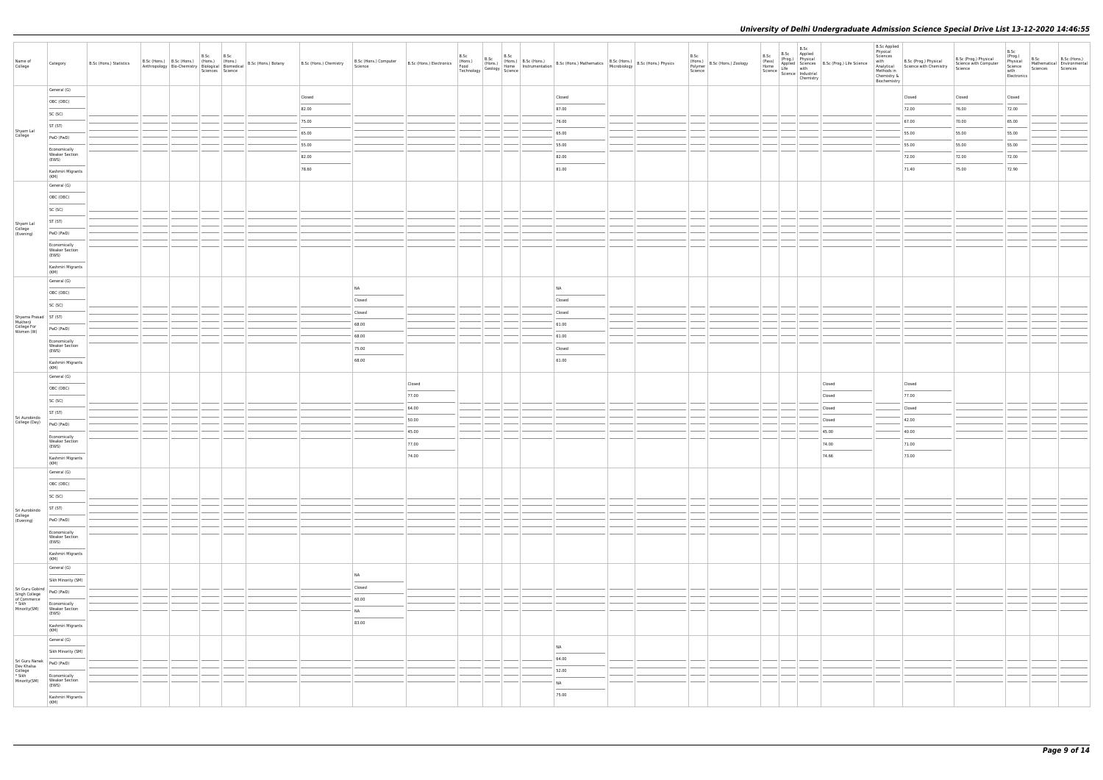| Name of<br>College                                                 | Category                                                                                                                                                                                                                                                   | B.Sc (Hons.) Statistics | B.Sc (Hons.) B.Sc (Hons.) (Hons.) (Hons.) | B.Sc | B.Sc<br>Sciences Science | $\left \begin{array}{c c c c c} \text{Anthropology} & \text{Bioc-hemistry} & \text{Imous.}\end{array}\right  \left \begin{array}{c c c} \text{Imous.}\end{array}\right  & \text{H001S.}\end{array}\right  \left \begin{array}{c c c c} \text{H001S.}\end{array}\right  \left \begin{array}{c c c} \text{B.Sc (Hons.) Botany} & \text{B.}\end{array}\right $ | B.Sc (Hons.) Chemistry | B.Sc (Hons.) Computer<br>Science                                                                                                                                                                                                                                                                                                                                                                                                                                                        | B.Sc (Hons.) Electronics<br>Food<br>Technology<br>Technology | B.Sc |  |           | B.Sc<br>(Hons.)<br>Polymer B.Sc (Hons.) Zoology<br>Science | B.Sc<br>(Pass)<br>Home | B.Sc<br>B.Sc Applied<br>(Prog.) Physical<br>Home<br>Science Life with<br>Science Industrial<br>Chemistry | Applied Sciences B.Sc (Prog.) Life Science | <b>B.Sc Applied</b><br>Physical<br>Sciences<br>Methods in<br>Chemistry &<br>Biochemistry | with B.Sc (Prog.) Physical<br>Analytical Science with Chemistry | B.Sc (Prog.) Physical<br>Science with Computer<br>Science | B.Sc<br>(Prog.)<br>Physical<br>Science<br>with<br>Electronics | B.Sc<br>Sciences | B.Sc (Hons.)<br>Mathematical Environmental<br>Sciences |
|--------------------------------------------------------------------|------------------------------------------------------------------------------------------------------------------------------------------------------------------------------------------------------------------------------------------------------------|-------------------------|-------------------------------------------|------|--------------------------|-------------------------------------------------------------------------------------------------------------------------------------------------------------------------------------------------------------------------------------------------------------------------------------------------------------------------------------------------------------|------------------------|-----------------------------------------------------------------------------------------------------------------------------------------------------------------------------------------------------------------------------------------------------------------------------------------------------------------------------------------------------------------------------------------------------------------------------------------------------------------------------------------|--------------------------------------------------------------|------|--|-----------|------------------------------------------------------------|------------------------|----------------------------------------------------------------------------------------------------------|--------------------------------------------|------------------------------------------------------------------------------------------|-----------------------------------------------------------------|-----------------------------------------------------------|---------------------------------------------------------------|------------------|--------------------------------------------------------|
|                                                                    | General (G)                                                                                                                                                                                                                                                |                         |                                           |      |                          |                                                                                                                                                                                                                                                                                                                                                             | Closed                 |                                                                                                                                                                                                                                                                                                                                                                                                                                                                                         |                                                              |      |  | Closed    |                                                            |                        |                                                                                                          |                                            |                                                                                          | Closed                                                          | Closed                                                    | Closed                                                        |                  |                                                        |
|                                                                    | OBC (OBC)                                                                                                                                                                                                                                                  |                         |                                           |      |                          |                                                                                                                                                                                                                                                                                                                                                             | 82.00                  |                                                                                                                                                                                                                                                                                                                                                                                                                                                                                         |                                                              |      |  | 87.00     |                                                            |                        |                                                                                                          |                                            |                                                                                          | 72.00                                                           | 76.00                                                     | 72.00                                                         |                  |                                                        |
|                                                                    | SC (SC)                                                                                                                                                                                                                                                    |                         |                                           |      |                          |                                                                                                                                                                                                                                                                                                                                                             |                        |                                                                                                                                                                                                                                                                                                                                                                                                                                                                                         |                                                              |      |  | 76.00     |                                                            |                        |                                                                                                          |                                            |                                                                                          |                                                                 | 70.00                                                     |                                                               |                  |                                                        |
|                                                                    | ST (ST)                                                                                                                                                                                                                                                    |                         |                                           |      |                          |                                                                                                                                                                                                                                                                                                                                                             | 75.00<br>65.00         |                                                                                                                                                                                                                                                                                                                                                                                                                                                                                         |                                                              |      |  | 65.00     |                                                            |                        |                                                                                                          |                                            |                                                                                          | 67.00<br>55.00                                                  | 55.00                                                     | 65.00<br>55.00                                                |                  |                                                        |
| Shyam Lal<br>College                                               | PwD (PwD)                                                                                                                                                                                                                                                  |                         |                                           |      |                          |                                                                                                                                                                                                                                                                                                                                                             | 55.00                  |                                                                                                                                                                                                                                                                                                                                                                                                                                                                                         |                                                              |      |  | 55.00     |                                                            |                        |                                                                                                          |                                            |                                                                                          | 55.00                                                           | 55.00                                                     | 55.00                                                         |                  |                                                        |
|                                                                    | Economically<br><b>Weaker Section</b>                                                                                                                                                                                                                      |                         |                                           |      |                          |                                                                                                                                                                                                                                                                                                                                                             | 82.00                  |                                                                                                                                                                                                                                                                                                                                                                                                                                                                                         |                                                              |      |  | 82.00     |                                                            |                        |                                                                                                          |                                            |                                                                                          | 72.00                                                           | 72.00                                                     |                                                               |                  |                                                        |
|                                                                    | (EWS)                                                                                                                                                                                                                                                      |                         |                                           |      |                          |                                                                                                                                                                                                                                                                                                                                                             | 78.60                  |                                                                                                                                                                                                                                                                                                                                                                                                                                                                                         |                                                              |      |  | 81.00     |                                                            |                        |                                                                                                          |                                            |                                                                                          | 71.40                                                           | 75.00                                                     | 72.00<br>72.90                                                |                  |                                                        |
|                                                                    | Kashmiri Migrants<br>(KM)                                                                                                                                                                                                                                  |                         |                                           |      |                          |                                                                                                                                                                                                                                                                                                                                                             |                        |                                                                                                                                                                                                                                                                                                                                                                                                                                                                                         |                                                              |      |  |           |                                                            |                        |                                                                                                          |                                            |                                                                                          |                                                                 |                                                           |                                                               |                  |                                                        |
|                                                                    | General (G)                                                                                                                                                                                                                                                |                         |                                           |      |                          |                                                                                                                                                                                                                                                                                                                                                             |                        |                                                                                                                                                                                                                                                                                                                                                                                                                                                                                         |                                                              |      |  |           |                                                            |                        |                                                                                                          |                                            |                                                                                          |                                                                 |                                                           |                                                               |                  |                                                        |
|                                                                    | OBC (OBC)                                                                                                                                                                                                                                                  |                         |                                           |      |                          |                                                                                                                                                                                                                                                                                                                                                             |                        |                                                                                                                                                                                                                                                                                                                                                                                                                                                                                         |                                                              |      |  |           |                                                            |                        |                                                                                                          |                                            |                                                                                          |                                                                 |                                                           |                                                               |                  |                                                        |
|                                                                    | SC (SC)                                                                                                                                                                                                                                                    |                         |                                           |      |                          |                                                                                                                                                                                                                                                                                                                                                             |                        |                                                                                                                                                                                                                                                                                                                                                                                                                                                                                         |                                                              |      |  |           |                                                            |                        |                                                                                                          |                                            |                                                                                          |                                                                 |                                                           |                                                               |                  |                                                        |
| Shyam Lal<br>College<br>(Evening)                                  | ST (ST)                                                                                                                                                                                                                                                    |                         |                                           |      |                          |                                                                                                                                                                                                                                                                                                                                                             |                        |                                                                                                                                                                                                                                                                                                                                                                                                                                                                                         |                                                              |      |  |           |                                                            |                        |                                                                                                          |                                            |                                                                                          |                                                                 |                                                           |                                                               |                  |                                                        |
|                                                                    | PwD (PwD)                                                                                                                                                                                                                                                  |                         |                                           |      |                          |                                                                                                                                                                                                                                                                                                                                                             |                        |                                                                                                                                                                                                                                                                                                                                                                                                                                                                                         |                                                              |      |  |           |                                                            |                        |                                                                                                          |                                            |                                                                                          |                                                                 |                                                           |                                                               |                  |                                                        |
|                                                                    | Economically<br><b>Weaker Section</b>                                                                                                                                                                                                                      |                         |                                           |      |                          |                                                                                                                                                                                                                                                                                                                                                             |                        |                                                                                                                                                                                                                                                                                                                                                                                                                                                                                         |                                                              |      |  |           |                                                            |                        |                                                                                                          |                                            |                                                                                          |                                                                 |                                                           |                                                               |                  |                                                        |
|                                                                    | (EWS)                                                                                                                                                                                                                                                      |                         |                                           |      |                          |                                                                                                                                                                                                                                                                                                                                                             |                        |                                                                                                                                                                                                                                                                                                                                                                                                                                                                                         |                                                              |      |  |           |                                                            |                        |                                                                                                          |                                            |                                                                                          |                                                                 |                                                           |                                                               |                  |                                                        |
|                                                                    | Kashmiri Migrants<br>(KM)                                                                                                                                                                                                                                  |                         |                                           |      |                          |                                                                                                                                                                                                                                                                                                                                                             |                        |                                                                                                                                                                                                                                                                                                                                                                                                                                                                                         |                                                              |      |  |           |                                                            |                        |                                                                                                          |                                            |                                                                                          |                                                                 |                                                           |                                                               |                  |                                                        |
|                                                                    | General (G)                                                                                                                                                                                                                                                |                         |                                           |      |                          |                                                                                                                                                                                                                                                                                                                                                             |                        | NA                                                                                                                                                                                                                                                                                                                                                                                                                                                                                      |                                                              |      |  | <b>NA</b> |                                                            |                        |                                                                                                          |                                            |                                                                                          |                                                                 |                                                           |                                                               |                  |                                                        |
|                                                                    | OBC (OBC)                                                                                                                                                                                                                                                  |                         |                                           |      |                          |                                                                                                                                                                                                                                                                                                                                                             |                        | Closed                                                                                                                                                                                                                                                                                                                                                                                                                                                                                  |                                                              |      |  | Closed    |                                                            |                        |                                                                                                          |                                            |                                                                                          |                                                                 |                                                           |                                                               |                  |                                                        |
|                                                                    | SC (SC)                                                                                                                                                                                                                                                    |                         |                                           |      |                          |                                                                                                                                                                                                                                                                                                                                                             |                        | Closed                                                                                                                                                                                                                                                                                                                                                                                                                                                                                  |                                                              |      |  | Closed    |                                                            |                        |                                                                                                          |                                            |                                                                                          |                                                                 |                                                           |                                                               |                  |                                                        |
| Shyama Prasad<br>Mukherji<br>College For<br>Women (W)<br>Muher (W) |                                                                                                                                                                                                                                                            |                         |                                           |      |                          |                                                                                                                                                                                                                                                                                                                                                             |                        | 68.00                                                                                                                                                                                                                                                                                                                                                                                                                                                                                   |                                                              |      |  | 61.00     |                                                            |                        |                                                                                                          |                                            |                                                                                          |                                                                 |                                                           |                                                               |                  |                                                        |
|                                                                    | PwD (PwD)                                                                                                                                                                                                                                                  |                         |                                           |      |                          |                                                                                                                                                                                                                                                                                                                                                             |                        | 68.00                                                                                                                                                                                                                                                                                                                                                                                                                                                                                   |                                                              |      |  | 61.00     |                                                            |                        |                                                                                                          |                                            |                                                                                          |                                                                 |                                                           |                                                               |                  |                                                        |
|                                                                    | Economically<br><b>Weaker Section</b>                                                                                                                                                                                                                      |                         |                                           |      |                          |                                                                                                                                                                                                                                                                                                                                                             |                        | 75.00                                                                                                                                                                                                                                                                                                                                                                                                                                                                                   |                                                              |      |  | Closed    |                                                            |                        |                                                                                                          |                                            |                                                                                          |                                                                 |                                                           |                                                               |                  |                                                        |
|                                                                    | (EWS)                                                                                                                                                                                                                                                      |                         |                                           |      |                          |                                                                                                                                                                                                                                                                                                                                                             |                        | $\overline{\phantom{a}}$<br>68.00                                                                                                                                                                                                                                                                                                                                                                                                                                                       |                                                              |      |  | 61.00     |                                                            |                        |                                                                                                          |                                            |                                                                                          |                                                                 |                                                           |                                                               |                  |                                                        |
|                                                                    | Kashmiri Migrants<br>(KM)                                                                                                                                                                                                                                  |                         |                                           |      |                          |                                                                                                                                                                                                                                                                                                                                                             |                        |                                                                                                                                                                                                                                                                                                                                                                                                                                                                                         |                                                              |      |  |           |                                                            |                        |                                                                                                          |                                            |                                                                                          |                                                                 |                                                           |                                                               |                  |                                                        |
|                                                                    | General (G)                                                                                                                                                                                                                                                |                         |                                           |      |                          |                                                                                                                                                                                                                                                                                                                                                             |                        |                                                                                                                                                                                                                                                                                                                                                                                                                                                                                         | Closed                                                       |      |  |           |                                                            |                        |                                                                                                          | Closed                                     |                                                                                          | Closed                                                          |                                                           |                                                               |                  |                                                        |
|                                                                    | OBC (OBC)                                                                                                                                                                                                                                                  |                         |                                           |      |                          |                                                                                                                                                                                                                                                                                                                                                             |                        |                                                                                                                                                                                                                                                                                                                                                                                                                                                                                         | 77.00                                                        |      |  |           |                                                            |                        |                                                                                                          | Closed                                     |                                                                                          | 77.00                                                           |                                                           |                                                               |                  |                                                        |
|                                                                    | SC (SC)                                                                                                                                                                                                                                                    |                         |                                           |      |                          |                                                                                                                                                                                                                                                                                                                                                             |                        |                                                                                                                                                                                                                                                                                                                                                                                                                                                                                         | 64.00                                                        |      |  |           |                                                            |                        |                                                                                                          | Closed                                     |                                                                                          | Closed                                                          |                                                           |                                                               |                  |                                                        |
| Sri Aurobindo<br>College (Day)                                     | ST (ST)                                                                                                                                                                                                                                                    |                         |                                           |      |                          |                                                                                                                                                                                                                                                                                                                                                             |                        |                                                                                                                                                                                                                                                                                                                                                                                                                                                                                         | 50.00                                                        |      |  |           |                                                            |                        |                                                                                                          | Closed                                     |                                                                                          | 42.00                                                           |                                                           |                                                               |                  |                                                        |
|                                                                    | PwD (PwD)                                                                                                                                                                                                                                                  |                         |                                           |      |                          |                                                                                                                                                                                                                                                                                                                                                             |                        |                                                                                                                                                                                                                                                                                                                                                                                                                                                                                         | 45.00                                                        |      |  |           |                                                            |                        |                                                                                                          | 45.00                                      |                                                                                          | 40.00                                                           |                                                           |                                                               |                  |                                                        |
|                                                                    | Economically<br><b>Weaker Section</b><br>(EWS)                                                                                                                                                                                                             |                         |                                           |      |                          |                                                                                                                                                                                                                                                                                                                                                             |                        |                                                                                                                                                                                                                                                                                                                                                                                                                                                                                         | 77.00                                                        |      |  |           |                                                            |                        |                                                                                                          | 74.00                                      |                                                                                          | 71.00                                                           |                                                           |                                                               |                  |                                                        |
|                                                                    | Kashmiri Migrants                                                                                                                                                                                                                                          |                         |                                           |      |                          |                                                                                                                                                                                                                                                                                                                                                             |                        |                                                                                                                                                                                                                                                                                                                                                                                                                                                                                         | 74.00                                                        |      |  |           |                                                            |                        |                                                                                                          | 74.66                                      |                                                                                          | 73.00                                                           |                                                           |                                                               |                  |                                                        |
|                                                                    | (KM)                                                                                                                                                                                                                                                       |                         |                                           |      |                          |                                                                                                                                                                                                                                                                                                                                                             |                        |                                                                                                                                                                                                                                                                                                                                                                                                                                                                                         |                                                              |      |  |           |                                                            |                        |                                                                                                          |                                            |                                                                                          |                                                                 |                                                           |                                                               |                  |                                                        |
|                                                                    | General (G)                                                                                                                                                                                                                                                |                         |                                           |      |                          |                                                                                                                                                                                                                                                                                                                                                             |                        |                                                                                                                                                                                                                                                                                                                                                                                                                                                                                         |                                                              |      |  |           |                                                            |                        |                                                                                                          |                                            |                                                                                          |                                                                 |                                                           |                                                               |                  |                                                        |
|                                                                    | OBC (OBC)<br>SC (SC)                                                                                                                                                                                                                                       |                         |                                           |      |                          |                                                                                                                                                                                                                                                                                                                                                             |                        |                                                                                                                                                                                                                                                                                                                                                                                                                                                                                         |                                                              |      |  |           |                                                            |                        |                                                                                                          |                                            |                                                                                          |                                                                 |                                                           |                                                               |                  |                                                        |
|                                                                    | ST (ST)                                                                                                                                                                                                                                                    |                         |                                           |      |                          |                                                                                                                                                                                                                                                                                                                                                             |                        |                                                                                                                                                                                                                                                                                                                                                                                                                                                                                         |                                                              |      |  |           |                                                            |                        |                                                                                                          |                                            |                                                                                          |                                                                 |                                                           |                                                               |                  |                                                        |
| Sri Aurobindo<br>College<br>(Evening)                              | PwD (PwD)                                                                                                                                                                                                                                                  |                         |                                           |      |                          |                                                                                                                                                                                                                                                                                                                                                             |                        |                                                                                                                                                                                                                                                                                                                                                                                                                                                                                         |                                                              |      |  |           |                                                            |                        |                                                                                                          |                                            |                                                                                          |                                                                 |                                                           |                                                               |                  |                                                        |
|                                                                    |                                                                                                                                                                                                                                                            |                         |                                           |      |                          |                                                                                                                                                                                                                                                                                                                                                             |                        |                                                                                                                                                                                                                                                                                                                                                                                                                                                                                         |                                                              |      |  |           |                                                            |                        |                                                                                                          |                                            |                                                                                          |                                                                 |                                                           |                                                               |                  |                                                        |
|                                                                    | Economically<br>Weaker Section<br>(EWS)                                                                                                                                                                                                                    |                         |                                           |      |                          |                                                                                                                                                                                                                                                                                                                                                             |                        |                                                                                                                                                                                                                                                                                                                                                                                                                                                                                         |                                                              |      |  |           |                                                            |                        |                                                                                                          |                                            |                                                                                          |                                                                 |                                                           |                                                               |                  |                                                        |
|                                                                    | $\overline{\phantom{a}}$<br>Kashmiri Migrants                                                                                                                                                                                                              |                         |                                           |      |                          |                                                                                                                                                                                                                                                                                                                                                             |                        |                                                                                                                                                                                                                                                                                                                                                                                                                                                                                         |                                                              |      |  |           |                                                            |                        |                                                                                                          |                                            |                                                                                          |                                                                 |                                                           |                                                               |                  |                                                        |
|                                                                    | (KM)<br>General (G)                                                                                                                                                                                                                                        |                         |                                           |      |                          |                                                                                                                                                                                                                                                                                                                                                             |                        |                                                                                                                                                                                                                                                                                                                                                                                                                                                                                         |                                                              |      |  |           |                                                            |                        |                                                                                                          |                                            |                                                                                          |                                                                 |                                                           |                                                               |                  |                                                        |
|                                                                    | Sikh Minority (SM)                                                                                                                                                                                                                                         |                         |                                           |      |                          |                                                                                                                                                                                                                                                                                                                                                             |                        | <b>NA</b><br>$\sim$                                                                                                                                                                                                                                                                                                                                                                                                                                                                     |                                                              |      |  |           |                                                            |                        |                                                                                                          |                                            |                                                                                          |                                                                 |                                                           |                                                               |                  |                                                        |
|                                                                    | PwD (PwD)                                                                                                                                                                                                                                                  |                         |                                           |      |                          |                                                                                                                                                                                                                                                                                                                                                             |                        | Closed                                                                                                                                                                                                                                                                                                                                                                                                                                                                                  |                                                              |      |  |           |                                                            |                        |                                                                                                          |                                            |                                                                                          |                                                                 |                                                           |                                                               |                  |                                                        |
| Sri Guru Gobind<br>Singh College<br>of Commerce<br>* Sikh          | Economically                                                                                                                                                                                                                                               |                         |                                           |      |                          |                                                                                                                                                                                                                                                                                                                                                             |                        | 60.00<br><b>Contract Contract</b>                                                                                                                                                                                                                                                                                                                                                                                                                                                       |                                                              |      |  |           |                                                            |                        |                                                                                                          |                                            |                                                                                          |                                                                 |                                                           |                                                               |                  |                                                        |
| Minority(SM)                                                       | Weaker Section<br>(EWS)                                                                                                                                                                                                                                    |                         |                                           |      |                          |                                                                                                                                                                                                                                                                                                                                                             |                        | <b>NA</b><br>$\frac{1}{2} \left( \frac{1}{2} \right) \left( \frac{1}{2} \right) \left( \frac{1}{2} \right) \left( \frac{1}{2} \right) \left( \frac{1}{2} \right) \left( \frac{1}{2} \right) \left( \frac{1}{2} \right) \left( \frac{1}{2} \right) \left( \frac{1}{2} \right) \left( \frac{1}{2} \right) \left( \frac{1}{2} \right) \left( \frac{1}{2} \right) \left( \frac{1}{2} \right) \left( \frac{1}{2} \right) \left( \frac{1}{2} \right) \left( \frac{1}{2} \right) \left( \frac$ |                                                              |      |  |           |                                                            |                        |                                                                                                          |                                            |                                                                                          |                                                                 |                                                           |                                                               |                  |                                                        |
|                                                                    | Kashmiri Migrants                                                                                                                                                                                                                                          |                         |                                           |      |                          |                                                                                                                                                                                                                                                                                                                                                             |                        | 83.00                                                                                                                                                                                                                                                                                                                                                                                                                                                                                   |                                                              |      |  |           |                                                            |                        |                                                                                                          |                                            |                                                                                          |                                                                 |                                                           |                                                               |                  |                                                        |
|                                                                    | (KM)<br>General (G)                                                                                                                                                                                                                                        |                         |                                           |      |                          |                                                                                                                                                                                                                                                                                                                                                             |                        |                                                                                                                                                                                                                                                                                                                                                                                                                                                                                         |                                                              |      |  |           |                                                            |                        |                                                                                                          |                                            |                                                                                          |                                                                 |                                                           |                                                               |                  |                                                        |
|                                                                    | <b>Contract Contract Contract Contract Contract Contract Contract Contract Contract Contract Contract Contract Contract Contract Contract Contract Contract Contract Contract Contract Contract Contract Contract Contract Contr</b><br>Sikh Minority (SM) |                         |                                           |      |                          |                                                                                                                                                                                                                                                                                                                                                             |                        |                                                                                                                                                                                                                                                                                                                                                                                                                                                                                         |                                                              |      |  | <b>NA</b> |                                                            |                        |                                                                                                          |                                            |                                                                                          |                                                                 |                                                           |                                                               |                  |                                                        |
| Sri Guru Nanak                                                     | PwD (PwD)                                                                                                                                                                                                                                                  |                         |                                           |      |                          |                                                                                                                                                                                                                                                                                                                                                             |                        |                                                                                                                                                                                                                                                                                                                                                                                                                                                                                         |                                                              |      |  | 64.00     |                                                            |                        |                                                                                                          |                                            |                                                                                          |                                                                 |                                                           |                                                               |                  |                                                        |
| Dev Khalsa<br>College<br>* Sikh<br>Minority(SM)                    | Economically<br>Weaker Section                                                                                                                                                                                                                             |                         |                                           |      |                          |                                                                                                                                                                                                                                                                                                                                                             |                        |                                                                                                                                                                                                                                                                                                                                                                                                                                                                                         |                                                              |      |  | 52.00     |                                                            |                        |                                                                                                          |                                            |                                                                                          |                                                                 |                                                           |                                                               |                  |                                                        |
|                                                                    | (EWS)                                                                                                                                                                                                                                                      |                         |                                           |      |                          |                                                                                                                                                                                                                                                                                                                                                             |                        |                                                                                                                                                                                                                                                                                                                                                                                                                                                                                         |                                                              |      |  | <b>NA</b> |                                                            |                        |                                                                                                          |                                            |                                                                                          |                                                                 |                                                           |                                                               |                  |                                                        |
|                                                                    | Kashmiri Migrants<br>(KM)                                                                                                                                                                                                                                  |                         |                                           |      |                          |                                                                                                                                                                                                                                                                                                                                                             |                        |                                                                                                                                                                                                                                                                                                                                                                                                                                                                                         |                                                              |      |  | 75.00     |                                                            |                        |                                                                                                          |                                            |                                                                                          |                                                                 |                                                           |                                                               |                  |                                                        |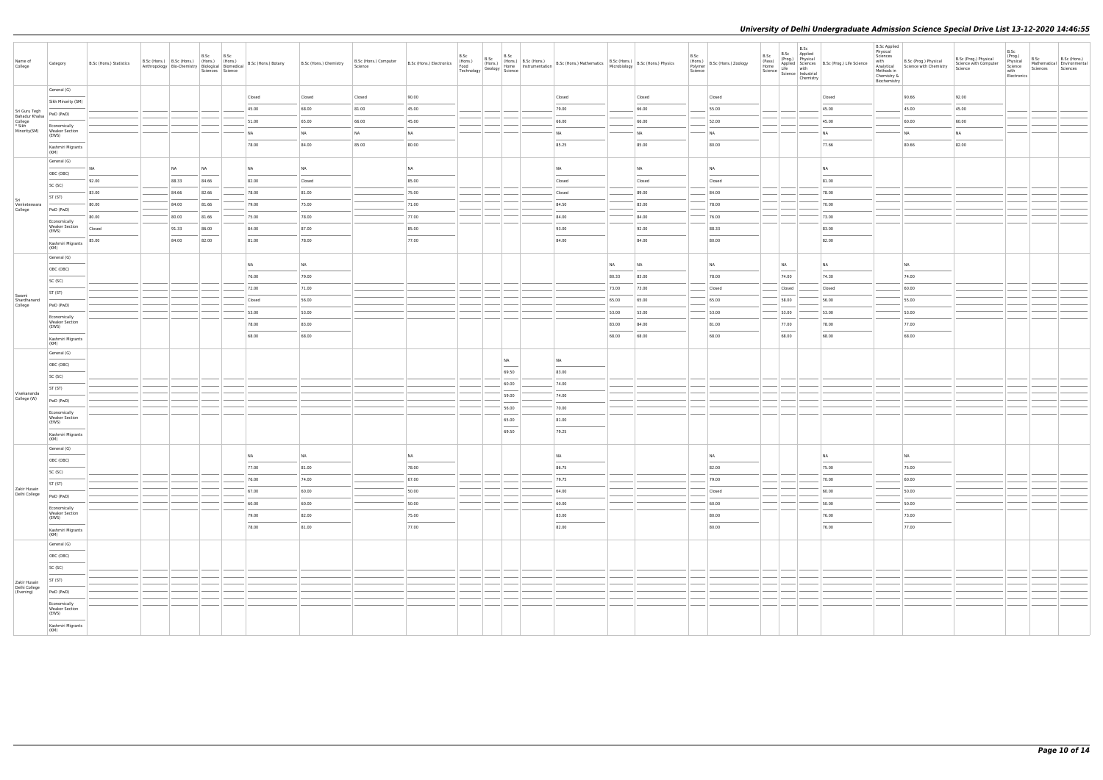| Name of<br>College                | Category                                       | B.Sc (Hons.) Statistics | B.Sc (Hons.) B.Sc (Hons.) (Hons.) (Hons.) |           | B.Sc  | B.Sc<br>Sciences Science | Anthropology   Bio-Chemistry   Biological   Biomedical   B.Sc (Hons.) Botany | B.Sc (Hons.) Chemistry | B.Sc (Hons.) Computer<br>Science | B.Sc (Hons.) Electronics | B.Sc<br>(Hons.)<br>Food<br>Technology | B.Sc | B.Sc                           | B.Sc (Hons.) B.Sc (Hons.) B.Sc (Hons.) Mathematics B.Sc (Hons.) S.Sc (Hons.) Physics<br>(Hons.) Thome Instrumentation B.Sc (Hons.) Mathematics B.Sc (Hons.) B.Sc (Hons.) Physics<br>William Science |           |           | B.Sc<br>Science | (Hons.)<br>Polymer   B.Sc (Hons.) Zoology | B.Sc<br>(Pass) | B.Sc<br>B.Sc Applied<br>(Prog.) Physical |           | (Pass)<br>(Prog.) Life Science<br>Science<br>Science<br>Science<br>Science<br>Science<br>Industrial<br>Chemistry<br>Chemistry | <b>B.Sc Applied</b><br>Physical<br>Sciences<br>with<br>Methods in<br>Chemistry &<br>Biochemistry | B.Sc (Prog.) Physical<br>Analytical Science with Chemistry | B.Sc (Prog.) Physical<br>Science with Computer<br>Science | B.Sc<br>(Prog.)<br>Physical<br>Science<br>with<br>Electronics | B.Sc<br>Mathematical Environmental<br>Sciences Sciences | B.Sc (Hons.) |
|-----------------------------------|------------------------------------------------|-------------------------|-------------------------------------------|-----------|-------|--------------------------|------------------------------------------------------------------------------|------------------------|----------------------------------|--------------------------|---------------------------------------|------|--------------------------------|-----------------------------------------------------------------------------------------------------------------------------------------------------------------------------------------------------|-----------|-----------|-----------------|-------------------------------------------|----------------|------------------------------------------|-----------|-------------------------------------------------------------------------------------------------------------------------------|--------------------------------------------------------------------------------------------------|------------------------------------------------------------|-----------------------------------------------------------|---------------------------------------------------------------|---------------------------------------------------------|--------------|
|                                   | General (G)                                    |                         |                                           |           |       |                          | Closed                                                                       | Closed                 | Closed                           | 90.00                    |                                       |      |                                | Closed                                                                                                                                                                                              |           | Closed    |                 | Closed                                    |                |                                          |           | Closed                                                                                                                        |                                                                                                  | 90.66                                                      | 92.00                                                     |                                                               |                                                         |              |
| Sri Guru Tegh                     | Sikh Minority (SM)                             |                         |                                           |           |       |                          | 45.00                                                                        | 68.00                  | 81.00                            | 45.00                    |                                       |      |                                | 79.00                                                                                                                                                                                               |           | 66.00     |                 | 55.00                                     |                |                                          |           | 45.00                                                                                                                         |                                                                                                  | 45.00                                                      | 45.00                                                     |                                                               |                                                         |              |
| <b>Bahadur Khalsa</b>             | PwD (PwD)                                      |                         |                                           |           |       |                          | 51.00                                                                        | 65.00                  | 66.00                            | 45.00                    |                                       |      |                                | 66.00                                                                                                                                                                                               |           | 66.00     |                 | 52.00                                     |                |                                          |           | 45.00                                                                                                                         |                                                                                                  | 60.00                                                      | 60.00                                                     |                                                               |                                                         |              |
| College<br>* Sikh<br>Minority(SM) | Economically<br><b>Weaker Section</b><br>(EWS) |                         |                                           |           |       |                          | <b>NA</b>                                                                    | N <sub>A</sub>         | <b>NA</b>                        | NA                       |                                       |      |                                | <b>NA</b>                                                                                                                                                                                           |           | NA        |                 | <b>NA</b>                                 |                |                                          | <b>NA</b> |                                                                                                                               |                                                                                                  | NA                                                         | <b>NA</b>                                                 |                                                               |                                                         |              |
|                                   | Kashmiri Migrants                              |                         |                                           |           |       |                          | 78.00                                                                        | 84.00                  | 85.00                            | 80.00                    |                                       |      |                                | 85.25                                                                                                                                                                                               |           | 85.00     |                 | 80.00                                     |                |                                          |           | 77.66                                                                                                                         |                                                                                                  | 80.66                                                      | 82.00                                                     |                                                               |                                                         |              |
|                                   | (KM)<br>General (G)                            |                         |                                           |           |       |                          |                                                                              |                        |                                  |                          |                                       |      |                                |                                                                                                                                                                                                     |           |           |                 |                                           |                |                                          |           |                                                                                                                               |                                                                                                  |                                                            |                                                           |                                                               |                                                         |              |
|                                   | OBC (OBC)                                      | N <sub>A</sub>          |                                           | <b>NA</b> | NA    |                          | <b>NA</b>                                                                    | NA                     |                                  | <b>NA</b>                |                                       |      |                                | <b>NA</b>                                                                                                                                                                                           |           | <b>NA</b> |                 | <b>NA</b>                                 |                |                                          | NA        |                                                                                                                               |                                                                                                  |                                                            |                                                           |                                                               |                                                         |              |
|                                   | SC (SC)                                        | 92.00                   |                                           | 88.33     | 84.66 |                          | 82.00                                                                        | Closed                 |                                  | 85.00                    |                                       |      |                                | Closed                                                                                                                                                                                              |           | Closed    |                 | Closed                                    |                |                                          |           | 81.00                                                                                                                         |                                                                                                  |                                                            |                                                           |                                                               |                                                         |              |
| Sri                               | ST (ST)                                        | 83.00                   |                                           | 84.66     | 82.66 |                          | 78.00                                                                        | 81.00                  |                                  | 75.00                    |                                       |      |                                | Closed                                                                                                                                                                                              |           | 89.00     |                 | 84.00                                     |                |                                          |           | 78.00                                                                                                                         |                                                                                                  |                                                            |                                                           |                                                               |                                                         |              |
| Venketeswara<br>College           | PwD (PwD)                                      | 80.00                   |                                           | 84.00     | 81.66 |                          | 79.00                                                                        | 75.00                  |                                  | 71.00                    |                                       |      |                                | 84.50                                                                                                                                                                                               |           | 83.00     |                 | 78.00                                     |                |                                          |           | 70.00                                                                                                                         |                                                                                                  |                                                            |                                                           |                                                               |                                                         |              |
|                                   | Economically<br><b>Weaker Section</b>          | 80.00                   |                                           | 80.00     | 81.66 |                          | 75.00                                                                        | 78.00                  |                                  | 77.00                    |                                       |      |                                | 84.00                                                                                                                                                                                               |           | 84.00     |                 | 76.00                                     |                |                                          |           | 73.00                                                                                                                         |                                                                                                  |                                                            |                                                           |                                                               |                                                         |              |
|                                   | (EWS)                                          | Closed                  |                                           | 91.33     | 86.00 |                          | 84.00                                                                        | 87.00                  |                                  | 85.00<br>77.00           |                                       |      |                                | 93.00                                                                                                                                                                                               |           | 92.00     |                 | 88.33                                     |                |                                          |           | 83.00                                                                                                                         |                                                                                                  |                                                            |                                                           |                                                               |                                                         |              |
|                                   | Kashmiri Migrants<br>(KM)                      | 85.00                   |                                           | 84.00     | 82.00 |                          | 81.00                                                                        | 78.00                  |                                  |                          |                                       |      |                                | 84.00                                                                                                                                                                                               |           | 84.00     |                 | 80.00                                     |                |                                          |           | 82.00                                                                                                                         |                                                                                                  |                                                            |                                                           |                                                               |                                                         |              |
|                                   | General (G)                                    |                         |                                           |           |       |                          | <b>NA</b>                                                                    | NA                     |                                  |                          |                                       |      |                                |                                                                                                                                                                                                     | <b>NA</b> | <b>NA</b> |                 | <b>NA</b>                                 |                | NA                                       | NA        |                                                                                                                               |                                                                                                  | NA                                                         |                                                           |                                                               |                                                         |              |
|                                   | OBC (OBC)                                      |                         |                                           |           |       |                          | 76.00                                                                        | 79.00                  |                                  |                          |                                       |      |                                |                                                                                                                                                                                                     | 80.33     | 83.00     |                 | 78.00                                     |                | 74.00                                    |           | 74.30                                                                                                                         |                                                                                                  | 74.00                                                      |                                                           |                                                               |                                                         |              |
|                                   | SC (SC)                                        |                         |                                           |           |       |                          | 72.00                                                                        | 71.00                  |                                  |                          |                                       |      |                                |                                                                                                                                                                                                     | 73.00     | 73.00     |                 | Closed                                    |                | Closed                                   |           | Closed                                                                                                                        |                                                                                                  | 60.00                                                      |                                                           |                                                               |                                                         |              |
| Swami<br>Shardhanand<br>College   | ST (ST)                                        |                         |                                           |           |       |                          | Closed                                                                       | 56.00                  |                                  |                          |                                       |      |                                |                                                                                                                                                                                                     | 65.00     | 65.00     |                 | 65.00                                     |                | 58.00                                    |           | 56.00                                                                                                                         |                                                                                                  | 55.00                                                      |                                                           |                                                               |                                                         |              |
|                                   | PwD (PwD)                                      |                         |                                           |           |       |                          | 53.00                                                                        | 53.00                  |                                  |                          |                                       |      |                                |                                                                                                                                                                                                     | 53.00     | 53.00     |                 | 53.00                                     |                | 53.00                                    |           | 53.00                                                                                                                         |                                                                                                  | 53.00                                                      |                                                           |                                                               |                                                         |              |
|                                   | Economically<br><b>Weaker Section</b><br>(EWS) |                         |                                           |           |       |                          | 78.00                                                                        | 83.00                  |                                  |                          |                                       |      |                                |                                                                                                                                                                                                     | 83.00     | 84.00     |                 | 81.00                                     |                | 77.00                                    |           | 78.00                                                                                                                         |                                                                                                  | 77.00                                                      |                                                           |                                                               |                                                         |              |
|                                   | Kashmiri Migrants                              |                         |                                           |           |       |                          | 68.00                                                                        | 68.00                  |                                  |                          |                                       |      |                                |                                                                                                                                                                                                     | 68.00     | 68.00     |                 | 68.00                                     |                | ___<br>68.00                             |           | 68.00                                                                                                                         |                                                                                                  | 68.00                                                      |                                                           |                                                               |                                                         |              |
|                                   | (KM)<br>General (G)                            |                         |                                           |           |       |                          |                                                                              |                        |                                  |                          |                                       |      |                                |                                                                                                                                                                                                     |           |           |                 |                                           |                |                                          |           |                                                                                                                               |                                                                                                  |                                                            |                                                           |                                                               |                                                         |              |
|                                   | OBC (OBC)                                      |                         |                                           |           |       |                          |                                                                              |                        |                                  |                          |                                       |      | NA<br>$\overline{\phantom{a}}$ | <b>NA</b>                                                                                                                                                                                           |           |           |                 |                                           |                |                                          |           |                                                                                                                               |                                                                                                  |                                                            |                                                           |                                                               |                                                         |              |
|                                   | SC (SC)                                        |                         |                                           |           |       |                          |                                                                              |                        |                                  |                          |                                       |      | 69.50                          | 83.00                                                                                                                                                                                               |           |           |                 |                                           |                |                                          |           |                                                                                                                               |                                                                                                  |                                                            |                                                           |                                                               |                                                         |              |
|                                   | ST (ST)                                        |                         |                                           |           |       |                          |                                                                              |                        |                                  |                          |                                       |      | 60.00                          | 74.00                                                                                                                                                                                               |           |           |                 |                                           |                |                                          |           |                                                                                                                               |                                                                                                  |                                                            |                                                           |                                                               |                                                         |              |
| Vivekananda<br>College (W)        | PwD (PwD)                                      |                         |                                           |           |       |                          |                                                                              |                        |                                  |                          |                                       |      | 59.00                          | 74.00                                                                                                                                                                                               |           |           |                 |                                           |                |                                          |           |                                                                                                                               |                                                                                                  |                                                            |                                                           |                                                               |                                                         |              |
|                                   | Economically<br><b>Weaker Section</b>          |                         |                                           |           |       |                          |                                                                              |                        |                                  |                          |                                       |      | 56.00                          | 70.00                                                                                                                                                                                               |           |           |                 |                                           |                |                                          |           |                                                                                                                               |                                                                                                  |                                                            |                                                           |                                                               |                                                         |              |
|                                   | (EWS)                                          |                         |                                           |           |       |                          |                                                                              |                        |                                  |                          |                                       |      | 65.00<br>69.50                 | 81.00<br>79.25                                                                                                                                                                                      |           |           |                 |                                           |                |                                          |           |                                                                                                                               |                                                                                                  |                                                            |                                                           |                                                               |                                                         |              |
|                                   | Kashmiri Migrants<br>(KM)                      |                         |                                           |           |       |                          |                                                                              |                        |                                  |                          |                                       |      |                                |                                                                                                                                                                                                     |           |           |                 |                                           |                |                                          |           |                                                                                                                               |                                                                                                  |                                                            |                                                           |                                                               |                                                         |              |
|                                   | General (G)                                    |                         |                                           |           |       |                          | NA                                                                           | NA                     |                                  | NA                       |                                       |      |                                | NA                                                                                                                                                                                                  |           |           |                 | NA                                        |                |                                          | <b>NA</b> |                                                                                                                               |                                                                                                  | NA                                                         |                                                           |                                                               |                                                         |              |
|                                   | OBC (OBC)                                      |                         |                                           |           |       |                          | 77.00                                                                        | 81.00                  |                                  | 78.00                    |                                       |      |                                | 86.75                                                                                                                                                                                               |           |           |                 | 82.00                                     |                |                                          |           | 75.00                                                                                                                         |                                                                                                  | 75.00                                                      |                                                           |                                                               |                                                         |              |
|                                   | SC (SC)                                        |                         |                                           |           |       |                          | 76.00                                                                        | 74.00                  |                                  | 67.00                    |                                       |      |                                | 79.75                                                                                                                                                                                               |           |           |                 | 79.00                                     |                |                                          |           | 70.00                                                                                                                         |                                                                                                  | 60.00                                                      |                                                           |                                                               |                                                         |              |
| Zakir Husain<br>Delhi College     | ST (ST)<br>PwD (PwD)                           |                         |                                           |           |       |                          | 67.00                                                                        | 60.00                  |                                  | 50.00                    |                                       |      |                                | 64.00                                                                                                                                                                                               |           |           |                 | Closed                                    |                |                                          |           | 60.00                                                                                                                         |                                                                                                  | 50.00                                                      |                                                           |                                                               |                                                         |              |
|                                   |                                                |                         |                                           |           |       |                          | 60.00                                                                        | 60.00                  |                                  | 50.00                    |                                       |      |                                | 60.00                                                                                                                                                                                               |           |           |                 | 60.00                                     |                |                                          |           | 50.00                                                                                                                         |                                                                                                  | 50.00                                                      |                                                           |                                                               |                                                         |              |
|                                   | Economically<br><b>Weaker Section</b><br>(EWS) |                         |                                           |           |       |                          | 79.00                                                                        | 82.00                  |                                  | 75.00                    |                                       |      |                                | 83.00                                                                                                                                                                                               |           |           |                 | 80.00                                     |                |                                          |           | 76.00                                                                                                                         |                                                                                                  | 73.00                                                      |                                                           |                                                               |                                                         |              |
|                                   | Kashmiri Migrants                              |                         |                                           |           |       |                          | 78.00                                                                        | 81.00                  |                                  | 77.00                    |                                       |      |                                | 82.00                                                                                                                                                                                               |           |           |                 | 80.00                                     |                |                                          |           | 76.00                                                                                                                         |                                                                                                  | 77.00                                                      |                                                           |                                                               |                                                         |              |
|                                   | (KM)<br>General (G)                            |                         |                                           |           |       |                          |                                                                              |                        |                                  |                          |                                       |      |                                |                                                                                                                                                                                                     |           |           |                 |                                           |                |                                          |           |                                                                                                                               |                                                                                                  |                                                            |                                                           |                                                               |                                                         |              |
|                                   | OBC (OBC)                                      |                         |                                           |           |       |                          |                                                                              |                        |                                  |                          |                                       |      |                                |                                                                                                                                                                                                     |           |           |                 |                                           |                |                                          |           |                                                                                                                               |                                                                                                  |                                                            |                                                           |                                                               |                                                         |              |
|                                   | SC (SC)                                        |                         |                                           |           |       |                          |                                                                              |                        |                                  |                          |                                       |      |                                |                                                                                                                                                                                                     |           |           |                 |                                           |                |                                          |           |                                                                                                                               |                                                                                                  |                                                            |                                                           |                                                               |                                                         |              |
| Zakir Husain                      | ST (ST)                                        |                         |                                           |           |       |                          |                                                                              |                        |                                  |                          |                                       |      |                                |                                                                                                                                                                                                     |           |           |                 |                                           |                |                                          |           |                                                                                                                               |                                                                                                  |                                                            |                                                           |                                                               |                                                         |              |
| Delhi College<br>(Evening)        | PwD (PwD)                                      |                         |                                           |           |       |                          |                                                                              |                        |                                  |                          |                                       |      |                                |                                                                                                                                                                                                     |           |           |                 |                                           |                |                                          |           |                                                                                                                               |                                                                                                  |                                                            |                                                           |                                                               |                                                         |              |
|                                   | Economically<br>Weaker Section                 |                         |                                           |           |       |                          |                                                                              |                        |                                  |                          |                                       |      |                                |                                                                                                                                                                                                     |           |           |                 |                                           |                |                                          |           |                                                                                                                               |                                                                                                  |                                                            |                                                           |                                                               |                                                         |              |
|                                   | (EWS)                                          |                         |                                           |           |       |                          |                                                                              |                        |                                  |                          |                                       |      |                                |                                                                                                                                                                                                     |           |           |                 |                                           |                |                                          |           |                                                                                                                               |                                                                                                  |                                                            |                                                           |                                                               |                                                         |              |
|                                   | Kashmiri Migrants<br>(KM)                      |                         |                                           |           |       |                          |                                                                              |                        |                                  |                          |                                       |      |                                |                                                                                                                                                                                                     |           |           |                 |                                           |                |                                          |           |                                                                                                                               |                                                                                                  |                                                            |                                                           |                                                               |                                                         |              |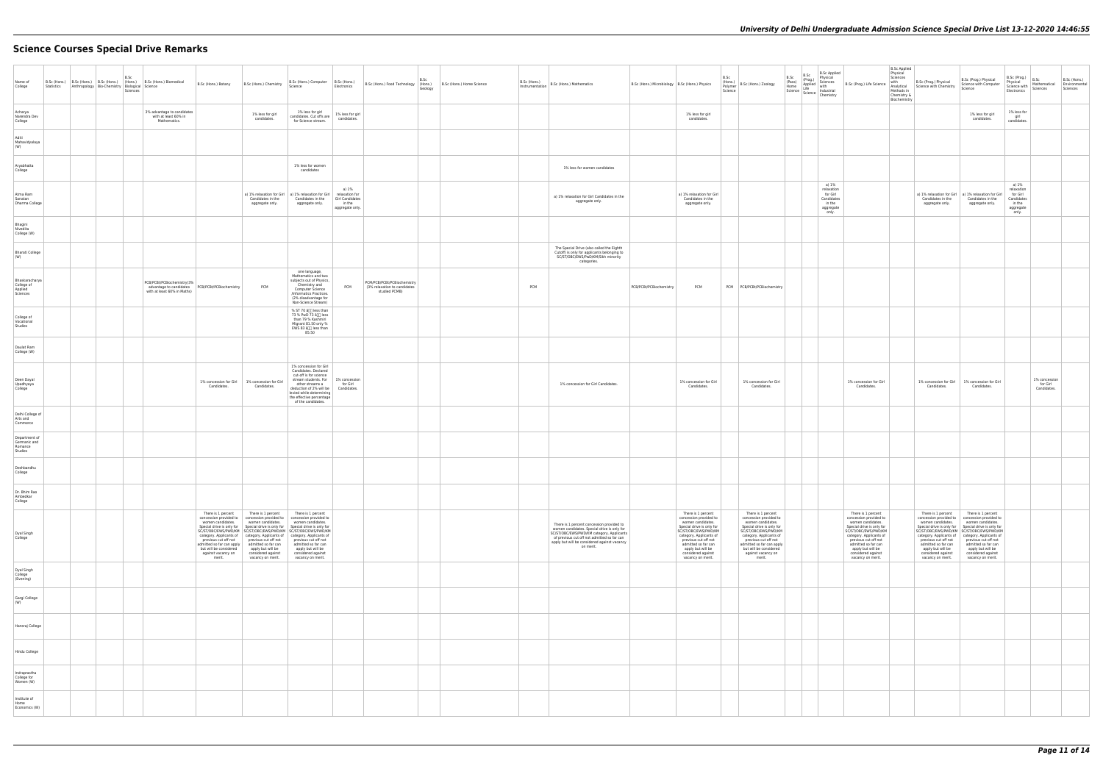# **Science Courses Special Drive Remarks**

| Name of<br>College                                  | Statistics | B.Sc (Hons.) B.Sc (Hons.) B.Sc (Hons.) (Hons.)<br>Anthropology   Bio-Chemistry   Biological   Science | B.Sc<br>Sciences | B.Sc (Hons.) Biomedical                                            | B.Sc (Hons.) Botany                                                                                                                                                                 | B.Sc (Hons.) Chemistry                                                                                                                                                                                                                                                                                    | B.Sc (Hons.) Computer<br>Science                                                                                                                                                                                                                                                | B.Sc (Hons.)<br>Electronics                                             | B.Sc (Hons.) Food Technology (Hons.)                                         | B.Sc<br>Geology | B.Sc (Hons.) Home Science | B.Sc (Hons.)<br>Instrumentation | B.Sc (Hons.) Mathematics                                                                                                                                                                                                                          | B.Sc (Hons.) Microbiology   B.Sc (Hons.) Physics |                                                                                                                                                                                                                                                                  | B.Sc<br>(Hons.)<br>Science | (rions.)<br>  Polymer   B.Sc (Hons.) Zoology                                                                                                                                                                                                                     | B.Sc<br>(Pass)<br>Home | B.Sc<br>(Prog.)<br>Applied with<br>Life | <b>B.Sc Applied</b><br>Physical<br>Sciences<br>Science Science Industrial<br>Chemistry |
|-----------------------------------------------------|------------|-------------------------------------------------------------------------------------------------------|------------------|--------------------------------------------------------------------|-------------------------------------------------------------------------------------------------------------------------------------------------------------------------------------|-----------------------------------------------------------------------------------------------------------------------------------------------------------------------------------------------------------------------------------------------------------------------------------------------------------|---------------------------------------------------------------------------------------------------------------------------------------------------------------------------------------------------------------------------------------------------------------------------------|-------------------------------------------------------------------------|------------------------------------------------------------------------------|-----------------|---------------------------|---------------------------------|---------------------------------------------------------------------------------------------------------------------------------------------------------------------------------------------------------------------------------------------------|--------------------------------------------------|------------------------------------------------------------------------------------------------------------------------------------------------------------------------------------------------------------------------------------------------------------------|----------------------------|------------------------------------------------------------------------------------------------------------------------------------------------------------------------------------------------------------------------------------------------------------------|------------------------|-----------------------------------------|----------------------------------------------------------------------------------------|
| Acharya<br>Narendra Dev<br>College                  |            |                                                                                                       |                  | 3% advantage to candidates<br>with at least 60% in<br>Mathematics. |                                                                                                                                                                                     | 1% less for girl<br>candidates.                                                                                                                                                                                                                                                                           | 1% less for girl<br>candidates. Cut offs are<br>for Science stream.                                                                                                                                                                                                             | 1% less for girl<br>candidates.                                         |                                                                              |                 |                           |                                 |                                                                                                                                                                                                                                                   |                                                  | 1% less for girl<br>candidates.                                                                                                                                                                                                                                  |                            |                                                                                                                                                                                                                                                                  |                        |                                         |                                                                                        |
| Aditi<br>Mahavidyalaya<br>(W)                       |            |                                                                                                       |                  |                                                                    |                                                                                                                                                                                     |                                                                                                                                                                                                                                                                                                           |                                                                                                                                                                                                                                                                                 |                                                                         |                                                                              |                 |                           |                                 |                                                                                                                                                                                                                                                   |                                                  |                                                                                                                                                                                                                                                                  |                            |                                                                                                                                                                                                                                                                  |                        |                                         |                                                                                        |
| Aryabhatta<br>College                               |            |                                                                                                       |                  |                                                                    |                                                                                                                                                                                     |                                                                                                                                                                                                                                                                                                           | 1% less for women<br>candidates                                                                                                                                                                                                                                                 |                                                                         |                                                                              |                 |                           |                                 | 1% less for women candidates                                                                                                                                                                                                                      |                                                  |                                                                                                                                                                                                                                                                  |                            |                                                                                                                                                                                                                                                                  |                        |                                         |                                                                                        |
| Atma Ram<br>Sanatan<br>Dharma College               |            |                                                                                                       |                  |                                                                    |                                                                                                                                                                                     | a) 1% relaxation for Girl<br>Candidates in the<br>aggregate only.                                                                                                                                                                                                                                         | a) 1% relaxation for Girl<br>Candidates in the<br>aggregate only.                                                                                                                                                                                                               | a) 1%<br>relaxation for<br>Girl Candidates<br>in the<br>aggregate only. |                                                                              |                 |                           |                                 | a) 1% relaxation for Girl Candidates in the<br>aggregate only.                                                                                                                                                                                    |                                                  | a) 1% relaxation for Girl<br>Candidates in the<br>aggregate only.                                                                                                                                                                                                |                            |                                                                                                                                                                                                                                                                  |                        |                                         | a) 1%<br>relaxation<br>for Girl<br>Candidates<br>in the<br>aggregate<br>only.          |
| Bhagini<br>Nivedita<br>College (W)                  |            |                                                                                                       |                  |                                                                    |                                                                                                                                                                                     |                                                                                                                                                                                                                                                                                                           |                                                                                                                                                                                                                                                                                 |                                                                         |                                                                              |                 |                           |                                 |                                                                                                                                                                                                                                                   |                                                  |                                                                                                                                                                                                                                                                  |                            |                                                                                                                                                                                                                                                                  |                        |                                         |                                                                                        |
| <b>Bharati College</b><br>(W)                       |            |                                                                                                       |                  |                                                                    |                                                                                                                                                                                     |                                                                                                                                                                                                                                                                                                           |                                                                                                                                                                                                                                                                                 |                                                                         |                                                                              |                 |                           |                                 | The Special Drive (also called the Eighth<br>Cutoff) is only for applicants belonging to<br>SC/ST/OBC/EWS/PwD/KM/Sikh minority<br>categories.                                                                                                     |                                                  |                                                                                                                                                                                                                                                                  |                            |                                                                                                                                                                                                                                                                  |                        |                                         |                                                                                        |
| Bhaskaracharya<br>College of<br>Applied<br>Sciences |            |                                                                                                       |                  | PCB/PCBt/PCBiochemistry(3%<br>with at least 60% in Maths)          |                                                                                                                                                                                     | PCM                                                                                                                                                                                                                                                                                                       | one language,<br>Mathematics and two<br>subjects out of Physics,<br>Chemistry and<br>Computer Science<br>/Informatics Practices.<br>(2% disadvantage for<br>Non-Science Stream)                                                                                                 | PCM                                                                     | PCM/PCB/PCBt/PCBiochemistry<br>(3% relaxation to candidates<br>studied PCMB) |                 |                           | PCM                             |                                                                                                                                                                                                                                                   | PCB/PCBt/PCBiochemistry                          | PCM                                                                                                                                                                                                                                                              |                            | PCM PCB/PCBt/PCBiochemistry                                                                                                                                                                                                                                      |                        |                                         |                                                                                        |
| College of<br>Vocational<br>Studies                 |            |                                                                                                       |                  |                                                                    |                                                                                                                                                                                     |                                                                                                                                                                                                                                                                                                           | % ST 70 â[j] less than<br>73 % PwD 73 â[]] less<br>than 79 % Kashmiri<br>Migrant 81.50 only %<br>EWS 83 â[j[] less than<br>85.50                                                                                                                                                |                                                                         |                                                                              |                 |                           |                                 |                                                                                                                                                                                                                                                   |                                                  |                                                                                                                                                                                                                                                                  |                            |                                                                                                                                                                                                                                                                  |                        |                                         |                                                                                        |
| Daulat Ram<br>College (W)                           |            |                                                                                                       |                  |                                                                    |                                                                                                                                                                                     |                                                                                                                                                                                                                                                                                                           |                                                                                                                                                                                                                                                                                 |                                                                         |                                                                              |                 |                           |                                 |                                                                                                                                                                                                                                                   |                                                  |                                                                                                                                                                                                                                                                  |                            |                                                                                                                                                                                                                                                                  |                        |                                         |                                                                                        |
| Deen Dayal<br>Upadhyaya<br>College                  |            |                                                                                                       |                  |                                                                    | Candidates.                                                                                                                                                                         | 1% concession for Girl 1% concession for Girl<br>Candidates.                                                                                                                                                                                                                                              | 1% concession for Girl<br>Candidates. Declared<br>cut-off is for science<br>stream students. For<br>other streams a<br>deduction of 2% will be<br>levied while determining<br>the effective percentage<br>of the candidates.                                                    | 1% concession<br>for Girl<br>Candidates.                                |                                                                              |                 |                           |                                 | 1% concession for Girl Candidates.                                                                                                                                                                                                                |                                                  | 1% concession for Girl<br>Candidates.                                                                                                                                                                                                                            |                            | 1% concession for Girl<br>Candidates.                                                                                                                                                                                                                            |                        |                                         |                                                                                        |
| Delhi College of<br>Arts and<br>Commerce            |            |                                                                                                       |                  |                                                                    |                                                                                                                                                                                     |                                                                                                                                                                                                                                                                                                           |                                                                                                                                                                                                                                                                                 |                                                                         |                                                                              |                 |                           |                                 |                                                                                                                                                                                                                                                   |                                                  |                                                                                                                                                                                                                                                                  |                            |                                                                                                                                                                                                                                                                  |                        |                                         |                                                                                        |
| Department of<br>Germanic and<br>Romance<br>Studies |            |                                                                                                       |                  |                                                                    |                                                                                                                                                                                     |                                                                                                                                                                                                                                                                                                           |                                                                                                                                                                                                                                                                                 |                                                                         |                                                                              |                 |                           |                                 |                                                                                                                                                                                                                                                   |                                                  |                                                                                                                                                                                                                                                                  |                            |                                                                                                                                                                                                                                                                  |                        |                                         |                                                                                        |
| Deshbandhu<br>College                               |            |                                                                                                       |                  |                                                                    |                                                                                                                                                                                     |                                                                                                                                                                                                                                                                                                           |                                                                                                                                                                                                                                                                                 |                                                                         |                                                                              |                 |                           |                                 |                                                                                                                                                                                                                                                   |                                                  |                                                                                                                                                                                                                                                                  |                            |                                                                                                                                                                                                                                                                  |                        |                                         |                                                                                        |
| Dr. Bhim Rao<br>Ambedkar<br>College                 |            |                                                                                                       |                  |                                                                    |                                                                                                                                                                                     |                                                                                                                                                                                                                                                                                                           |                                                                                                                                                                                                                                                                                 |                                                                         |                                                                              |                 |                           |                                 |                                                                                                                                                                                                                                                   |                                                  |                                                                                                                                                                                                                                                                  |                            |                                                                                                                                                                                                                                                                  |                        |                                         |                                                                                        |
| Dyal Singh<br>College                               |            |                                                                                                       |                  |                                                                    | There is 1 percent<br>women candidates.<br>Special drive is only for<br>previous cut off not<br>admitted so far can apply<br>but will be considered<br>against vacancy on<br>merit. | There is 1 percent<br>concession provided to concession provided to concession provided to<br>women candidates.<br>category. Applicants of category. Applicants of category. Applicants of<br>previous cut off not<br>admitted so far can<br>apply but will be<br>considered against<br>vacancy on merit. | There is 1 percent<br>women candidates.<br>Special drive is only for Special drive is only for<br>SC/ST/OBC/EWS/PWD/KM SC/ST/OBC/EWS/PWD/KM SC/ST/OBC/EWS/PWD/KM<br>previous cut off not<br>admitted so far can<br>apply but will be<br>considered against<br>vacancy on merit. |                                                                         |                                                                              |                 |                           |                                 | There is 1 percent concession provided to<br>women candidates. Special drive is only for<br>SC/ST/OBC/EWS/PWD/KM category. Applicants<br>of previous cut off not admitted so far can<br>apply but will be considered against vacancy<br>on merit. |                                                  | There is 1 percent<br>concession provided to<br>women candidates.<br>Special drive is only for<br>SC/ST/OBC/EWS/PWD/KM<br>category. Applicants of<br>previous cut off not<br>admitted so far can<br>apply but will be<br>considered against<br>vacancy on merit. |                            | There is 1 percent<br>concession provided to<br>women candidates.<br>Special drive is only for<br>SC/ST/OBC/EWS/PWD/KM<br>category. Applicants of<br>previous cut off not<br>admitted so far can apply<br>but will be considered<br>against vacancy on<br>merit. |                        |                                         |                                                                                        |
| Dyal Singh<br>College<br>(Evening)                  |            |                                                                                                       |                  |                                                                    |                                                                                                                                                                                     |                                                                                                                                                                                                                                                                                                           |                                                                                                                                                                                                                                                                                 |                                                                         |                                                                              |                 |                           |                                 |                                                                                                                                                                                                                                                   |                                                  |                                                                                                                                                                                                                                                                  |                            |                                                                                                                                                                                                                                                                  |                        |                                         |                                                                                        |
| Gargi College<br>(W)                                |            |                                                                                                       |                  |                                                                    |                                                                                                                                                                                     |                                                                                                                                                                                                                                                                                                           |                                                                                                                                                                                                                                                                                 |                                                                         |                                                                              |                 |                           |                                 |                                                                                                                                                                                                                                                   |                                                  |                                                                                                                                                                                                                                                                  |                            |                                                                                                                                                                                                                                                                  |                        |                                         |                                                                                        |
| Hansraj College                                     |            |                                                                                                       |                  |                                                                    |                                                                                                                                                                                     |                                                                                                                                                                                                                                                                                                           |                                                                                                                                                                                                                                                                                 |                                                                         |                                                                              |                 |                           |                                 |                                                                                                                                                                                                                                                   |                                                  |                                                                                                                                                                                                                                                                  |                            |                                                                                                                                                                                                                                                                  |                        |                                         |                                                                                        |
| Hindu College                                       |            |                                                                                                       |                  |                                                                    |                                                                                                                                                                                     |                                                                                                                                                                                                                                                                                                           |                                                                                                                                                                                                                                                                                 |                                                                         |                                                                              |                 |                           |                                 |                                                                                                                                                                                                                                                   |                                                  |                                                                                                                                                                                                                                                                  |                            |                                                                                                                                                                                                                                                                  |                        |                                         |                                                                                        |
| Indraprastha<br>College for<br>Women (W)            |            |                                                                                                       |                  |                                                                    |                                                                                                                                                                                     |                                                                                                                                                                                                                                                                                                           |                                                                                                                                                                                                                                                                                 |                                                                         |                                                                              |                 |                           |                                 |                                                                                                                                                                                                                                                   |                                                  |                                                                                                                                                                                                                                                                  |                            |                                                                                                                                                                                                                                                                  |                        |                                         |                                                                                        |
| Institute of<br>Home<br>Economics (W)               |            |                                                                                                       |                  |                                                                    |                                                                                                                                                                                     |                                                                                                                                                                                                                                                                                                           |                                                                                                                                                                                                                                                                                 |                                                                         |                                                                              |                 |                           |                                 |                                                                                                                                                                                                                                                   |                                                  |                                                                                                                                                                                                                                                                  |                            |                                                                                                                                                                                                                                                                  |                        |                                         |                                                                                        |

| plied<br>I<br>s<br>al<br>try                  | B.Sc (Prog.) Life Science                                                                                                                                                                                                                                        | <b>B.Sc Applied</b><br>Physical<br>Sciences<br>with<br>Analytical<br>Methods in<br>Chemistry &<br>Biochemistry | B.Sc (Prog.) Physical<br>Science with Chemistry                                                                                                                                                                                                                  | B.Sc (Prog.) Physical<br>Science with Computer<br>Science                                                                                                                                                                                                        | B.Sc (Prog.)<br>Physical<br>Science with<br>Electronics                       | B.Sc<br>Mathematical<br>Sciences         | B.Sc (Hons.)<br>Environmental<br>Sciences |
|-----------------------------------------------|------------------------------------------------------------------------------------------------------------------------------------------------------------------------------------------------------------------------------------------------------------------|----------------------------------------------------------------------------------------------------------------|------------------------------------------------------------------------------------------------------------------------------------------------------------------------------------------------------------------------------------------------------------------|------------------------------------------------------------------------------------------------------------------------------------------------------------------------------------------------------------------------------------------------------------------|-------------------------------------------------------------------------------|------------------------------------------|-------------------------------------------|
|                                               |                                                                                                                                                                                                                                                                  |                                                                                                                |                                                                                                                                                                                                                                                                  | 1% less for girl<br>candidates.                                                                                                                                                                                                                                  | 1% less for<br>girl<br>candidates.                                            |                                          |                                           |
|                                               |                                                                                                                                                                                                                                                                  |                                                                                                                |                                                                                                                                                                                                                                                                  |                                                                                                                                                                                                                                                                  |                                                                               |                                          |                                           |
|                                               |                                                                                                                                                                                                                                                                  |                                                                                                                |                                                                                                                                                                                                                                                                  |                                                                                                                                                                                                                                                                  |                                                                               |                                          |                                           |
| %<br>tion<br>irl<br>lates<br>۱e<br>gate<br>ļ. |                                                                                                                                                                                                                                                                  |                                                                                                                | a) 1% relaxation for Girl<br>Candidates in the<br>aggregate only.                                                                                                                                                                                                | a) 1% relaxation for Girl<br>Candidates in the<br>aggregate only.                                                                                                                                                                                                | a) 1%<br>relaxation<br>for Girl<br>Candidates<br>in the<br>aggregate<br>only. |                                          |                                           |
|                                               |                                                                                                                                                                                                                                                                  |                                                                                                                |                                                                                                                                                                                                                                                                  |                                                                                                                                                                                                                                                                  |                                                                               |                                          |                                           |
|                                               |                                                                                                                                                                                                                                                                  |                                                                                                                |                                                                                                                                                                                                                                                                  |                                                                                                                                                                                                                                                                  |                                                                               |                                          |                                           |
|                                               |                                                                                                                                                                                                                                                                  |                                                                                                                |                                                                                                                                                                                                                                                                  |                                                                                                                                                                                                                                                                  |                                                                               |                                          |                                           |
|                                               |                                                                                                                                                                                                                                                                  |                                                                                                                |                                                                                                                                                                                                                                                                  |                                                                                                                                                                                                                                                                  |                                                                               |                                          |                                           |
|                                               |                                                                                                                                                                                                                                                                  |                                                                                                                |                                                                                                                                                                                                                                                                  |                                                                                                                                                                                                                                                                  |                                                                               |                                          |                                           |
|                                               | 1% concession for Girl<br>Candidates.                                                                                                                                                                                                                            |                                                                                                                | 1% concession for Girl<br>Candidates.                                                                                                                                                                                                                            | 1% concession for Girl<br>Candidates.                                                                                                                                                                                                                            |                                                                               | 1% concession<br>for Girl<br>Candidates. |                                           |
|                                               |                                                                                                                                                                                                                                                                  |                                                                                                                |                                                                                                                                                                                                                                                                  |                                                                                                                                                                                                                                                                  |                                                                               |                                          |                                           |
|                                               |                                                                                                                                                                                                                                                                  |                                                                                                                |                                                                                                                                                                                                                                                                  |                                                                                                                                                                                                                                                                  |                                                                               |                                          |                                           |
|                                               |                                                                                                                                                                                                                                                                  |                                                                                                                |                                                                                                                                                                                                                                                                  |                                                                                                                                                                                                                                                                  |                                                                               |                                          |                                           |
|                                               |                                                                                                                                                                                                                                                                  |                                                                                                                |                                                                                                                                                                                                                                                                  |                                                                                                                                                                                                                                                                  |                                                                               |                                          |                                           |
|                                               | There is 1 percent<br>concession provided to<br>women candidates.<br>Special drive is only for<br>SC/ST/OBC/EWS/PWD/KM<br>category. Applicants of<br>previous cut off not<br>admitted so far can<br>apply but will be<br>considered against<br>vacancy on merit. |                                                                                                                | There is 1 percent<br>concession provided to<br>women candidates.<br>Special drive is only for<br>SC/ST/OBC/EWS/PWD/KM<br>category. Applicants of<br>previous cut off not<br>admitted so far can<br>apply but will be<br>considered against<br>vacancy on merit. | There is 1 percent<br>concession provided to<br>women candidates.<br>Special drive is only for<br>SC/ST/OBC/EWS/PWD/KM<br>category. Applicants of<br>previous cut off not<br>admitted so far can<br>apply but will be<br>considered against<br>vacancy on merit. |                                                                               |                                          |                                           |
|                                               |                                                                                                                                                                                                                                                                  |                                                                                                                |                                                                                                                                                                                                                                                                  |                                                                                                                                                                                                                                                                  |                                                                               |                                          |                                           |
|                                               |                                                                                                                                                                                                                                                                  |                                                                                                                |                                                                                                                                                                                                                                                                  |                                                                                                                                                                                                                                                                  |                                                                               |                                          |                                           |
|                                               |                                                                                                                                                                                                                                                                  |                                                                                                                |                                                                                                                                                                                                                                                                  |                                                                                                                                                                                                                                                                  |                                                                               |                                          |                                           |
|                                               |                                                                                                                                                                                                                                                                  |                                                                                                                |                                                                                                                                                                                                                                                                  |                                                                                                                                                                                                                                                                  |                                                                               |                                          |                                           |
|                                               |                                                                                                                                                                                                                                                                  |                                                                                                                |                                                                                                                                                                                                                                                                  |                                                                                                                                                                                                                                                                  |                                                                               |                                          |                                           |
|                                               |                                                                                                                                                                                                                                                                  |                                                                                                                |                                                                                                                                                                                                                                                                  |                                                                                                                                                                                                                                                                  |                                                                               |                                          |                                           |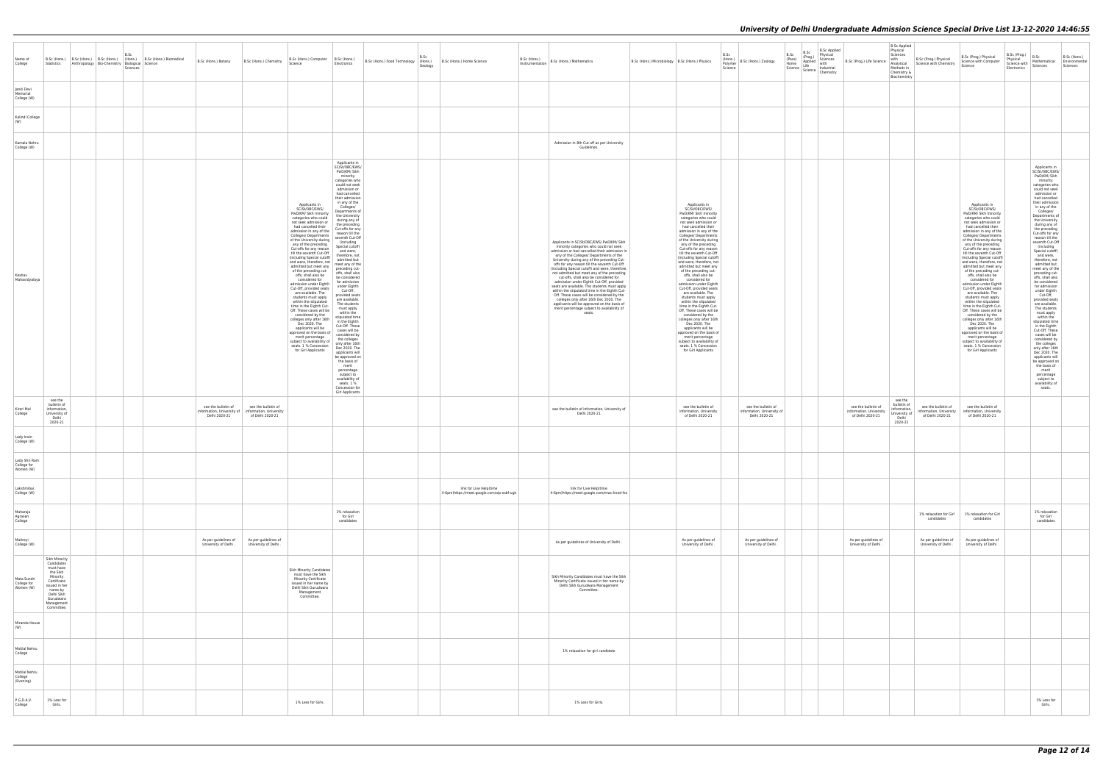| Name of<br>College                        | Statistics                                                                                                                                                         | B.Sc (Hons.) B.Sc (Hons.) B.Sc (Hons.) (Hons.) B.Sc (Hons.) Biomedical<br>Anthropology   Bio-Chemistry   Biological   Science | B.Sc<br>Sciences | B.Sc (Hons.) Botany                                                | B.Sc (Hons.) Chemistry                                             | B.Sc (Hons.) Computer B.Sc (Hons.)<br>Science                                                                                                                                                                                                                                                                                                                                                                                                                                                                                                                                                                                                                                                                                                                                                                                                                | Electronics                                                                                                                                                                                                                                                                                                                                                                                                                                                                                                                                                                                                                                                                                                                                                                                                                                                                                                          | B.Sc (Hons.) Food Technology   (Hons.) B.Sc (Hons.) Home Science | B.Sc<br>Geology |                                                                       | B.Sc (Hons.)<br>Instrumentation | B.Sc (Hons.) Mathematics                                                                                                                                                                                                                                                                                                                                                                                                                                                                                                                                                                                                                                                                                                                                               | B.Sc (Hons.) Microbiology   B.Sc (Hons.) Physics |                                                                                                                                                                                                                                                                                                                                                                                                                                                                                                                                                                                                                                                                                                                                                                                                                                                              | B.Sc<br>(Hons.)<br>B.Sc (Hons.) Zoology<br>Polymer<br>Science      | B.Sc<br>B.Sc<br>(Prog.) | <b>B.Sc Applied</b><br>Physical<br>B.Sc (Prog.) Life Science<br>Pass) (Proy.,<br>(Pass) Applied with<br>Science Life Industrial<br>Science Industrial<br>Chemistry | <b>B.Sc Applied</b><br>Physical<br>Sciences<br>with<br>Methods in<br>Chemistry &<br>Biochemistry | B.Sc (Prog.) Physical<br>Analytical Science with Chemistry         | B.Sc (Prog.)<br>B.Sc (Prog.) Physical<br>Physical<br>Science with Computer<br>Science with<br>Science<br>Electronics                                                                                                                                                                                                                                                                                                                                                                                                                                                                                                                                                                                                                                                                                                                                        | B.Sc<br>B.Sc (Hons.)<br>Mathematical Environmental<br>Sciences<br>Sciences                                                                                                                                                                                                                                                                                                                                                                                                                                                                                                                                                                                                                                                                                                                                                                                                  |
|-------------------------------------------|--------------------------------------------------------------------------------------------------------------------------------------------------------------------|-------------------------------------------------------------------------------------------------------------------------------|------------------|--------------------------------------------------------------------|--------------------------------------------------------------------|--------------------------------------------------------------------------------------------------------------------------------------------------------------------------------------------------------------------------------------------------------------------------------------------------------------------------------------------------------------------------------------------------------------------------------------------------------------------------------------------------------------------------------------------------------------------------------------------------------------------------------------------------------------------------------------------------------------------------------------------------------------------------------------------------------------------------------------------------------------|----------------------------------------------------------------------------------------------------------------------------------------------------------------------------------------------------------------------------------------------------------------------------------------------------------------------------------------------------------------------------------------------------------------------------------------------------------------------------------------------------------------------------------------------------------------------------------------------------------------------------------------------------------------------------------------------------------------------------------------------------------------------------------------------------------------------------------------------------------------------------------------------------------------------|------------------------------------------------------------------|-----------------|-----------------------------------------------------------------------|---------------------------------|------------------------------------------------------------------------------------------------------------------------------------------------------------------------------------------------------------------------------------------------------------------------------------------------------------------------------------------------------------------------------------------------------------------------------------------------------------------------------------------------------------------------------------------------------------------------------------------------------------------------------------------------------------------------------------------------------------------------------------------------------------------------|--------------------------------------------------|--------------------------------------------------------------------------------------------------------------------------------------------------------------------------------------------------------------------------------------------------------------------------------------------------------------------------------------------------------------------------------------------------------------------------------------------------------------------------------------------------------------------------------------------------------------------------------------------------------------------------------------------------------------------------------------------------------------------------------------------------------------------------------------------------------------------------------------------------------------|--------------------------------------------------------------------|-------------------------|--------------------------------------------------------------------------------------------------------------------------------------------------------------------|--------------------------------------------------------------------------------------------------|--------------------------------------------------------------------|-------------------------------------------------------------------------------------------------------------------------------------------------------------------------------------------------------------------------------------------------------------------------------------------------------------------------------------------------------------------------------------------------------------------------------------------------------------------------------------------------------------------------------------------------------------------------------------------------------------------------------------------------------------------------------------------------------------------------------------------------------------------------------------------------------------------------------------------------------------|-----------------------------------------------------------------------------------------------------------------------------------------------------------------------------------------------------------------------------------------------------------------------------------------------------------------------------------------------------------------------------------------------------------------------------------------------------------------------------------------------------------------------------------------------------------------------------------------------------------------------------------------------------------------------------------------------------------------------------------------------------------------------------------------------------------------------------------------------------------------------------|
| Janki Devi<br>Memorial<br>College (W)     |                                                                                                                                                                    |                                                                                                                               |                  |                                                                    |                                                                    |                                                                                                                                                                                                                                                                                                                                                                                                                                                                                                                                                                                                                                                                                                                                                                                                                                                              |                                                                                                                                                                                                                                                                                                                                                                                                                                                                                                                                                                                                                                                                                                                                                                                                                                                                                                                      |                                                                  |                 |                                                                       |                                 |                                                                                                                                                                                                                                                                                                                                                                                                                                                                                                                                                                                                                                                                                                                                                                        |                                                  |                                                                                                                                                                                                                                                                                                                                                                                                                                                                                                                                                                                                                                                                                                                                                                                                                                                              |                                                                    |                         |                                                                                                                                                                    |                                                                                                  |                                                                    |                                                                                                                                                                                                                                                                                                                                                                                                                                                                                                                                                                                                                                                                                                                                                                                                                                                             |                                                                                                                                                                                                                                                                                                                                                                                                                                                                                                                                                                                                                                                                                                                                                                                                                                                                             |
| Kalindi College                           |                                                                                                                                                                    |                                                                                                                               |                  |                                                                    |                                                                    |                                                                                                                                                                                                                                                                                                                                                                                                                                                                                                                                                                                                                                                                                                                                                                                                                                                              |                                                                                                                                                                                                                                                                                                                                                                                                                                                                                                                                                                                                                                                                                                                                                                                                                                                                                                                      |                                                                  |                 |                                                                       |                                 |                                                                                                                                                                                                                                                                                                                                                                                                                                                                                                                                                                                                                                                                                                                                                                        |                                                  |                                                                                                                                                                                                                                                                                                                                                                                                                                                                                                                                                                                                                                                                                                                                                                                                                                                              |                                                                    |                         |                                                                                                                                                                    |                                                                                                  |                                                                    |                                                                                                                                                                                                                                                                                                                                                                                                                                                                                                                                                                                                                                                                                                                                                                                                                                                             |                                                                                                                                                                                                                                                                                                                                                                                                                                                                                                                                                                                                                                                                                                                                                                                                                                                                             |
| Kamala Nehru<br>College (W)               |                                                                                                                                                                    |                                                                                                                               |                  |                                                                    |                                                                    |                                                                                                                                                                                                                                                                                                                                                                                                                                                                                                                                                                                                                                                                                                                                                                                                                                                              |                                                                                                                                                                                                                                                                                                                                                                                                                                                                                                                                                                                                                                                                                                                                                                                                                                                                                                                      |                                                                  |                 |                                                                       |                                 | Admission in 8th Cut off as per University<br>Guidelines.                                                                                                                                                                                                                                                                                                                                                                                                                                                                                                                                                                                                                                                                                                              |                                                  |                                                                                                                                                                                                                                                                                                                                                                                                                                                                                                                                                                                                                                                                                                                                                                                                                                                              |                                                                    |                         |                                                                                                                                                                    |                                                                                                  |                                                                    |                                                                                                                                                                                                                                                                                                                                                                                                                                                                                                                                                                                                                                                                                                                                                                                                                                                             |                                                                                                                                                                                                                                                                                                                                                                                                                                                                                                                                                                                                                                                                                                                                                                                                                                                                             |
| Keshav<br>Mahavidyalaya                   |                                                                                                                                                                    |                                                                                                                               |                  |                                                                    |                                                                    | Applicants in<br>SC/St/OBC/EWS/<br>PwD/KM/ Sikh minority<br>categories who could<br>not seek admission or<br>had cancelled their<br>admission in any of the<br>Colleges/ Departments<br>of the University during<br>any of the preceding<br>Cut-offs for any reason<br>till the seventh Cut-Off<br>(including Special cutoff)<br>and were, therefore, not<br>admitted but meet any<br>of the preceding cut-<br>offs, shall also be<br>considered for<br>admission under Eighth<br>Cut-Off, provided seats<br>are available. The<br>students must apply<br>within the stipulated<br>time in the Eighth Cut-<br>Off. These cases will be<br>considered by the<br>colleges only after 16th<br>Dec 2020. The<br>applicants will be<br>approved on the basis of<br>merit percentage<br>subject to availability of<br>seats. 1 % Concession<br>for Girl Applicants | Applicants in<br>SC/St/OBC/EWS/<br>PwD/KM/ Sikh<br>minority<br>categories who<br>could not seek<br>admission or<br>had cancelled<br>their admission<br>in any of the<br>Colleges/<br>Departments of<br>the University<br>during any of<br>the preceding<br>Cut-offs for any<br>reason till the<br>seventh Cut-Off<br>(including<br>Special cutoff)<br>and were,<br>therefore, not<br>admitted but<br>meet any of the<br>preceding cut-<br>offs, shall also<br>be considered<br>for admission<br>under Eighth<br>Cut-Off,<br>provided seats<br>are available.<br>The students<br>must apply<br>within the<br>stipulated time<br>in the Eighth<br>Cut-Off. These<br>cases will be<br>considered by<br>the colleges<br>only after 16th<br>Dec 2020. The<br>applicants will<br>be approved on<br>the basis of<br>merit<br>percentage<br>subject to<br>availability of<br>seats. 1 %<br>Concession for<br>Girl Applicants |                                                                  |                 |                                                                       |                                 | Applicants in SC/St/OBC/EWS/ PwD/KM/ Sikh<br>minority categories who could not seek<br>admission or had cancelled their admission in<br>any of the Colleges/ Departments of the<br>University during any of the preceding Cut-<br>offs for any reason till the seventh Cut-Off<br>(including Special cutoff) and were, therefore,<br>not admitted but meet any of the preceding<br>cut-offs, shall also be considered for<br>admission under Eighth Cut-Off, provided<br>seats are available. The students must apply<br>within the stipulated time in the Eighth Cut-<br>Off. These cases will be considered by the<br>colleges only after 16th Dec 2020. The<br>applicants will be approved on the basis of<br>merit percentage subject to availability of<br>seats. |                                                  | Applicants in<br>SC/St/OBC/EWS/<br>PwD/KM/ Sikh minority<br>categories who could<br>not seek admission or<br>had cancelled their<br>admission in any of the<br>Colleges/ Departments<br>of the University during<br>any of the preceding<br>Cut-offs for any reason<br>till the seventh Cut-Off<br>(including Special cutoff)<br>and were, therefore, not<br>admitted but meet any<br>of the preceding cut-<br>offs, shall also be<br>considered for<br>admission under Eighth<br>Cut-Off, provided seats<br>are available. The<br>students must apply<br>within the stipulated<br>time in the Eighth Cut-<br>Off. These cases will be<br>considered by the<br>colleges only after 16th<br>Dec 2020. The<br>applicants will be<br>approved on the basis of<br>merit percentage<br>subject to availability of<br>seats. 1 % Concession<br>for Girl Applicants |                                                                    |                         |                                                                                                                                                                    |                                                                                                  |                                                                    | Applicants in<br>SC/St/OBC/EWS/<br>PwD/KM/ Sikh minority<br>categories who could<br>not seek admission or<br>had cancelled their<br>admission in any of the<br>Colleges/Departments<br>of the University during<br>any of the preceding<br>Cut-offs for any reason<br>till the seventh Cut-Off<br>(including Special cutoff)<br>and were, therefore, not<br>admitted but meet any<br>of the preceding cut-<br>offs, shall also be<br>considered for<br>admission under Eighth<br>Cut-Off, provided seats<br>are available. The<br>students must apply<br>within the stipulated<br>time in the Eighth Cut-<br>Off. These cases will be<br>considered by the<br>colleges only after 16th<br>Dec 2020. The<br>applicants will be<br>approved on the basis of<br>merit percentage<br>subject to availability of<br>seats. 1 % Concession<br>for Girl Applicants | Applicants in<br>SC/St/OBC/EWS/<br>PwD/KM/ Sikh<br>minority<br>categories who<br>could not seek<br>admission or<br>had cancelled<br>their admission<br>in any of the<br>Colleges/<br>Departments of<br>the University<br>during any of<br>the preceding<br>Cut-offs for any<br>reason till the<br>seventh Cut-Off<br>(including<br>Special cutoff)<br>and were,<br>therefore, not<br>admitted but<br>meet any of the<br>preceding cut-<br>offs, shall also<br>be considered<br>for admission<br>under Eighth<br>Cut-Off,<br>provided seats<br>are available.<br>The students<br>must apply<br>within the<br>stipulated time<br>in the Eighth<br>Cut-Off. These<br>cases will be<br>considered by<br>the colleges<br>only after 16th<br>Dec 2020. The<br>applicants will<br>be approved on<br>the basis of<br>merit<br>percentage<br>subject to<br>availability of<br>seats. |
| Kirori Mal<br>College                     | see the<br>bulletin of<br>information,<br>University of<br>Delhi<br>2020-21                                                                                        |                                                                                                                               |                  | see the bulletin of<br>information, University of<br>Delhi 2020-21 | see the bulletin of<br>information, University<br>of Delhi 2020-21 |                                                                                                                                                                                                                                                                                                                                                                                                                                                                                                                                                                                                                                                                                                                                                                                                                                                              |                                                                                                                                                                                                                                                                                                                                                                                                                                                                                                                                                                                                                                                                                                                                                                                                                                                                                                                      |                                                                  |                 |                                                                       |                                 | see the bulletin of information, University of<br>Delhi 2020-21                                                                                                                                                                                                                                                                                                                                                                                                                                                                                                                                                                                                                                                                                                        |                                                  | see the bulletin of<br>information, University<br>of Delhi 2020-21                                                                                                                                                                                                                                                                                                                                                                                                                                                                                                                                                                                                                                                                                                                                                                                           | see the bulletin of<br>information, University of<br>Delhi 2020-21 |                         | see the bulletin of<br>information, University<br>of Delhi 2020-21                                                                                                 | see the<br>bulletin of<br>information,<br>University of<br>Delhi<br>2020-21                      | see the bulletin of<br>information, University<br>of Delhi 2020-21 | see the bulletin of<br>information, University<br>of Delhi 2020-21                                                                                                                                                                                                                                                                                                                                                                                                                                                                                                                                                                                                                                                                                                                                                                                          |                                                                                                                                                                                                                                                                                                                                                                                                                                                                                                                                                                                                                                                                                                                                                                                                                                                                             |
| Lady Irwin<br>College (W)                 |                                                                                                                                                                    |                                                                                                                               |                  |                                                                    |                                                                    |                                                                                                                                                                                                                                                                                                                                                                                                                                                                                                                                                                                                                                                                                                                                                                                                                                                              |                                                                                                                                                                                                                                                                                                                                                                                                                                                                                                                                                                                                                                                                                                                                                                                                                                                                                                                      |                                                                  |                 |                                                                       |                                 |                                                                                                                                                                                                                                                                                                                                                                                                                                                                                                                                                                                                                                                                                                                                                                        |                                                  |                                                                                                                                                                                                                                                                                                                                                                                                                                                                                                                                                                                                                                                                                                                                                                                                                                                              |                                                                    |                         |                                                                                                                                                                    |                                                                                                  |                                                                    |                                                                                                                                                                                                                                                                                                                                                                                                                                                                                                                                                                                                                                                                                                                                                                                                                                                             |                                                                                                                                                                                                                                                                                                                                                                                                                                                                                                                                                                                                                                                                                                                                                                                                                                                                             |
| Lady Shri Ram<br>College for<br>Women (W) |                                                                                                                                                                    |                                                                                                                               |                  |                                                                    |                                                                    |                                                                                                                                                                                                                                                                                                                                                                                                                                                                                                                                                                                                                                                                                                                                                                                                                                                              |                                                                                                                                                                                                                                                                                                                                                                                                                                                                                                                                                                                                                                                                                                                                                                                                                                                                                                                      |                                                                  |                 |                                                                       |                                 |                                                                                                                                                                                                                                                                                                                                                                                                                                                                                                                                                                                                                                                                                                                                                                        |                                                  |                                                                                                                                                                                                                                                                                                                                                                                                                                                                                                                                                                                                                                                                                                                                                                                                                                                              |                                                                    |                         |                                                                                                                                                                    |                                                                                                  |                                                                    |                                                                                                                                                                                                                                                                                                                                                                                                                                                                                                                                                                                                                                                                                                                                                                                                                                                             |                                                                                                                                                                                                                                                                                                                                                                                                                                                                                                                                                                                                                                                                                                                                                                                                                                                                             |
| Lakshmibai<br>College (W)                 |                                                                                                                                                                    |                                                                                                                               |                  |                                                                    |                                                                    |                                                                                                                                                                                                                                                                                                                                                                                                                                                                                                                                                                                                                                                                                                                                                                                                                                                              |                                                                                                                                                                                                                                                                                                                                                                                                                                                                                                                                                                                                                                                                                                                                                                                                                                                                                                                      |                                                                  |                 | link for Live Help(time<br>4-6pm)https://meet.google.com/oip-osbf-ugk |                                 | link for Live Help(time<br>4-6pm)https://meet.google.com/mwc-knod-fsx                                                                                                                                                                                                                                                                                                                                                                                                                                                                                                                                                                                                                                                                                                  |                                                  |                                                                                                                                                                                                                                                                                                                                                                                                                                                                                                                                                                                                                                                                                                                                                                                                                                                              |                                                                    |                         |                                                                                                                                                                    |                                                                                                  |                                                                    |                                                                                                                                                                                                                                                                                                                                                                                                                                                                                                                                                                                                                                                                                                                                                                                                                                                             |                                                                                                                                                                                                                                                                                                                                                                                                                                                                                                                                                                                                                                                                                                                                                                                                                                                                             |
| Maharaia<br>Agrasen<br>College            |                                                                                                                                                                    |                                                                                                                               |                  |                                                                    |                                                                    |                                                                                                                                                                                                                                                                                                                                                                                                                                                                                                                                                                                                                                                                                                                                                                                                                                                              | 1% relaxation<br>for Girl<br>candidates                                                                                                                                                                                                                                                                                                                                                                                                                                                                                                                                                                                                                                                                                                                                                                                                                                                                              |                                                                  |                 |                                                                       |                                 |                                                                                                                                                                                                                                                                                                                                                                                                                                                                                                                                                                                                                                                                                                                                                                        |                                                  |                                                                                                                                                                                                                                                                                                                                                                                                                                                                                                                                                                                                                                                                                                                                                                                                                                                              |                                                                    |                         |                                                                                                                                                                    |                                                                                                  | 1% relaxation for Girl<br>candidates                               | 1% relaxation for Girl<br>candidates                                                                                                                                                                                                                                                                                                                                                                                                                                                                                                                                                                                                                                                                                                                                                                                                                        | 1% relaxation<br>for Girl<br>candidates                                                                                                                                                                                                                                                                                                                                                                                                                                                                                                                                                                                                                                                                                                                                                                                                                                     |
| Maitreyi<br>College (W)                   |                                                                                                                                                                    |                                                                                                                               |                  | As per quidelines of<br>University of Delhi.                       | As per quidelines of<br>University of Delhi.                       |                                                                                                                                                                                                                                                                                                                                                                                                                                                                                                                                                                                                                                                                                                                                                                                                                                                              |                                                                                                                                                                                                                                                                                                                                                                                                                                                                                                                                                                                                                                                                                                                                                                                                                                                                                                                      |                                                                  |                 |                                                                       |                                 | As per guidelines of University of Delhi.                                                                                                                                                                                                                                                                                                                                                                                                                                                                                                                                                                                                                                                                                                                              |                                                  | As per quidelines of<br>University of Delhi.                                                                                                                                                                                                                                                                                                                                                                                                                                                                                                                                                                                                                                                                                                                                                                                                                 | As per guidelines of<br>University of Delhi.                       |                         | As per guidelines of<br>University of Delhi.                                                                                                                       |                                                                                                  | As per guidelines of<br>University of Delhi.                       | As per guidelines of<br>University of Delhi.                                                                                                                                                                                                                                                                                                                                                                                                                                                                                                                                                                                                                                                                                                                                                                                                                |                                                                                                                                                                                                                                                                                                                                                                                                                                                                                                                                                                                                                                                                                                                                                                                                                                                                             |
| Mata Sundri<br>College for<br>Women (W)   | Sikh Minority<br>Candidates<br>must have<br>the Sikh<br>Minority<br>Certificate<br>issued in her<br>name by<br>Delhi Sikh<br>Gurudwara<br>Management<br>Committee. |                                                                                                                               |                  |                                                                    |                                                                    | Sikh Minority Candidates<br>must have the Sikh<br>Minority Certificate<br>issued in her name by<br>Delhi Sikh Gurudwara<br>Management<br>Committee.                                                                                                                                                                                                                                                                                                                                                                                                                                                                                                                                                                                                                                                                                                          |                                                                                                                                                                                                                                                                                                                                                                                                                                                                                                                                                                                                                                                                                                                                                                                                                                                                                                                      |                                                                  |                 |                                                                       |                                 | Sikh Minority Candidates must have the Sikh<br>Minority Certificate issued in her name by<br>Delhi Sikh Gurudwara Management<br>Committee.                                                                                                                                                                                                                                                                                                                                                                                                                                                                                                                                                                                                                             |                                                  |                                                                                                                                                                                                                                                                                                                                                                                                                                                                                                                                                                                                                                                                                                                                                                                                                                                              |                                                                    |                         |                                                                                                                                                                    |                                                                                                  |                                                                    |                                                                                                                                                                                                                                                                                                                                                                                                                                                                                                                                                                                                                                                                                                                                                                                                                                                             |                                                                                                                                                                                                                                                                                                                                                                                                                                                                                                                                                                                                                                                                                                                                                                                                                                                                             |
| Miranda House<br>(W)                      |                                                                                                                                                                    |                                                                                                                               |                  |                                                                    |                                                                    |                                                                                                                                                                                                                                                                                                                                                                                                                                                                                                                                                                                                                                                                                                                                                                                                                                                              |                                                                                                                                                                                                                                                                                                                                                                                                                                                                                                                                                                                                                                                                                                                                                                                                                                                                                                                      |                                                                  |                 |                                                                       |                                 |                                                                                                                                                                                                                                                                                                                                                                                                                                                                                                                                                                                                                                                                                                                                                                        |                                                  |                                                                                                                                                                                                                                                                                                                                                                                                                                                                                                                                                                                                                                                                                                                                                                                                                                                              |                                                                    |                         |                                                                                                                                                                    |                                                                                                  |                                                                    |                                                                                                                                                                                                                                                                                                                                                                                                                                                                                                                                                                                                                                                                                                                                                                                                                                                             |                                                                                                                                                                                                                                                                                                                                                                                                                                                                                                                                                                                                                                                                                                                                                                                                                                                                             |
| Motilal Nehru<br>College                  |                                                                                                                                                                    |                                                                                                                               |                  |                                                                    |                                                                    |                                                                                                                                                                                                                                                                                                                                                                                                                                                                                                                                                                                                                                                                                                                                                                                                                                                              |                                                                                                                                                                                                                                                                                                                                                                                                                                                                                                                                                                                                                                                                                                                                                                                                                                                                                                                      |                                                                  |                 |                                                                       |                                 | 1% relaxation for girl candidate                                                                                                                                                                                                                                                                                                                                                                                                                                                                                                                                                                                                                                                                                                                                       |                                                  |                                                                                                                                                                                                                                                                                                                                                                                                                                                                                                                                                                                                                                                                                                                                                                                                                                                              |                                                                    |                         |                                                                                                                                                                    |                                                                                                  |                                                                    |                                                                                                                                                                                                                                                                                                                                                                                                                                                                                                                                                                                                                                                                                                                                                                                                                                                             |                                                                                                                                                                                                                                                                                                                                                                                                                                                                                                                                                                                                                                                                                                                                                                                                                                                                             |
| Motilal Nehru<br>College<br>(Evening)     |                                                                                                                                                                    |                                                                                                                               |                  |                                                                    |                                                                    |                                                                                                                                                                                                                                                                                                                                                                                                                                                                                                                                                                                                                                                                                                                                                                                                                                                              |                                                                                                                                                                                                                                                                                                                                                                                                                                                                                                                                                                                                                                                                                                                                                                                                                                                                                                                      |                                                                  |                 |                                                                       |                                 |                                                                                                                                                                                                                                                                                                                                                                                                                                                                                                                                                                                                                                                                                                                                                                        |                                                  |                                                                                                                                                                                                                                                                                                                                                                                                                                                                                                                                                                                                                                                                                                                                                                                                                                                              |                                                                    |                         |                                                                                                                                                                    |                                                                                                  |                                                                    |                                                                                                                                                                                                                                                                                                                                                                                                                                                                                                                                                                                                                                                                                                                                                                                                                                                             |                                                                                                                                                                                                                                                                                                                                                                                                                                                                                                                                                                                                                                                                                                                                                                                                                                                                             |
| P.G.D.A.V.<br>College                     | 1% Less for<br>Girls.                                                                                                                                              |                                                                                                                               |                  |                                                                    |                                                                    | 1% Less for Girls.                                                                                                                                                                                                                                                                                                                                                                                                                                                                                                                                                                                                                                                                                                                                                                                                                                           |                                                                                                                                                                                                                                                                                                                                                                                                                                                                                                                                                                                                                                                                                                                                                                                                                                                                                                                      |                                                                  |                 |                                                                       |                                 | 1% Less for Girls.                                                                                                                                                                                                                                                                                                                                                                                                                                                                                                                                                                                                                                                                                                                                                     |                                                  |                                                                                                                                                                                                                                                                                                                                                                                                                                                                                                                                                                                                                                                                                                                                                                                                                                                              |                                                                    |                         |                                                                                                                                                                    |                                                                                                  |                                                                    |                                                                                                                                                                                                                                                                                                                                                                                                                                                                                                                                                                                                                                                                                                                                                                                                                                                             | 1% Less for<br>Girls.                                                                                                                                                                                                                                                                                                                                                                                                                                                                                                                                                                                                                                                                                                                                                                                                                                                       |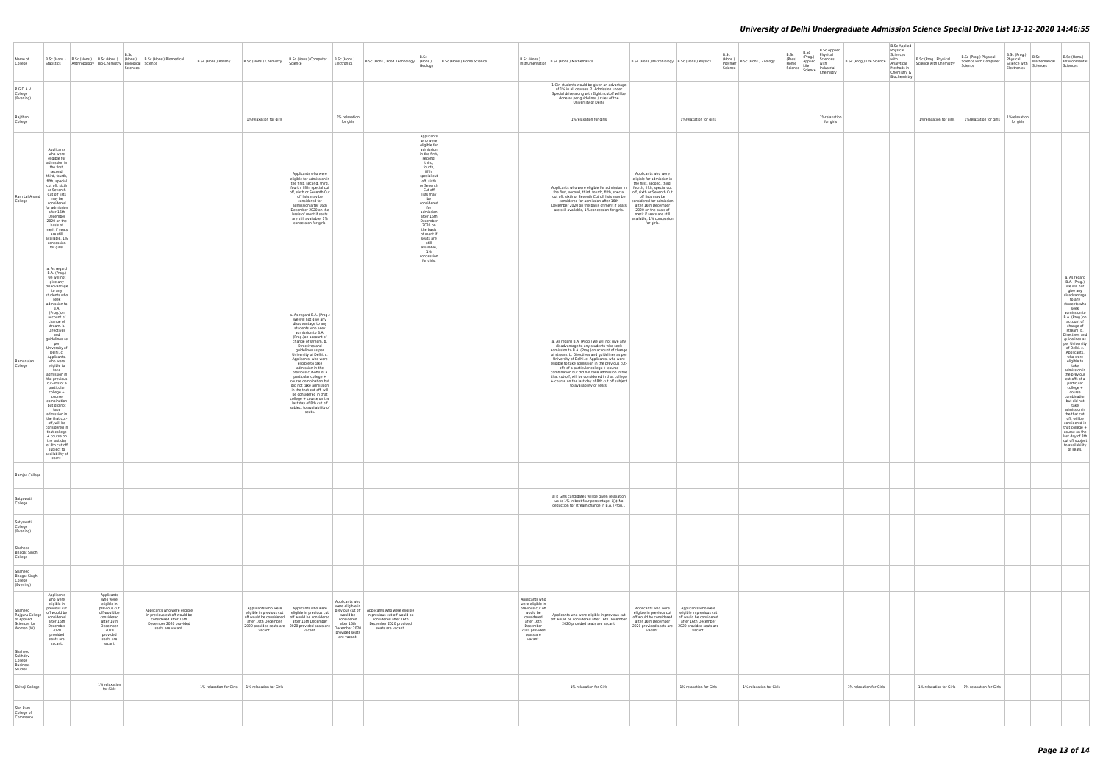| Name of<br>College                                                    | Statistics                                                                                                                                                                                                                                                                                                                                                                                                                                                                                                                                                                                                                            | B.Sc<br>Anthropology Bio-Chemistry Biological Science<br>Sciences                                                                                         | B.Sc (Hons.) B.Sc (Hons.) B.Sc (Hons.) (Hons.) B.Sc (Hons.) Biomedical                                                               | B.Sc (Hons.) Botany | B.Sc (Hons.) Chemistry                            | B.Sc (Hons.) Computer   B.Sc (Hons.)<br>Science                                                                                                                                                                                                                                                                                                                                                                                                                                                                                                               | Electronics                                                                                                 | B.Sc (Hons.) Food Technology (Hons.)                                                                                                                    | B.Sc<br>Geology                                                                                                                                                                                                                                                                                                                                                  | B.Sc (Hons.) Home Science | B.Sc (Hons.)<br>Instrumentation                                                                                                                     | B.Sc (Hons.) Mathematics                                                                                                                                                                                                                                                                                                                                                                                                                                                                                                    | B.Sc (Hons.) Microbiology   B.Sc (Hons.) Physics                                                                                                                                                                            | B.Sc<br>(Hons.)<br>Polymer<br>Science                                                                                                                                             | B.Sc (Hons.) Zoology    | B.Sc<br>B.Sc<br>Strass (Prog.)<br>(Pass) Applied Sciences<br>Home Life Industrial Science Industrial<br>Science Industrial Chemistry | <b>B.Sc Applied</b><br>Physical<br>B.Sc (Prog.) Life Science | <b>B.Sc Applied</b><br>Physical<br>Sciences<br>with<br>Analytical<br>Methods in<br>Chemistry &<br>Biochemistry | B.Sc (Prog.) Physical<br>Science with Chemistry | B.Sc (Prog.) Physical<br>Science with Computer<br>Science | $ B.Sc (Prog.) $ $B.Sc$<br>Physical<br>Mathematical Environmental<br>Science with<br>Sciences<br>Electronics | B.Sc (Hons.)<br>Sciences                                                                                                                                                                                                                                                                                                                                                                                                                                                                                                                                                                                           |
|-----------------------------------------------------------------------|---------------------------------------------------------------------------------------------------------------------------------------------------------------------------------------------------------------------------------------------------------------------------------------------------------------------------------------------------------------------------------------------------------------------------------------------------------------------------------------------------------------------------------------------------------------------------------------------------------------------------------------|-----------------------------------------------------------------------------------------------------------------------------------------------------------|--------------------------------------------------------------------------------------------------------------------------------------|---------------------|---------------------------------------------------|---------------------------------------------------------------------------------------------------------------------------------------------------------------------------------------------------------------------------------------------------------------------------------------------------------------------------------------------------------------------------------------------------------------------------------------------------------------------------------------------------------------------------------------------------------------|-------------------------------------------------------------------------------------------------------------|---------------------------------------------------------------------------------------------------------------------------------------------------------|------------------------------------------------------------------------------------------------------------------------------------------------------------------------------------------------------------------------------------------------------------------------------------------------------------------------------------------------------------------|---------------------------|-----------------------------------------------------------------------------------------------------------------------------------------------------|-----------------------------------------------------------------------------------------------------------------------------------------------------------------------------------------------------------------------------------------------------------------------------------------------------------------------------------------------------------------------------------------------------------------------------------------------------------------------------------------------------------------------------|-----------------------------------------------------------------------------------------------------------------------------------------------------------------------------------------------------------------------------|-----------------------------------------------------------------------------------------------------------------------------------------------------------------------------------|-------------------------|--------------------------------------------------------------------------------------------------------------------------------------|--------------------------------------------------------------|----------------------------------------------------------------------------------------------------------------|-------------------------------------------------|-----------------------------------------------------------|--------------------------------------------------------------------------------------------------------------|--------------------------------------------------------------------------------------------------------------------------------------------------------------------------------------------------------------------------------------------------------------------------------------------------------------------------------------------------------------------------------------------------------------------------------------------------------------------------------------------------------------------------------------------------------------------------------------------------------------------|
| P.G.D.A.V.<br>College<br>(Evening)                                    |                                                                                                                                                                                                                                                                                                                                                                                                                                                                                                                                                                                                                                       |                                                                                                                                                           |                                                                                                                                      |                     |                                                   |                                                                                                                                                                                                                                                                                                                                                                                                                                                                                                                                                               |                                                                                                             |                                                                                                                                                         |                                                                                                                                                                                                                                                                                                                                                                  |                           |                                                                                                                                                     | 1.Girl students would be given an advantage<br>of 1% in all courses. 2. Admission under<br>Special drive along with Eighth cutoff will be<br>done as per guidelines / rules of the<br>University of Delhi.                                                                                                                                                                                                                                                                                                                  |                                                                                                                                                                                                                             |                                                                                                                                                                                   |                         |                                                                                                                                      |                                                              |                                                                                                                |                                                 |                                                           |                                                                                                              |                                                                                                                                                                                                                                                                                                                                                                                                                                                                                                                                                                                                                    |
| Rajdhani<br>College                                                   |                                                                                                                                                                                                                                                                                                                                                                                                                                                                                                                                                                                                                                       |                                                                                                                                                           |                                                                                                                                      |                     | 1%relaxation for girls                            |                                                                                                                                                                                                                                                                                                                                                                                                                                                                                                                                                               | 1% relaxation<br>for girls                                                                                  |                                                                                                                                                         |                                                                                                                                                                                                                                                                                                                                                                  |                           |                                                                                                                                                     | 1%relaxation for girls                                                                                                                                                                                                                                                                                                                                                                                                                                                                                                      |                                                                                                                                                                                                                             | 1%relaxation for girls                                                                                                                                                            |                         |                                                                                                                                      | 1%relaxation<br>for girls                                    |                                                                                                                |                                                 | 1% relaxation for girls   1% relaxation for girls         | 1%relaxation<br>for girls                                                                                    |                                                                                                                                                                                                                                                                                                                                                                                                                                                                                                                                                                                                                    |
| Ram Lal Anand<br>College                                              | Applicants<br>who were<br>eligible for<br>admission in<br>the first.<br>second.<br>third, fourth,<br>fifth, special<br>cut off, sixth<br>or Seventh<br>Cut off lists<br>may be<br>considered<br>for admission<br>after 16th<br>December<br>2020 on the<br>basis of<br>merit if seats<br>are still<br>available, 1%<br>concession<br>for girls.                                                                                                                                                                                                                                                                                        |                                                                                                                                                           |                                                                                                                                      |                     |                                                   | Applicants who were<br>eligible for admission in<br>the first, second, third,<br>fourth, fifth, special cut<br>off, sixth or Seventh Cut<br>off lists may be<br>considered for<br>admission after 16th<br>December 2020 on the<br>basis of merit if seats<br>are still available, 1%<br>concession for girls.                                                                                                                                                                                                                                                 |                                                                                                             |                                                                                                                                                         | Applicants<br>who were<br>eligible for<br>admission<br>in the first,<br>second,<br>third,<br>fourth,<br>fifth,<br>special cut<br>off, sixth<br>or Seventh<br>Cut off<br>lists may<br>be<br>considered<br>for<br>admission<br>after 16th<br>December<br>2020 on<br>the basis<br>of merit if<br>seats are<br>still<br>available,<br>1%<br>concession<br>for girls. |                           |                                                                                                                                                     | Applicants who were eligible for admission in   fourth, fifth, special cut<br>the first, second, third, fourth, fifth, special   off, sixth or Seventh Cut<br>cut off, sixth or Seventh Cut off lists may be<br>considered for admission after 16th<br>December 2020 on the basis of merit if seats after 16th December<br>are still available, 1% concession for girls.                                                                                                                                                    | Applicants who were<br>eligible for admission in<br>the first, second, third,<br>off lists may be<br>considered for admission<br>2020 on the basis of<br>merit if seats are still<br>available, 1% concession<br>for girls. |                                                                                                                                                                                   |                         |                                                                                                                                      |                                                              |                                                                                                                |                                                 |                                                           |                                                                                                              |                                                                                                                                                                                                                                                                                                                                                                                                                                                                                                                                                                                                                    |
| Ramanujan<br>College                                                  | a. As regard<br>B.A. (Prog.)<br>we will not<br>give any<br>disadvantage<br>to any<br>students who<br>seek<br>admission to<br><b>B.A.</b><br>(Prog.)on<br>account of<br>change of<br>stream. b.<br>Directives<br>and<br>guidelines as<br>per<br>University of<br>Delhi. c.<br>Applicants,<br>who were<br>eligible to<br>take<br>admission in<br>the previous<br>cut-offs of a<br>particular<br>college +<br>course<br>combination<br>but did not<br>take<br>admission in<br>the that cut-<br>off, will be<br>considered in<br>that college<br>+ course on<br>the last day<br>of 8th cut off<br>subject to<br>availability of<br>seats. |                                                                                                                                                           |                                                                                                                                      |                     |                                                   | a. As regard B.A. (Prog.)<br>we will not give any<br>disadvantage to any<br>students who seek<br>admission to B.A.<br>(Prog.)on account of<br>change of stream. b.<br>Directives and<br>guidelines as per<br>University of Delhi. c<br>Applicants, who were<br>eligible to take<br>admission in the<br>previous cut-offs of a<br>particular college +<br>course combination but<br>did not take admission<br>in the that cut-off, will<br>be considered in that<br>college + course on the<br>last day of 8th cut off<br>subject to availability of<br>seats. |                                                                                                             |                                                                                                                                                         |                                                                                                                                                                                                                                                                                                                                                                  |                           |                                                                                                                                                     | a. As regard B.A. (Prog.) we will not give any<br>disadvantage to any students who seek<br>admission to B.A. (Prog.)on account of change<br>of stream. b. Directives and guidelines as per<br>University of Delhi. c. Applicants, who were<br>eligible to take admission in the previous cut-<br>offs of a particular college + course<br>combination but did not take admission in the<br>that cut-off, will be considered in that college<br>+ course on the last day of 8th cut off subject<br>to availability of seats. |                                                                                                                                                                                                                             |                                                                                                                                                                                   |                         |                                                                                                                                      |                                                              |                                                                                                                |                                                 |                                                           |                                                                                                              | a. As regard<br>B.A. (Prog.)<br>we will not<br>give any<br>disadvantage<br>to any<br>students who<br>seek<br>admission to<br>B.A. (Prog.)on<br>account of<br>change of<br>stream. b.<br>Directives and<br>guidelines as<br>per University<br>of Delhi. c.<br>Applicants,<br>who were<br>eligible to<br>take<br>admission in<br>the previous<br>cut-offs of a<br>particular<br>college +<br>course<br>combination<br>but did not<br>take<br>admission in<br>the that cut-<br>off, will be<br>considered in<br>that college +<br>course on the<br>last day of 8th<br>cut off subject<br>to availability<br>of seats. |
| Ramjas College                                                        |                                                                                                                                                                                                                                                                                                                                                                                                                                                                                                                                                                                                                                       |                                                                                                                                                           |                                                                                                                                      |                     |                                                   |                                                                                                                                                                                                                                                                                                                                                                                                                                                                                                                                                               |                                                                                                             |                                                                                                                                                         |                                                                                                                                                                                                                                                                                                                                                                  |                           |                                                                                                                                                     |                                                                                                                                                                                                                                                                                                                                                                                                                                                                                                                             |                                                                                                                                                                                                                             |                                                                                                                                                                                   |                         |                                                                                                                                      |                                                              |                                                                                                                |                                                 |                                                           |                                                                                                              |                                                                                                                                                                                                                                                                                                                                                                                                                                                                                                                                                                                                                    |
| Satyawati<br>College                                                  |                                                                                                                                                                                                                                                                                                                                                                                                                                                                                                                                                                                                                                       |                                                                                                                                                           |                                                                                                                                      |                     |                                                   |                                                                                                                                                                                                                                                                                                                                                                                                                                                                                                                                                               |                                                                                                             |                                                                                                                                                         |                                                                                                                                                                                                                                                                                                                                                                  |                           |                                                                                                                                                     | â[]¢ Girls candidates will be given relaxation<br>up to 1% in best four percentage. â[]¢ No<br>deduction for stream change in B.A. (Prog.).                                                                                                                                                                                                                                                                                                                                                                                 |                                                                                                                                                                                                                             |                                                                                                                                                                                   |                         |                                                                                                                                      |                                                              |                                                                                                                |                                                 |                                                           |                                                                                                              |                                                                                                                                                                                                                                                                                                                                                                                                                                                                                                                                                                                                                    |
| Satyawati<br>College<br>(Evening)                                     |                                                                                                                                                                                                                                                                                                                                                                                                                                                                                                                                                                                                                                       |                                                                                                                                                           |                                                                                                                                      |                     |                                                   |                                                                                                                                                                                                                                                                                                                                                                                                                                                                                                                                                               |                                                                                                             |                                                                                                                                                         |                                                                                                                                                                                                                                                                                                                                                                  |                           |                                                                                                                                                     |                                                                                                                                                                                                                                                                                                                                                                                                                                                                                                                             |                                                                                                                                                                                                                             |                                                                                                                                                                                   |                         |                                                                                                                                      |                                                              |                                                                                                                |                                                 |                                                           |                                                                                                              |                                                                                                                                                                                                                                                                                                                                                                                                                                                                                                                                                                                                                    |
| Shaheed<br><b>Bhagat Singh</b><br>College                             |                                                                                                                                                                                                                                                                                                                                                                                                                                                                                                                                                                                                                                       |                                                                                                                                                           |                                                                                                                                      |                     |                                                   |                                                                                                                                                                                                                                                                                                                                                                                                                                                                                                                                                               |                                                                                                             |                                                                                                                                                         |                                                                                                                                                                                                                                                                                                                                                                  |                           |                                                                                                                                                     |                                                                                                                                                                                                                                                                                                                                                                                                                                                                                                                             |                                                                                                                                                                                                                             |                                                                                                                                                                                   |                         |                                                                                                                                      |                                                              |                                                                                                                |                                                 |                                                           |                                                                                                              |                                                                                                                                                                                                                                                                                                                                                                                                                                                                                                                                                                                                                    |
| Shaheed<br><b>Bhagat Singh</b><br>College<br>(Evening)                |                                                                                                                                                                                                                                                                                                                                                                                                                                                                                                                                                                                                                                       |                                                                                                                                                           |                                                                                                                                      |                     |                                                   |                                                                                                                                                                                                                                                                                                                                                                                                                                                                                                                                                               |                                                                                                             |                                                                                                                                                         |                                                                                                                                                                                                                                                                                                                                                                  |                           |                                                                                                                                                     |                                                                                                                                                                                                                                                                                                                                                                                                                                                                                                                             |                                                                                                                                                                                                                             |                                                                                                                                                                                   |                         |                                                                                                                                      |                                                              |                                                                                                                |                                                 |                                                           |                                                                                                              |                                                                                                                                                                                                                                                                                                                                                                                                                                                                                                                                                                                                                    |
| Shaheed<br>Rajguru College<br>of Applied<br>Sciences for<br>Women (W) | Applicants<br>who were<br>eligible in<br>previous cut<br>off would be<br>considered<br>after 16th<br>December<br>2020<br>provided<br>seats are<br>vacant.                                                                                                                                                                                                                                                                                                                                                                                                                                                                             | Applicants<br>who were<br>eligible in<br>previous cut<br>off would be<br>considered<br>after 16th<br>December<br>2020<br>provided<br>seats are<br>vacant. | Applicants who were eligible<br>in previous cut off would be<br>considered after 16th<br>December 2020 provided<br>seats are vacant. |                     | vacant.                                           | Applicants who were   Applicants who were<br>eligible in previous cut eligible in previous cut<br>off would be considered   off would be considered<br>after 16th December   after 16th December<br>2020 provided seats are 2020 provided seats are December 2020<br>vacant.                                                                                                                                                                                                                                                                                  | Applicants who<br>were eligible in<br>would be<br>considered<br>after 16th<br>provided seats<br>are vacant. | previous cut off   Applicants who were eligible<br>in previous cut off would be<br>considered after 16th<br>December 2020 provided<br>seats are vacant. |                                                                                                                                                                                                                                                                                                                                                                  |                           | Applicants who<br>were eligible in<br>previous cut off<br>would be<br>considered<br>after 16th<br>December<br>2020 provided<br>seats are<br>vacant. | Applicants who were eligible in previous cut<br>off would be considered after 16th December<br>2020 provided seats are vacant.                                                                                                                                                                                                                                                                                                                                                                                              | Applicants who were<br>eligible in previous cut eligible in previous cut<br>vacant.                                                                                                                                         | Applicants who were<br>off would be considered   off would be considered<br>after 16th December after 16th December<br>2020 provided seats are 2020 provided seats are<br>vacant. |                         |                                                                                                                                      |                                                              |                                                                                                                |                                                 |                                                           |                                                                                                              |                                                                                                                                                                                                                                                                                                                                                                                                                                                                                                                                                                                                                    |
| Shaheed<br>Sukhdev<br>College<br>Business<br>Studies                  |                                                                                                                                                                                                                                                                                                                                                                                                                                                                                                                                                                                                                                       |                                                                                                                                                           |                                                                                                                                      |                     |                                                   |                                                                                                                                                                                                                                                                                                                                                                                                                                                                                                                                                               |                                                                                                             |                                                                                                                                                         |                                                                                                                                                                                                                                                                                                                                                                  |                           |                                                                                                                                                     |                                                                                                                                                                                                                                                                                                                                                                                                                                                                                                                             |                                                                                                                                                                                                                             |                                                                                                                                                                                   |                         |                                                                                                                                      |                                                              |                                                                                                                |                                                 |                                                           |                                                                                                              |                                                                                                                                                                                                                                                                                                                                                                                                                                                                                                                                                                                                                    |
| Shivaji College                                                       |                                                                                                                                                                                                                                                                                                                                                                                                                                                                                                                                                                                                                                       | 1% relaxation<br>for Girls                                                                                                                                |                                                                                                                                      |                     | 1% relaxation for Girls   1% relaxation for Girls |                                                                                                                                                                                                                                                                                                                                                                                                                                                                                                                                                               |                                                                                                             |                                                                                                                                                         |                                                                                                                                                                                                                                                                                                                                                                  |                           |                                                                                                                                                     | 1% relaxation for Girls                                                                                                                                                                                                                                                                                                                                                                                                                                                                                                     |                                                                                                                                                                                                                             | 1% relaxation for Girls                                                                                                                                                           | 1% relaxation for Girls |                                                                                                                                      | 1% relaxation for Girls                                      |                                                                                                                |                                                 | 1% relaxation for Girls 1% relaxation for Girls           |                                                                                                              |                                                                                                                                                                                                                                                                                                                                                                                                                                                                                                                                                                                                                    |
| Shri Ram<br>College of<br>Commerce                                    |                                                                                                                                                                                                                                                                                                                                                                                                                                                                                                                                                                                                                                       |                                                                                                                                                           |                                                                                                                                      |                     |                                                   |                                                                                                                                                                                                                                                                                                                                                                                                                                                                                                                                                               |                                                                                                             |                                                                                                                                                         |                                                                                                                                                                                                                                                                                                                                                                  |                           |                                                                                                                                                     |                                                                                                                                                                                                                                                                                                                                                                                                                                                                                                                             |                                                                                                                                                                                                                             |                                                                                                                                                                                   |                         |                                                                                                                                      |                                                              |                                                                                                                |                                                 |                                                           |                                                                                                              |                                                                                                                                                                                                                                                                                                                                                                                                                                                                                                                                                                                                                    |